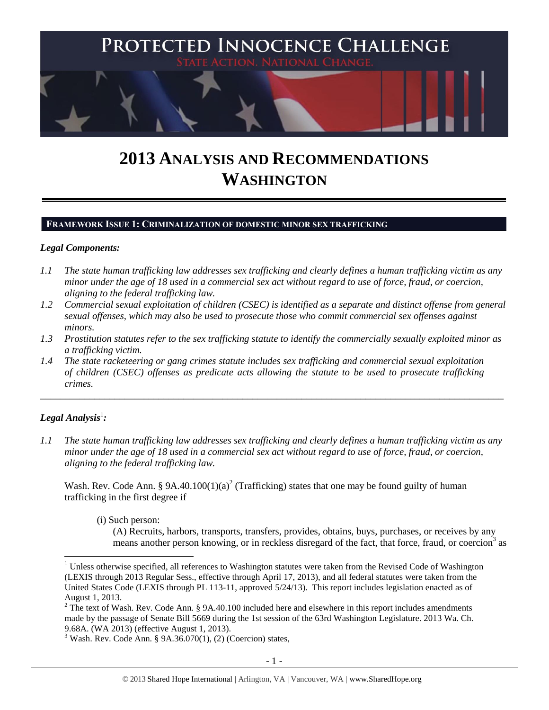

# **2013 ANALYSIS AND RECOMMENDATIONS WASHINGTON**

## **FRAMEWORK ISSUE 1: CRIMINALIZATION OF DOMESTIC MINOR SEX TRAFFICKING**

## *Legal Components:*

- *1.1 The state human trafficking law addresses sex trafficking and clearly defines a human trafficking victim as any minor under the age of 18 used in a commercial sex act without regard to use of force, fraud, or coercion, aligning to the federal trafficking law.*
- *1.2 Commercial sexual exploitation of children (CSEC) is identified as a separate and distinct offense from general sexual offenses, which may also be used to prosecute those who commit commercial sex offenses against minors.*
- *1.3 Prostitution statutes refer to the sex trafficking statute to identify the commercially sexually exploited minor as a trafficking victim.*

\_\_\_\_\_\_\_\_\_\_\_\_\_\_\_\_\_\_\_\_\_\_\_\_\_\_\_\_\_\_\_\_\_\_\_\_\_\_\_\_\_\_\_\_\_\_\_\_\_\_\_\_\_\_\_\_\_\_\_\_\_\_\_\_\_\_\_\_\_\_\_\_\_\_\_\_\_\_\_\_\_\_\_\_\_\_\_\_\_\_\_\_\_\_

*1.4 The state racketeering or gang crimes statute includes sex trafficking and commercial sexual exploitation of children (CSEC) offenses as predicate acts allowing the statute to be used to prosecute trafficking crimes.* 

## $\bm{L}$ egal Analysis $^1$ :

 $\overline{a}$ 

*1.1 The state human trafficking law addresses sex trafficking and clearly defines a human trafficking victim as any minor under the age of 18 used in a commercial sex act without regard to use of force, fraud, or coercion, aligning to the federal trafficking law.*

Wash. Rev. Code Ann. § 9A.40.100(1)(a)<sup>2</sup> (Trafficking) states that one may be found guilty of human trafficking in the first degree if

(i) Such person:

<span id="page-0-0"></span>(A) Recruits, harbors, transports, transfers, provides, obtains, buys, purchases, or receives by any means another person knowing, or in reckless disregard of the fact, that force, fraud, or coercion<sup>3</sup> as

 $1$  Unless otherwise specified, all references to Washington statutes were taken from the Revised Code of Washington (LEXIS through 2013 Regular Sess., effective through April 17, 2013), and all federal statutes were taken from the United States Code (LEXIS through PL 113-11, approved 5/24/13). This report includes legislation enacted as of August 1, 2013.

<sup>&</sup>lt;sup>2</sup> The text of Wash. Rev. Code Ann. § 9A.40.100 included here and elsewhere in this report includes amendments made by the passage of Senate Bill 5669 during the 1st session of the 63rd Washington Legislature. 2013 Wa. Ch. 9.68A. (WA 2013) (effective August 1, 2013).

 $3$  Wash. Rev. Code Ann. § 9A.36.070(1), (2) (Coercion) states,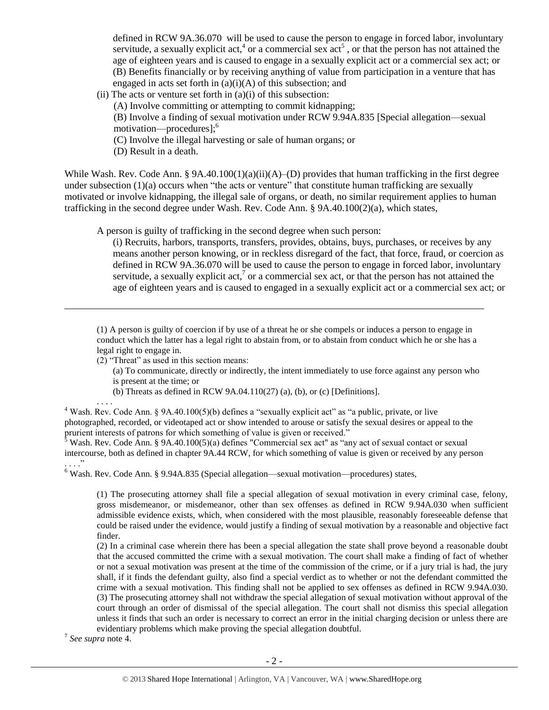<span id="page-1-0"></span>defined in RCW 9A.36.070 will be used to cause the person to engage in forced labor, involuntary servitude, a sexually explicit act,<sup>4</sup> or a commercial sex  $\text{act}^5$ , or that the person has not attained the age of eighteen years and is caused to engage in a sexually explicit act or a commercial sex act; or (B) Benefits financially or by receiving anything of value from participation in a venture that has engaged in acts set forth in (a)(i)(A) of this subsection; and

- $(ii)$  The acts or venture set forth in  $(a)(i)$  of this subsection:
	- (A) Involve committing or attempting to commit kidnapping;

(B) Involve a finding of sexual motivation under RCW 9.94A.835 [Special allegation—sexual motivation—procedures];<sup>6</sup>

- (C) Involve the illegal harvesting or sale of human organs; or
- (D) Result in a death.

While Wash. Rev. Code Ann. § 9A.40.100(1)(a)(ii)(A)–(D) provides that human trafficking in the first degree under subsection  $(1)(a)$  occurs when "the acts or venture" that constitute human trafficking are sexually motivated or involve kidnapping, the illegal sale of organs, or death, no similar requirement applies to human trafficking in the second degree under Wash. Rev. Code Ann. § 9A.40.100(2)(a), which states,

A person is guilty of trafficking in the second degree when such person:

(i) Recruits, harbors, transports, transfers, provides, obtains, buys, purchases, or receives by any means another person knowing, or in reckless disregard of the fact, that force, fraud, or coercion as defined in RCW 9A.36.070 will be used to cause the person to engage in forced labor, involuntary servitude, a sexually explicit act,<sup>7</sup> or a commercial sex act, or that the person has not attained the age of eighteen years and is caused to engaged in a sexually explicit act or a commercial sex act; or

(1) A person is guilty of coercion if by use of a threat he or she compels or induces a person to engage in conduct which the latter has a legal right to abstain from, or to abstain from conduct which he or she has a legal right to engage in.

(2) "Threat" as used in this section means:

- (a) To communicate, directly or indirectly, the intent immediately to use force against any person who is present at the time; or
- (b) Threats as defined in RCW 9A.04.110(27) (a), (b), or (c) [Definitions].

. . . . <sup>4</sup> Wash. Rev. Code Ann. § 9A.40.100(5)(b) defines a "sexually explicit act" as "a public, private, or live photographed, recorded, or videotaped act or show intended to arouse or satisfy the sexual desires or appeal to the prurient interests of patrons for which something of value is given or received."

 $5$  Wash. Rev. Code Ann. § 9A.40.100(5)(a) defines "Commercial sex act" as "any act of sexual contact or sexual intercourse, both as defined in chapter 9A.44 RCW, for which something of value is given or received by any person . . . . "

 $6$  Wash. Rev. Code Ann. § 9.94A.835 (Special allegation—sexual motivation—procedures) states,

(1) The prosecuting attorney shall file a special allegation of sexual motivation in every criminal case, felony, gross misdemeanor, or misdemeanor, other than sex offenses as defined in RCW 9.94A.030 when sufficient admissible evidence exists, which, when considered with the most plausible, reasonably foreseeable defense that could be raised under the evidence, would justify a finding of sexual motivation by a reasonable and objective fact finder.

(2) In a criminal case wherein there has been a special allegation the state shall prove beyond a reasonable doubt that the accused committed the crime with a sexual motivation. The court shall make a finding of fact of whether or not a sexual motivation was present at the time of the commission of the crime, or if a jury trial is had, the jury shall, if it finds the defendant guilty, also find a special verdict as to whether or not the defendant committed the crime with a sexual motivation. This finding shall not be applied to sex offenses as defined in RCW 9.94A.030. (3) The prosecuting attorney shall not withdraw the special allegation of sexual motivation without approval of the court through an order of dismissal of the special allegation. The court shall not dismiss this special allegation unless it finds that such an order is necessary to correct an error in the initial charging decision or unless there are evidentiary problems which make proving the special allegation doubtful.

7 *See supra* note [4.](#page-1-0)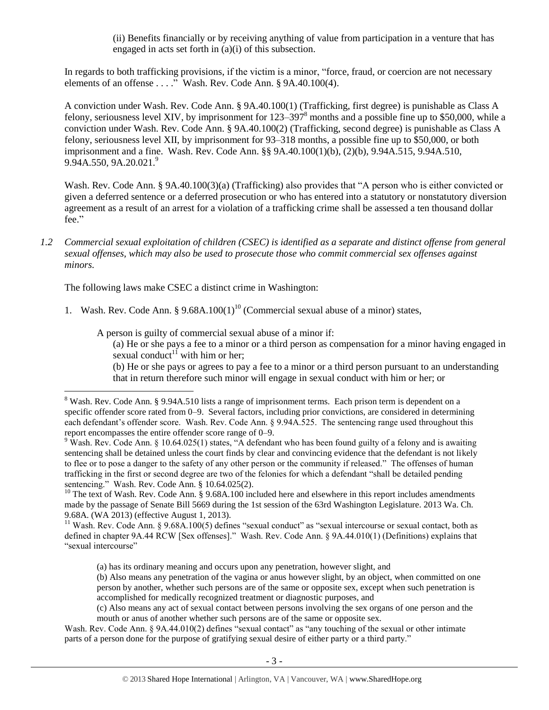(ii) Benefits financially or by receiving anything of value from participation in a venture that has engaged in acts set forth in (a)(i) of this subsection.

In regards to both trafficking provisions, if the victim is a minor, "force, fraud, or coercion are not necessary elements of an offense . . . ." Wash. Rev. Code Ann. § 9A.40.100(4).

A conviction under Wash. Rev. Code Ann. § 9A.40.100(1) (Trafficking, first degree) is punishable as Class A felony, seriousness level XIV, by imprisonment for  $123-3978$  months and a possible fine up to \$50,000, while a conviction under Wash. Rev. Code Ann. § 9A.40.100(2) (Trafficking, second degree) is punishable as Class A felony, seriousness level XII, by imprisonment for 93–318 months, a possible fine up to \$50,000, or both imprisonment and a fine. Wash. Rev. Code Ann. §§ 9A.40.100(1)(b), (2)(b), 9.94A.515, 9.94A.510, 9.94A.550, 9A.20.021.<sup>9</sup>

Wash. Rev. Code Ann. § 9A.40.100(3)(a) (Trafficking) also provides that "A person who is either convicted or given a deferred sentence or a deferred prosecution or who has entered into a statutory or nonstatutory diversion agreement as a result of an arrest for a violation of a trafficking crime shall be assessed a ten thousand dollar fee."

*1.2 Commercial sexual exploitation of children (CSEC) is identified as a separate and distinct offense from general sexual offenses, which may also be used to prosecute those who commit commercial sex offenses against minors.*

The following laws make CSEC a distinct crime in Washington:

 $\overline{a}$ 

1. Wash. Rev. Code Ann. §  $9.68A.100(1)^{10}$  (Commercial sexual abuse of a minor) states,

A person is guilty of commercial sexual abuse of a minor if:

(a) He or she pays a fee to a minor or a third person as compensation for a minor having engaged in sexual conduct<sup>11</sup> with him or her;

<span id="page-2-0"></span>(b) He or she pays or agrees to pay a fee to a minor or a third person pursuant to an understanding that in return therefore such minor will engage in sexual conduct with him or her; or

<sup>10</sup> The text of Wash. Rev. Code Ann. § 9.68A.100 included here and elsewhere in this report includes amendments made by the passage of Senate Bill 5669 during the 1st session of the 63rd Washington Legislature. 2013 Wa. Ch. 9.68A. (WA 2013) (effective August 1, 2013).

<sup>11</sup> Wash. Rev. Code Ann. § 9.68A.100(5) defines "sexual conduct" as "sexual intercourse or sexual contact, both as defined in chapter 9A.44 RCW [Sex offenses]." Wash. Rev. Code Ann. § 9A.44.010(1) (Definitions) explains that "sexual intercourse"

(a) has its ordinary meaning and occurs upon any penetration, however slight, and

(b) Also means any penetration of the vagina or anus however slight, by an object, when committed on one person by another, whether such persons are of the same or opposite sex, except when such penetration is accomplished for medically recognized treatment or diagnostic purposes, and

<sup>&</sup>lt;sup>8</sup> Wash. Rev. Code Ann. § 9.94A.510 lists a range of imprisonment terms. Each prison term is dependent on a specific offender score rated from 0–9. Several factors, including prior convictions, are considered in determining each defendant's offender score. Wash. Rev. Code Ann. § 9.94A.525. The sentencing range used throughout this report encompasses the entire offender score range of 0–9.

<sup>&</sup>lt;sup>9</sup> Wash. Rev. Code Ann. § 10.64.025(1) states, "A defendant who has been found guilty of a felony and is awaiting sentencing shall be detained unless the court finds by clear and convincing evidence that the defendant is not likely to flee or to pose a danger to the safety of any other person or the community if released." The offenses of human trafficking in the first or second degree are two of the felonies for which a defendant "shall be detailed pending sentencing." Wash. Rev. Code Ann. § 10.64.025(2).

<sup>(</sup>c) Also means any act of sexual contact between persons involving the sex organs of one person and the mouth or anus of another whether such persons are of the same or opposite sex.

Wash. Rev. Code Ann. § 9A.44.010(2) defines "sexual contact" as "any touching of the sexual or other intimate parts of a person done for the purpose of gratifying sexual desire of either party or a third party."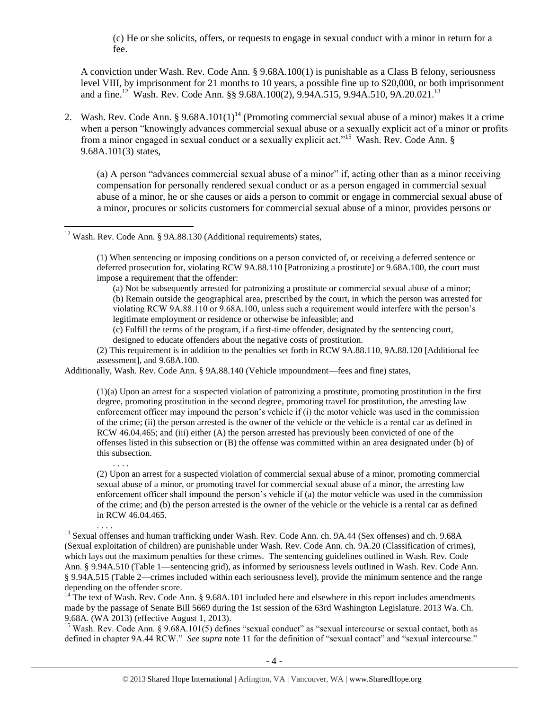(c) He or she solicits, offers, or requests to engage in sexual conduct with a minor in return for a fee.

<span id="page-3-0"></span>A conviction under Wash. Rev. Code Ann. § 9.68A.100(1) is punishable as a Class B felony, seriousness level VIII, by imprisonment for 21 months to 10 years, a possible fine up to \$20,000, or both imprisonment and a fine.<sup>12</sup> Wash. Rev. Code Ann. §§ 9.68A.100(2), 9.94A.515, 9.94A.510, 9A.20.021.<sup>13</sup>

2. Wash. Rev. Code Ann. § 9.68A.101(1)<sup>14</sup> (Promoting commercial sexual abuse of a minor) makes it a crime when a person "knowingly advances commercial sexual abuse or a sexually explicit act of a minor or profits from a minor engaged in sexual conduct or a sexually explicit act."<sup>15</sup> Wash. Rev. Code Ann. § 9.68A.101(3) states,

<span id="page-3-1"></span>(a) A person "advances commercial sexual abuse of a minor" if, acting other than as a minor receiving compensation for personally rendered sexual conduct or as a person engaged in commercial sexual abuse of a minor, he or she causes or aids a person to commit or engage in commercial sexual abuse of a minor, procures or solicits customers for commercial sexual abuse of a minor, provides persons or

 $\overline{a}$ 

. . . .

. . . .

(c) Fulfill the terms of the program, if a first-time offender, designated by the sentencing court, designed to educate offenders about the negative costs of prostitution.

(2) This requirement is in addition to the penalties set forth in RCW 9A.88.110, 9A.88.120 [Additional fee assessment], and 9.68A.100.

Additionally, Wash. Rev. Code Ann. § 9A.88.140 (Vehicle impoundment—fees and fine) states,

(1)(a) Upon an arrest for a suspected violation of patronizing a prostitute, promoting prostitution in the first degree, promoting prostitution in the second degree, promoting travel for prostitution, the arresting law enforcement officer may impound the person's vehicle if (i) the motor vehicle was used in the commission of the crime; (ii) the person arrested is the owner of the vehicle or the vehicle is a rental car as defined in RCW 46.04.465; and (iii) either (A) the person arrested has previously been convicted of one of the offenses listed in this subsection or (B) the offense was committed within an area designated under (b) of this subsection.

(2) Upon an arrest for a suspected violation of commercial sexual abuse of a minor, promoting commercial sexual abuse of a minor, or promoting travel for commercial sexual abuse of a minor, the arresting law enforcement officer shall impound the person's vehicle if (a) the motor vehicle was used in the commission of the crime; and (b) the person arrested is the owner of the vehicle or the vehicle is a rental car as defined in RCW 46.04.465.

 $14$ <sup>14</sup> The text of Wash. Rev. Code Ann. § 9.68A.101 included here and elsewhere in this report includes amendments made by the passage of Senate Bill 5669 during the 1st session of the 63rd Washington Legislature. 2013 Wa. Ch. 9.68A. (WA 2013) (effective August 1, 2013).

<sup>15</sup> Wash. Rev. Code Ann. § 9.68A.101(5) defines "sexual conduct" as "sexual intercourse or sexual contact, both as defined in chapter 9A.44 RCW." *See supra* note [11](#page-2-0) for the definition of "sexual contact" and "sexual intercourse."

 $12$  Wash. Rev. Code Ann. § 9A.88.130 (Additional requirements) states,

<sup>(1)</sup> When sentencing or imposing conditions on a person convicted of, or receiving a deferred sentence or deferred prosecution for, violating RCW 9A.88.110 [Patronizing a prostitute] or 9.68A.100, the court must impose a requirement that the offender:

<sup>(</sup>a) Not be subsequently arrested for patronizing a prostitute or commercial sexual abuse of a minor; (b) Remain outside the geographical area, prescribed by the court, in which the person was arrested for violating RCW 9A.88.110 or 9.68A.100, unless such a requirement would interfere with the person's legitimate employment or residence or otherwise be infeasible; and

<sup>&</sup>lt;sup>13</sup> Sexual offenses and human trafficking under Wash. Rev. Code Ann. ch. 9A.44 (Sex offenses) and ch. 9.68A (Sexual exploitation of children) are punishable under Wash. Rev. Code Ann. ch. 9A.20 (Classification of crimes), which lays out the maximum penalties for these crimes. The sentencing guidelines outlined in Wash. Rev. Code Ann. § 9.94A.510 (Table 1—sentencing grid), as informed by seriousness levels outlined in Wash. Rev. Code Ann. § 9.94A.515 (Table 2—crimes included within each seriousness level), provide the minimum sentence and the range depending on the offender score.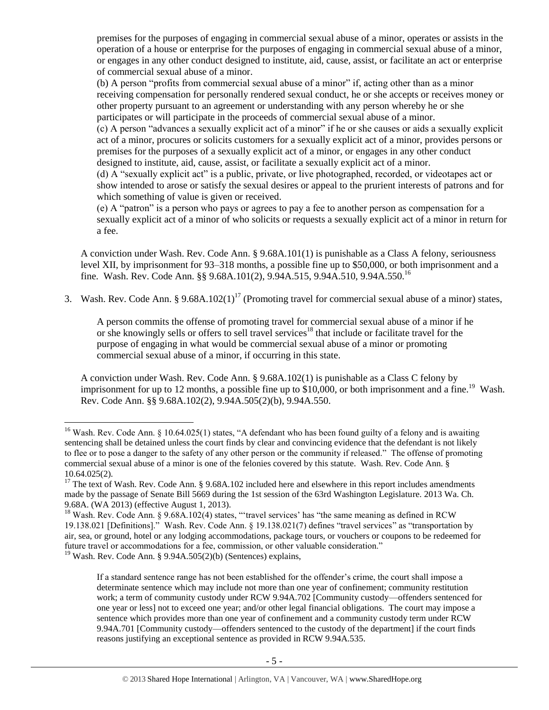premises for the purposes of engaging in commercial sexual abuse of a minor, operates or assists in the operation of a house or enterprise for the purposes of engaging in commercial sexual abuse of a minor, or engages in any other conduct designed to institute, aid, cause, assist, or facilitate an act or enterprise of commercial sexual abuse of a minor.

(b) A person "profits from commercial sexual abuse of a minor" if, acting other than as a minor receiving compensation for personally rendered sexual conduct, he or she accepts or receives money or other property pursuant to an agreement or understanding with any person whereby he or she participates or will participate in the proceeds of commercial sexual abuse of a minor.

(c) A person "advances a sexually explicit act of a minor" if he or she causes or aids a sexually explicit act of a minor, procures or solicits customers for a sexually explicit act of a minor, provides persons or premises for the purposes of a sexually explicit act of a minor, or engages in any other conduct designed to institute, aid, cause, assist, or facilitate a sexually explicit act of a minor.

(d) A "sexually explicit act" is a public, private, or live photographed, recorded, or videotapes act or show intended to arose or satisfy the sexual desires or appeal to the prurient interests of patrons and for which something of value is given or received.

(e) A "patron" is a person who pays or agrees to pay a fee to another person as compensation for a sexually explicit act of a minor of who solicits or requests a sexually explicit act of a minor in return for a fee.

A conviction under Wash. Rev. Code Ann. § 9.68A.101(1) is punishable as a Class A felony, seriousness level XII, by imprisonment for 93–318 months, a possible fine up to \$50,000, or both imprisonment and a fine. Wash. Rev. Code Ann. §§ 9.68A.101(2), 9.94A.515, 9.94A.510, 9.94A.550.<sup>16</sup>

3. Wash. Rev. Code Ann. § 9.68A.102(1)<sup>17</sup> (Promoting travel for commercial sexual abuse of a minor) states,

<span id="page-4-0"></span>A person commits the offense of promoting travel for commercial sexual abuse of a minor if he or she knowingly sells or offers to sell travel services<sup>18</sup> that include or facilitate travel for the purpose of engaging in what would be commercial sexual abuse of a minor or promoting commercial sexual abuse of a minor, if occurring in this state.

A conviction under Wash. Rev. Code Ann. § 9.68A.102(1) is punishable as a Class C felony by imprisonment for up to 12 months, a possible fine up to \$10,000, or both imprisonment and a fine.<sup>19</sup> Wash. Rev. Code Ann. §§ 9.68A.102(2), 9.94A.505(2)(b), 9.94A.550.

<sup>19</sup> Wash. Rev. Code Ann. § 9.94A.505(2)(b) (Sentences) explains,

 $\overline{a}$ 

If a standard sentence range has not been established for the offender's crime, the court shall impose a determinate sentence which may include not more than one year of confinement; community restitution work; a term of community custody under RCW 9.94A.702 [Community custody—offenders sentenced for one year or less] not to exceed one year; and/or other legal financial obligations. The court may impose a sentence which provides more than one year of confinement and a community custody term under RCW 9.94A.701 [Community custody—offenders sentenced to the custody of the department] if the court finds reasons justifying an exceptional sentence as provided in RCW 9.94A.535.

<sup>&</sup>lt;sup>16</sup> Wash. Rev. Code Ann. § 10.64.025(1) states, "A defendant who has been found guilty of a felony and is awaiting sentencing shall be detained unless the court finds by clear and convincing evidence that the defendant is not likely to flee or to pose a danger to the safety of any other person or the community if released." The offense of promoting commercial sexual abuse of a minor is one of the felonies covered by this statute. Wash. Rev. Code Ann. § 10.64.025(2).

<sup>&</sup>lt;sup>17</sup> The text of Wash. Rev. Code Ann. § 9.68A.102 included here and elsewhere in this report includes amendments made by the passage of Senate Bill 5669 during the 1st session of the 63rd Washington Legislature. 2013 Wa. Ch. 9.68A. (WA 2013) (effective August 1, 2013).

<sup>&</sup>lt;sup>18</sup> Wash. Rev. Code Ann. § 9.68A.102(4) states, "travel services' has "the same meaning as defined in RCW 19.138.021 [Definitions]." Wash. Rev. Code Ann. § 19.138.021(7) defines "travel services" as "transportation by air, sea, or ground, hotel or any lodging accommodations, package tours, or vouchers or coupons to be redeemed for future travel or accommodations for a fee, commission, or other valuable consideration."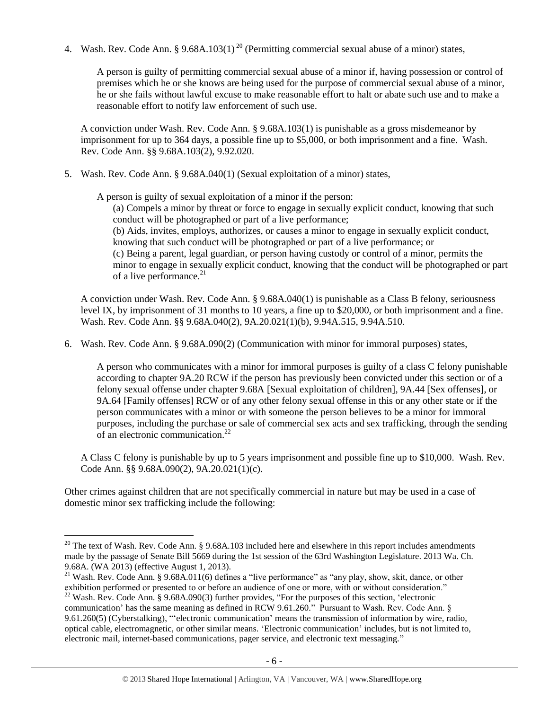4. Wash. Rev. Code Ann. § 9.68A.103(1)<sup>20</sup> (Permitting commercial sexual abuse of a minor) states,

<span id="page-5-0"></span>A person is guilty of permitting commercial sexual abuse of a minor if, having possession or control of premises which he or she knows are being used for the purpose of commercial sexual abuse of a minor, he or she fails without lawful excuse to make reasonable effort to halt or abate such use and to make a reasonable effort to notify law enforcement of such use.

A conviction under Wash. Rev. Code Ann. § 9.68A.103(1) is punishable as a gross misdemeanor by imprisonment for up to 364 days, a possible fine up to \$5,000, or both imprisonment and a fine. Wash. Rev. Code Ann. §§ 9.68A.103(2), 9.92.020.

5. Wash. Rev. Code Ann. § 9.68A.040(1) (Sexual exploitation of a minor) states,

A person is guilty of sexual exploitation of a minor if the person:

(a) Compels a minor by threat or force to engage in sexually explicit conduct, knowing that such conduct will be photographed or part of a live performance;

(b) Aids, invites, employs, authorizes, or causes a minor to engage in sexually explicit conduct, knowing that such conduct will be photographed or part of a live performance; or

(c) Being a parent, legal guardian, or person having custody or control of a minor, permits the minor to engage in sexually explicit conduct, knowing that the conduct will be photographed or part of a live performance.<sup>21</sup>

A conviction under Wash. Rev. Code Ann. § 9.68A.040(1) is punishable as a Class B felony, seriousness level IX, by imprisonment of 31 months to 10 years, a fine up to \$20,000, or both imprisonment and a fine. Wash. Rev. Code Ann. §§ 9.68A.040(2), 9A.20.021(1)(b), 9.94A.515, 9.94A.510.

6. Wash. Rev. Code Ann. § 9.68A.090(2) (Communication with minor for immoral purposes) states,

A person who communicates with a minor for immoral purposes is guilty of a class C felony punishable according to chapter 9A.20 RCW if the person has previously been convicted under this section or of a felony sexual offense under chapter 9.68A [Sexual exploitation of children], 9A.44 [Sex offenses], or 9A.64 [Family offenses] RCW or of any other felony sexual offense in this or any other state or if the person communicates with a minor or with someone the person believes to be a minor for immoral purposes, including the purchase or sale of commercial sex acts and sex trafficking, through the sending of an electronic communication.<sup>22</sup>

A Class C felony is punishable by up to 5 years imprisonment and possible fine up to \$10,000. Wash. Rev. Code Ann. §§ 9.68A.090(2), 9A.20.021(1)(c).

Other crimes against children that are not specifically commercial in nature but may be used in a case of domestic minor sex trafficking include the following:

 $20$  The text of Wash. Rev. Code Ann. § 9.68A.103 included here and elsewhere in this report includes amendments made by the passage of Senate Bill 5669 during the 1st session of the 63rd Washington Legislature. 2013 Wa. Ch. 9.68A. (WA 2013) (effective August 1, 2013).

<sup>&</sup>lt;sup>21</sup> Wash. Rev. Code Ann. § 9.68A.011(6) defines a "live performance" as "any play, show, skit, dance, or other exhibition performed or presented to or before an audience of one or more, with or without consideration."

 $^{22}$  Wash. Rev. Code Ann. § 9.68A.090(3) further provides, "For the purposes of this section, 'electronic communication' has the same meaning as defined in RCW 9.61.260." Pursuant to Wash. Rev. Code Ann. § 9.61.260(5) (Cyberstalking), "'electronic communication' means the transmission of information by wire, radio, optical cable, electromagnetic, or other similar means. 'Electronic communication' includes, but is not limited to, electronic mail, internet-based communications, pager service, and electronic text messaging."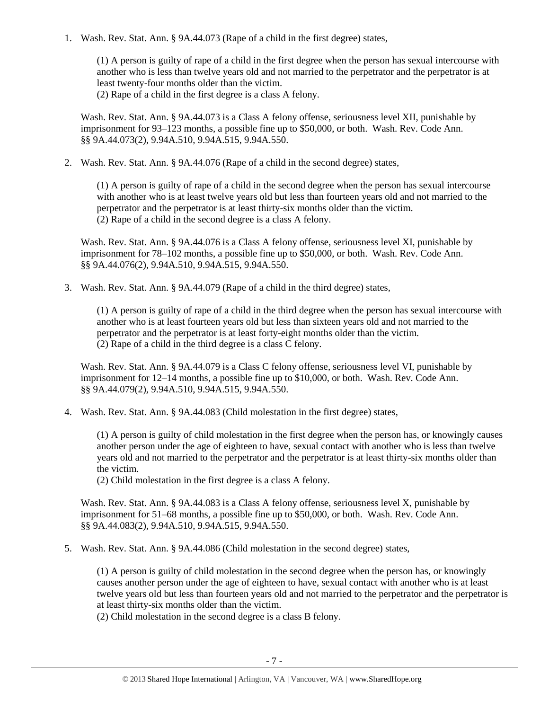1. Wash. Rev. Stat. Ann. § 9A.44.073 (Rape of a child in the first degree) states,

(1) A person is guilty of rape of a child in the first degree when the person has sexual intercourse with another who is less than twelve years old and not married to the perpetrator and the perpetrator is at least twenty-four months older than the victim.

(2) Rape of a child in the first degree is a class A felony.

Wash. Rev. Stat. Ann. § 9A.44.073 is a Class A felony offense, seriousness level XII, punishable by imprisonment for 93–123 months, a possible fine up to \$50,000, or both. Wash. Rev. Code Ann. §§ 9A.44.073(2), 9.94A.510, 9.94A.515, 9.94A.550.

2. Wash. Rev. Stat. Ann. § 9A.44.076 (Rape of a child in the second degree) states,

(1) A person is guilty of rape of a child in the second degree when the person has sexual intercourse with another who is at least twelve years old but less than fourteen years old and not married to the perpetrator and the perpetrator is at least thirty-six months older than the victim. (2) Rape of a child in the second degree is a class A felony.

Wash. Rev. Stat. Ann. § 9A.44.076 is a Class A felony offense, seriousness level XI, punishable by imprisonment for 78–102 months, a possible fine up to \$50,000, or both. Wash. Rev. Code Ann. §§ 9A.44.076(2), 9.94A.510, 9.94A.515, 9.94A.550.

3. Wash. Rev. Stat. Ann. § 9A.44.079 (Rape of a child in the third degree) states,

(1) A person is guilty of rape of a child in the third degree when the person has sexual intercourse with another who is at least fourteen years old but less than sixteen years old and not married to the perpetrator and the perpetrator is at least forty-eight months older than the victim. (2) Rape of a child in the third degree is a class C felony.

Wash. Rev. Stat. Ann. § 9A.44.079 is a Class C felony offense, seriousness level VI, punishable by imprisonment for 12–14 months, a possible fine up to \$10,000, or both. Wash. Rev. Code Ann. §§ 9A.44.079(2), 9.94A.510, 9.94A.515, 9.94A.550.

4. Wash. Rev. Stat. Ann. § 9A.44.083 (Child molestation in the first degree) states,

(1) A person is guilty of child molestation in the first degree when the person has, or knowingly causes another person under the age of eighteen to have, sexual contact with another who is less than twelve years old and not married to the perpetrator and the perpetrator is at least thirty-six months older than the victim.

(2) Child molestation in the first degree is a class A felony.

Wash. Rev. Stat. Ann. § 9A.44.083 is a Class A felony offense, seriousness level X, punishable by imprisonment for 51–68 months, a possible fine up to \$50,000, or both. Wash. Rev. Code Ann. §§ 9A.44.083(2), 9.94A.510, 9.94A.515, 9.94A.550.

5. Wash. Rev. Stat. Ann. § 9A.44.086 (Child molestation in the second degree) states,

(1) A person is guilty of child molestation in the second degree when the person has, or knowingly causes another person under the age of eighteen to have, sexual contact with another who is at least twelve years old but less than fourteen years old and not married to the perpetrator and the perpetrator is at least thirty-six months older than the victim.

(2) Child molestation in the second degree is a class B felony.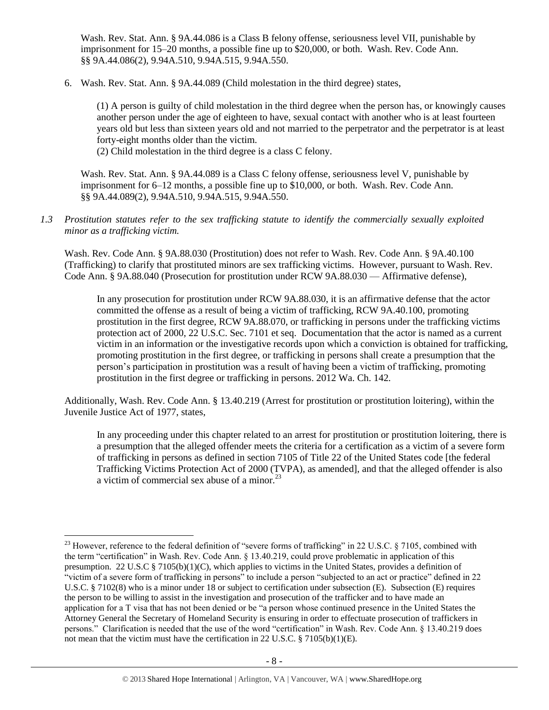Wash. Rev. Stat. Ann. § 9A.44.086 is a Class B felony offense, seriousness level VII, punishable by imprisonment for 15–20 months, a possible fine up to \$20,000, or both. Wash. Rev. Code Ann. §§ 9A.44.086(2), 9.94A.510, 9.94A.515, 9.94A.550.

6. Wash. Rev. Stat. Ann. § 9A.44.089 (Child molestation in the third degree) states,

(1) A person is guilty of child molestation in the third degree when the person has, or knowingly causes another person under the age of eighteen to have, sexual contact with another who is at least fourteen years old but less than sixteen years old and not married to the perpetrator and the perpetrator is at least forty-eight months older than the victim.

(2) Child molestation in the third degree is a class C felony.

Wash. Rev. Stat. Ann. § 9A.44.089 is a Class C felony offense, seriousness level V, punishable by imprisonment for 6–12 months, a possible fine up to \$10,000, or both. Wash. Rev. Code Ann. §§ 9A.44.089(2), 9.94A.510, 9.94A.515, 9.94A.550.

*1.3 Prostitution statutes refer to the sex trafficking statute to identify the commercially sexually exploited minor as a trafficking victim.* 

Wash. Rev. Code Ann. § 9A.88.030 (Prostitution) does not refer to Wash. Rev. Code Ann. § 9A.40.100 (Trafficking) to clarify that prostituted minors are sex trafficking victims. However, pursuant to Wash. Rev. Code Ann. § 9A.88.040 (Prosecution for prostitution under RCW 9A.88.030 — Affirmative defense),

In any prosecution for prostitution under RCW 9A.88.030, it is an affirmative defense that the actor committed the offense as a result of being a victim of trafficking, RCW 9A.40.100, promoting prostitution in the first degree, RCW 9A.88.070, or trafficking in persons under the trafficking victims protection act of 2000, 22 U.S.C. Sec. 7101 et seq. Documentation that the actor is named as a current victim in an information or the investigative records upon which a conviction is obtained for trafficking, promoting prostitution in the first degree, or trafficking in persons shall create a presumption that the person's participation in prostitution was a result of having been a victim of trafficking, promoting prostitution in the first degree or trafficking in persons. 2012 Wa. Ch. 142.

Additionally, Wash. Rev. Code Ann. § 13.40.219 (Arrest for prostitution or prostitution loitering), within the Juvenile Justice Act of 1977, states,

In any proceeding under this chapter related to an arrest for prostitution or prostitution loitering, there is a presumption that the alleged offender meets the criteria for a certification as a victim of a severe form of trafficking in persons as defined in section 7105 of Title 22 of the United States code [the federal Trafficking Victims Protection Act of 2000 (TVPA), as amended], and that the alleged offender is also a victim of commercial sex abuse of a minor. $^{23}$ 

<sup>&</sup>lt;sup>23</sup> However, reference to the federal definition of "severe forms of trafficking" in 22 U.S.C. § 7105, combined with the term "certification" in Wash. Rev. Code Ann. § 13.40.219, could prove problematic in application of this presumption. 22 U.S.C § 7105(b)(1)(C), which applies to victims in the United States, provides a definition of "victim of a severe form of trafficking in persons" to include a person "subjected to an act or practice" defined in 22 U.S.C. § 7102(8) who is a minor under 18 or subject to certification under subsection (E). Subsection (E) requires the person to be willing to assist in the investigation and prosecution of the trafficker and to have made an application for a T visa that has not been denied or be "a person whose continued presence in the United States the Attorney General the Secretary of Homeland Security is ensuring in order to effectuate prosecution of traffickers in persons." Clarification is needed that the use of the word "certification" in Wash. Rev. Code Ann. § 13.40.219 does not mean that the victim must have the certification in 22 U.S.C. § 7105(b)(1)(E).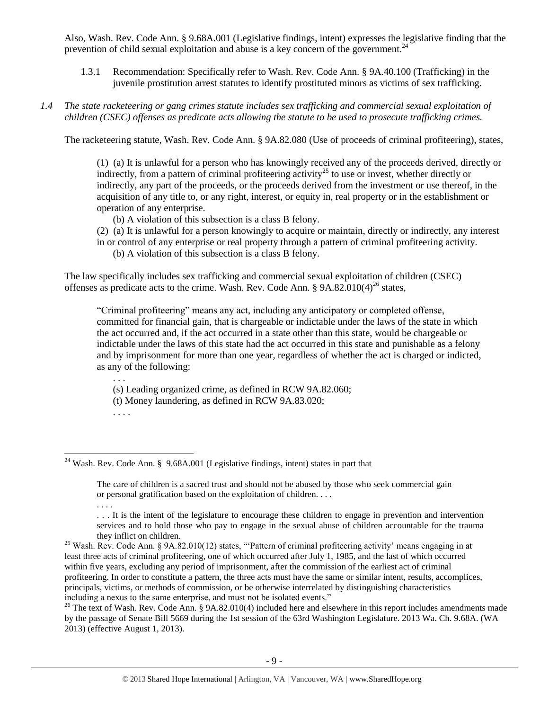Also, Wash. Rev. Code Ann. § 9.68A.001 (Legislative findings, intent) expresses the legislative finding that the prevention of child sexual exploitation and abuse is a key concern of the government.<sup>24</sup>

- 1.3.1 Recommendation: Specifically refer to Wash. Rev. Code Ann. § 9A.40.100 (Trafficking) in the juvenile prostitution arrest statutes to identify prostituted minors as victims of sex trafficking.
- *1.4 The state racketeering or gang crimes statute includes sex trafficking and commercial sexual exploitation of children (CSEC) offenses as predicate acts allowing the statute to be used to prosecute trafficking crimes.*

The racketeering statute, Wash. Rev. Code Ann. § 9A.82.080 (Use of proceeds of criminal profiteering), states,

(1) (a) It is unlawful for a person who has knowingly received any of the proceeds derived, directly or indirectly, from a pattern of criminal profiteering activity<sup>25</sup> to use or invest, whether directly or indirectly, any part of the proceeds, or the proceeds derived from the investment or use thereof, in the acquisition of any title to, or any right, interest, or equity in, real property or in the establishment or operation of any enterprise.

- (b) A violation of this subsection is a class B felony.
- (2) (a) It is unlawful for a person knowingly to acquire or maintain, directly or indirectly, any interest in or control of any enterprise or real property through a pattern of criminal profiteering activity.
	- (b) A violation of this subsection is a class B felony.

The law specifically includes sex trafficking and commercial sexual exploitation of children (CSEC) offenses as predicate acts to the crime. Wash. Rev. Code Ann.  $\S$  9A.82.010(4)<sup>26</sup> states,

"Criminal profiteering" means any act, including any anticipatory or completed offense, committed for financial gain, that is chargeable or indictable under the laws of the state in which the act occurred and, if the act occurred in a state other than this state, would be chargeable or indictable under the laws of this state had the act occurred in this state and punishable as a felony and by imprisonment for more than one year, regardless of whether the act is charged or indicted, as any of the following:

(s) Leading organized crime, as defined in RCW 9A.82.060;

(t) Money laundering, as defined in RCW 9A.83.020;

. . . .

. . .

<sup>&</sup>lt;sup>24</sup> Wash. Rev. Code Ann. § 9.68A.001 (Legislative findings, intent) states in part that

The care of children is a sacred trust and should not be abused by those who seek commercial gain or personal gratification based on the exploitation of children. . . .

<sup>. . . .</sup> 

<sup>. . .</sup> It is the intent of the legislature to encourage these children to engage in prevention and intervention services and to hold those who pay to engage in the sexual abuse of children accountable for the trauma they inflict on children.

<sup>&</sup>lt;sup>25</sup> Wash. Rev. Code Ann. § 9A.82.010(12) states, "'Pattern of criminal profiteering activity' means engaging in at least three acts of criminal profiteering, one of which occurred after July 1, 1985, and the last of which occurred within five years, excluding any period of imprisonment, after the commission of the earliest act of criminal profiteering. In order to constitute a pattern, the three acts must have the same or similar intent, results, accomplices, principals, victims, or methods of commission, or be otherwise interrelated by distinguishing characteristics including a nexus to the same enterprise, and must not be isolated events."

 $26$  The text of Wash. Rev. Code Ann. § 9A.82.010(4) included here and elsewhere in this report includes amendments made by the passage of Senate Bill 5669 during the 1st session of the 63rd Washington Legislature. 2013 Wa. Ch. 9.68A. (WA 2013) (effective August 1, 2013).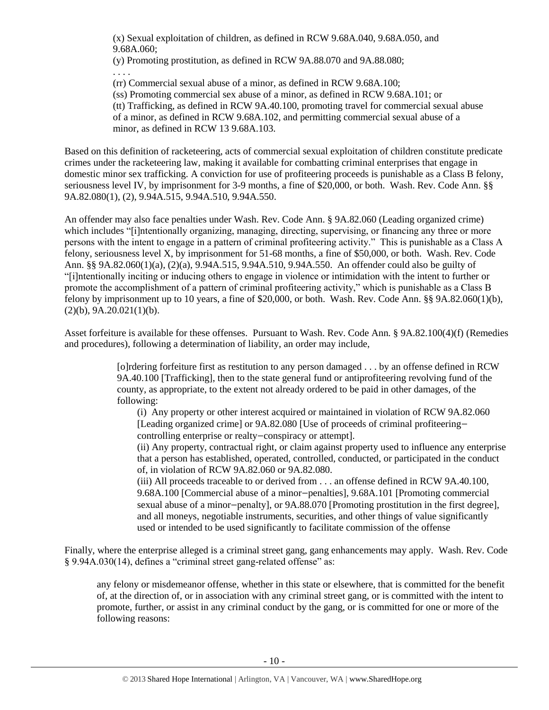(x) Sexual exploitation of children, as defined in RCW 9.68A.040, 9.68A.050, and 9.68A.060;

(y) Promoting prostitution, as defined in RCW 9A.88.070 and 9A.88.080; . . . .

(rr) Commercial sexual abuse of a minor, as defined in RCW 9.68A.100;

(ss) Promoting commercial sex abuse of a minor, as defined in RCW 9.68A.101; or (tt) Trafficking, as defined in RCW 9A.40.100, promoting travel for commercial sexual abuse of a minor, as defined in RCW 9.68A.102, and permitting commercial sexual abuse of a minor, as defined in RCW 13 9.68A.103.

Based on this definition of racketeering, acts of commercial sexual exploitation of children constitute predicate crimes under the racketeering law, making it available for combatting criminal enterprises that engage in domestic minor sex trafficking. A conviction for use of profiteering proceeds is punishable as a Class B felony, seriousness level IV, by imprisonment for 3-9 months, a fine of \$20,000, or both. Wash. Rev. Code Ann. §§ 9A.82.080(1), (2), 9.94A.515, 9.94A.510, 9.94A.550.

An offender may also face penalties under Wash. Rev. Code Ann. § 9A.82.060 (Leading organized crime) which includes "[i]ntentionally organizing, managing, directing, supervising, or financing any three or more persons with the intent to engage in a pattern of criminal profiteering activity." This is punishable as a Class A felony, seriousness level X, by imprisonment for 51-68 months, a fine of \$50,000, or both. Wash. Rev. Code Ann. §§ 9A.82.060(1)(a), (2)(a), 9.94A.515, 9.94A.510, 9.94A.550. An offender could also be guilty of "[i]ntentionally inciting or inducing others to engage in violence or intimidation with the intent to further or promote the accomplishment of a pattern of criminal profiteering activity," which is punishable as a Class B felony by imprisonment up to 10 years, a fine of \$20,000, or both. Wash. Rev. Code Ann. §§ 9A.82.060(1)(b),  $(2)(b)$ , 9A.20.021(1)(b).

Asset forfeiture is available for these offenses. Pursuant to Wash. Rev. Code Ann. § 9A.82.100(4)(f) (Remedies and procedures), following a determination of liability, an order may include,

> [o]rdering forfeiture first as restitution to any person damaged . . . by an offense defined in RCW 9A.40.100 [Trafficking], then to the state general fund or antiprofiteering revolving fund of the county, as appropriate, to the extent not already ordered to be paid in other damages, of the following:

(i) Any property or other interest acquired or maintained in violation of RCW 9A.82.060 [Leading organized crime] or 9A.82.080 [Use of proceeds of criminal profiteering controlling enterprise or realty—conspiracy or attempt].

(ii) Any property, contractual right, or claim against property used to influence any enterprise that a person has established, operated, controlled, conducted, or participated in the conduct of, in violation of RCW 9A.82.060 or 9A.82.080.

(iii) All proceeds traceable to or derived from . . . an offense defined in RCW 9A.40.100, 9.68A.100 [Commercial abuse of a minor—penalties], 9.68A.101 [Promoting commercial sexual abuse of a minor—penalty], or 9A.88.070 [Promoting prostitution in the first degree], and all moneys, negotiable instruments, securities, and other things of value significantly used or intended to be used significantly to facilitate commission of the offense

Finally, where the enterprise alleged is a criminal street gang, gang enhancements may apply. Wash. Rev. Code § 9.94A.030(14), defines a "criminal street gang-related offense" as:

any felony or misdemeanor offense, whether in this state or elsewhere, that is committed for the benefit of, at the direction of, or in association with any criminal street gang, or is committed with the intent to promote, further, or assist in any criminal conduct by the gang, or is committed for one or more of the following reasons: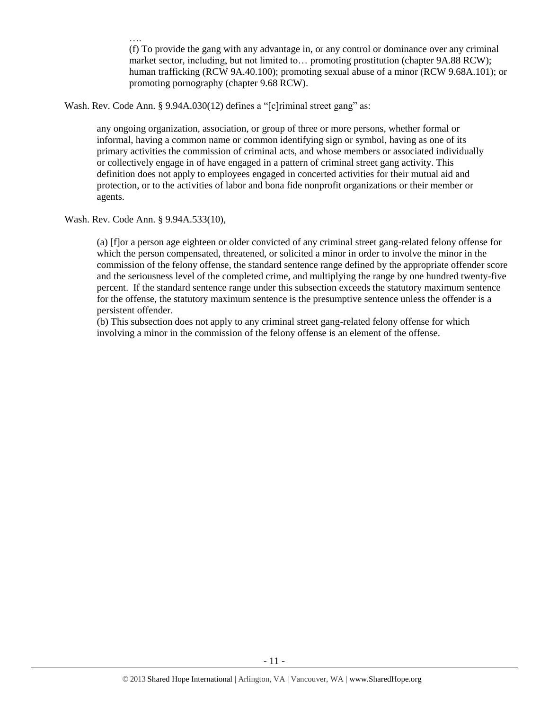…. (f) To provide the gang with any advantage in, or any control or dominance over any criminal market sector, including, but not limited to… promoting prostitution (chapter 9A.88 RCW); human trafficking (RCW 9A.40.100); promoting sexual abuse of a minor (RCW 9.68A.101); or promoting pornography (chapter 9.68 RCW).

Wash. Rev. Code Ann. § 9.94A.030(12) defines a "[c]riminal street gang" as:

any ongoing organization, association, or group of three or more persons, whether formal or informal, having a common name or common identifying sign or symbol, having as one of its primary activities the commission of criminal acts, and whose members or associated individually or collectively engage in of have engaged in a pattern of criminal street gang activity. This definition does not apply to employees engaged in concerted activities for their mutual aid and protection, or to the activities of labor and bona fide nonprofit organizations or their member or agents.

Wash. Rev. Code Ann. § 9.94A.533(10),

(a) [f]or a person age eighteen or older convicted of any criminal street gang-related felony offense for which the person compensated, threatened, or solicited a minor in order to involve the minor in the commission of the felony offense, the standard sentence range defined by the appropriate offender score and the seriousness level of the completed crime, and multiplying the range by one hundred twenty-five percent. If the standard sentence range under this subsection exceeds the statutory maximum sentence for the offense, the statutory maximum sentence is the presumptive sentence unless the offender is a persistent offender.

(b) This subsection does not apply to any criminal street gang-related felony offense for which involving a minor in the commission of the felony offense is an element of the offense.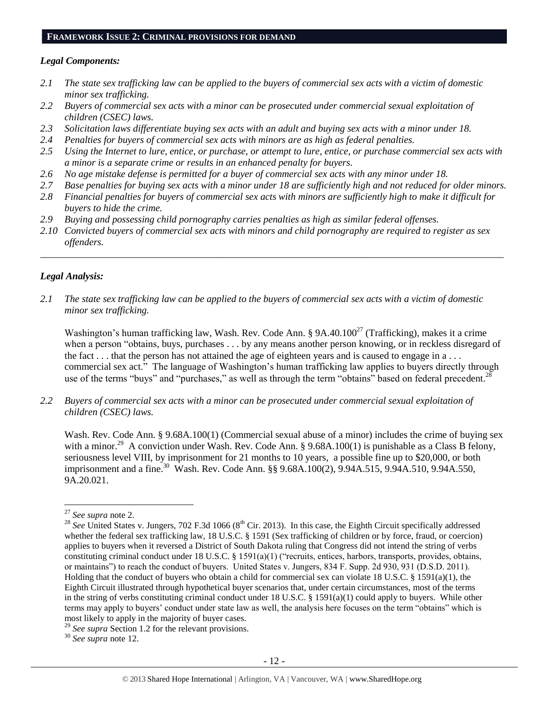## **FRAMEWORK ISSUE 2: CRIMINAL PROVISIONS FOR DEMAND**

## *Legal Components:*

- *2.1 The state sex trafficking law can be applied to the buyers of commercial sex acts with a victim of domestic minor sex trafficking.*
- *2.2 Buyers of commercial sex acts with a minor can be prosecuted under commercial sexual exploitation of children (CSEC) laws.*
- *2.3 Solicitation laws differentiate buying sex acts with an adult and buying sex acts with a minor under 18.*
- *2.4 Penalties for buyers of commercial sex acts with minors are as high as federal penalties.*
- *2.5 Using the Internet to lure, entice, or purchase, or attempt to lure, entice, or purchase commercial sex acts with a minor is a separate crime or results in an enhanced penalty for buyers.*
- *2.6 No age mistake defense is permitted for a buyer of commercial sex acts with any minor under 18.*
- *2.7 Base penalties for buying sex acts with a minor under 18 are sufficiently high and not reduced for older minors.*
- *2.8 Financial penalties for buyers of commercial sex acts with minors are sufficiently high to make it difficult for buyers to hide the crime.*
- *2.9 Buying and possessing child pornography carries penalties as high as similar federal offenses.*
- *2.10 Convicted buyers of commercial sex acts with minors and child pornography are required to register as sex offenders.*

\_\_\_\_\_\_\_\_\_\_\_\_\_\_\_\_\_\_\_\_\_\_\_\_\_\_\_\_\_\_\_\_\_\_\_\_\_\_\_\_\_\_\_\_\_\_\_\_\_\_\_\_\_\_\_\_\_\_\_\_\_\_\_\_\_\_\_\_\_\_\_\_\_\_\_\_\_\_\_\_\_\_\_\_\_\_\_\_\_\_\_\_\_\_

## *Legal Analysis:*

*2.1 The state sex trafficking law can be applied to the buyers of commercial sex acts with a victim of domestic minor sex trafficking.*

Washington's human trafficking law, Wash. Rev. Code Ann. §  $9A.40.100^{27}$  (Trafficking), makes it a crime when a person "obtains, buys, purchases . . . by any means another person knowing, or in reckless disregard of the fact . . . that the person has not attained the age of eighteen years and is caused to engage in a . . . commercial sex act." The language of Washington's human trafficking law applies to buyers directly through use of the terms "buys" and "purchases," as well as through the term "obtains" based on federal precedent.<sup>28</sup>

*2.2 Buyers of commercial sex acts with a minor can be prosecuted under commercial sexual exploitation of children (CSEC) laws.*

Wash. Rev. Code Ann. § 9.68A.100(1) (Commercial sexual abuse of a minor) includes the crime of buying sex with a minor.<sup>29</sup> A conviction under Wash. Rev. Code Ann. § 9.68A.100(1) is punishable as a Class B felony, seriousness level VIII, by imprisonment for 21 months to 10 years, a possible fine up to \$20,000, or both imprisonment and a fine.<sup>30</sup> Wash. Rev. Code Ann. §§ 9.68A.100(2), 9.94A.515, 9.94A.510, 9.94A.550, 9A.20.021.

<sup>27</sup> *See supra* note [2.](#page-0-0)

<sup>&</sup>lt;sup>28</sup> *See* United States v. Jungers, 702 F.3d 1066 ( $8<sup>th</sup>$  Cir. 2013). In this case, the Eighth Circuit specifically addressed whether the federal sex trafficking law, 18 U.S.C. § 1591 (Sex trafficking of children or by force, fraud, or coercion) applies to buyers when it reversed a District of South Dakota ruling that Congress did not intend the string of verbs constituting criminal conduct under 18 U.S.C. § 1591(a)(1) ("recruits, entices, harbors, transports, provides, obtains, or maintains") to reach the conduct of buyers. United States v. Jungers, 834 F. Supp. 2d 930, 931 (D.S.D. 2011). Holding that the conduct of buyers who obtain a child for commercial sex can violate 18 U.S.C. § 1591(a)(1), the Eighth Circuit illustrated through hypothetical buyer scenarios that, under certain circumstances, most of the terms in the string of verbs constituting criminal conduct under 18 U.S.C. § 1591(a)(1) could apply to buyers. While other terms may apply to buyers' conduct under state law as well, the analysis here focuses on the term "obtains" which is most likely to apply in the majority of buyer cases.

<sup>29</sup> *See supra* Section 1.2 for the relevant provisions.

<sup>30</sup> *See supra* note [12.](#page-3-0)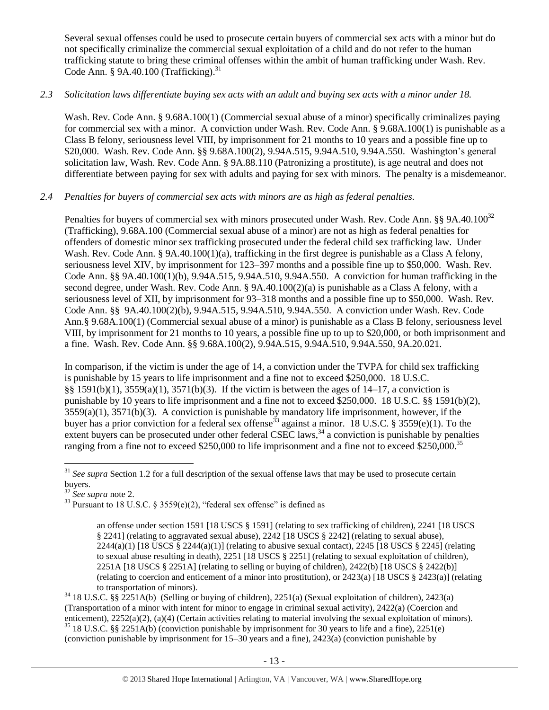Several sexual offenses could be used to prosecute certain buyers of commercial sex acts with a minor but do not specifically criminalize the commercial sexual exploitation of a child and do not refer to the human trafficking statute to bring these criminal offenses within the ambit of human trafficking under Wash. Rev. Code Ann. § 9A.40.100 (Trafficking). $31$ 

## *2.3 Solicitation laws differentiate buying sex acts with an adult and buying sex acts with a minor under 18.*

Wash. Rev. Code Ann. § 9.68A.100(1) (Commercial sexual abuse of a minor) specifically criminalizes paying for commercial sex with a minor. A conviction under Wash. Rev. Code Ann. § 9.68A.100(1) is punishable as a Class B felony, seriousness level VIII, by imprisonment for 21 months to 10 years and a possible fine up to \$20,000. Wash. Rev. Code Ann. §§ 9.68A.100(2), 9.94A.515, 9.94A.510, 9.94A.550. Washington's general solicitation law, Wash. Rev. Code Ann. § 9A.88.110 (Patronizing a prostitute), is age neutral and does not differentiate between paying for sex with adults and paying for sex with minors. The penalty is a misdemeanor.

## *2.4 Penalties for buyers of commercial sex acts with minors are as high as federal penalties.*

Penalties for buyers of commercial sex with minors prosecuted under Wash. Rev. Code Ann. §§ 9A.40.100<sup>32</sup> (Trafficking), 9.68A.100 (Commercial sexual abuse of a minor) are not as high as federal penalties for offenders of domestic minor sex trafficking prosecuted under the federal child sex trafficking law. Under Wash. Rev. Code Ann. § 9A.40.100(1)(a), trafficking in the first degree is punishable as a Class A felony, seriousness level XIV, by imprisonment for 123–397 months and a possible fine up to \$50,000. Wash. Rev. Code Ann. §§ 9A.40.100(1)(b), 9.94A.515, 9.94A.510, 9.94A.550. A conviction for human trafficking in the second degree, under Wash. Rev. Code Ann. § 9A.40.100(2)(a) is punishable as a Class A felony, with a seriousness level of XII, by imprisonment for 93–318 months and a possible fine up to \$50,000. Wash. Rev. Code Ann. §§ 9A.40.100(2)(b), 9.94A.515, 9.94A.510, 9.94A.550. A conviction under Wash. Rev. Code Ann.§ 9.68A.100(1) (Commercial sexual abuse of a minor) is punishable as a Class B felony, seriousness level VIII, by imprisonment for 21 months to 10 years, a possible fine up to up to \$20,000, or both imprisonment and a fine. Wash. Rev. Code Ann. §§ 9.68A.100(2), 9.94A.515, 9.94A.510, 9.94A.550, 9A.20.021.

In comparison, if the victim is under the age of 14, a conviction under the TVPA for child sex trafficking is punishable by 15 years to life imprisonment and a fine not to exceed \$250,000. 18 U.S.C. §§ 1591(b)(1),  $3559(a)(1)$ ,  $3571(b)(3)$ . If the victim is between the ages of 14–17, a conviction is punishable by 10 years to life imprisonment and a fine not to exceed \$250,000. 18 U.S.C. §§ 1591(b)(2), 3559(a)(1), 3571(b)(3). A conviction is punishable by mandatory life imprisonment, however, if the buyer has a prior conviction for a federal sex offense<sup>33</sup> against a minor. 18 U.S.C. § 3559(e)(1). To the extent buyers can be prosecuted under other federal CSEC laws, $34$  a conviction is punishable by penalties ranging from a fine not to exceed \$250,000 to life imprisonment and a fine not to exceed \$250,000.<sup>35</sup>

<sup>32</sup> *See supra* note [2.](#page-0-0)

<sup>&</sup>lt;sup>31</sup> *See supra* Section 1.2 for a full description of the sexual offense laws that may be used to prosecute certain buyers.

 $33$  Pursuant to 18 U.S.C. § 3559(e)(2), "federal sex offense" is defined as

<span id="page-12-0"></span>an offense under section 1591 [18 USCS § 1591] (relating to sex trafficking of children), 2241 [18 USCS § 2241] (relating to aggravated sexual abuse), 2242 [18 USCS § 2242] (relating to sexual abuse),  $2244(a)(1)$  [18 USCS §  $2244(a)(1)$ ] (relating to abusive sexual contact),  $2245$  [18 USCS § 2245] (relating to sexual abuse resulting in death), 2251 [18 USCS § 2251] (relating to sexual exploitation of children), 2251A [18 USCS § 2251A] (relating to selling or buying of children), 2422(b) [18 USCS § 2422(b)] (relating to coercion and enticement of a minor into prostitution), or 2423(a) [18 USCS § 2423(a)] (relating to transportation of minors).

<sup>34</sup> 18 U.S.C. §§ 2251A(b) (Selling or buying of children), 2251(a) (Sexual exploitation of children), 2423(a) (Transportation of a minor with intent for minor to engage in criminal sexual activity), 2422(a) (Coercion and enticement), 2252(a)(2), (a)(4) (Certain activities relating to material involving the sexual exploitation of minors). <sup>35</sup> 18 U.S.C. §§ 2251A(b) (conviction punishable by imprisonment for 30 years to life and a fine), 2251(e) (conviction punishable by imprisonment for 15–30 years and a fine), 2423(a) (conviction punishable by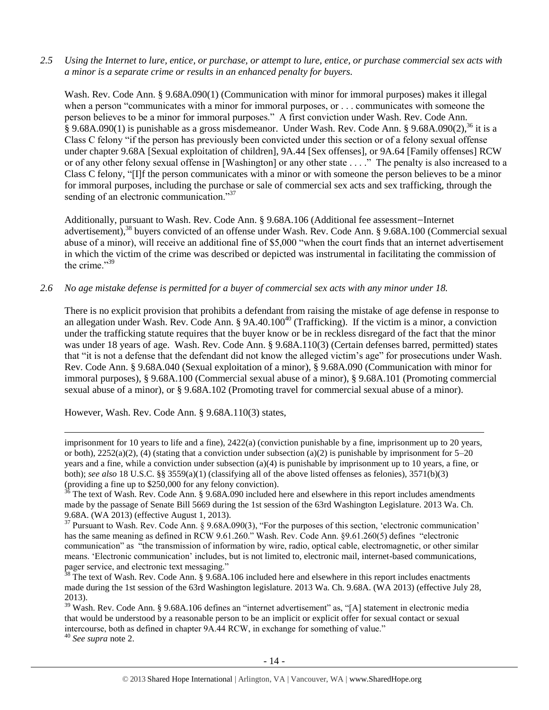*2.5 Using the Internet to lure, entice, or purchase, or attempt to lure, entice, or purchase commercial sex acts with a minor is a separate crime or results in an enhanced penalty for buyers.*

<span id="page-13-2"></span>Wash. Rev. Code Ann. § 9.68A.090(1) (Communication with minor for immoral purposes) makes it illegal when a person "communicates with a minor for immoral purposes, or . . . communicates with someone the person believes to be a minor for immoral purposes." A first conviction under Wash. Rev. Code Ann.  $\S$  9.68A.090(1) is punishable as a gross misdemeanor. Under Wash. Rev. Code Ann.  $\S$  9.68A.090(2),  $36$  it is a Class C felony "if the person has previously been convicted under this section or of a felony sexual offense under chapter 9.68A [Sexual exploitation of children], 9A.44 [Sex offenses], or 9A.64 [Family offenses] RCW or of any other felony sexual offense in [Washington] or any other state . . . ." The penalty is also increased to a Class C felony, "[I]f the person communicates with a minor or with someone the person believes to be a minor for immoral purposes, including the purchase or sale of commercial sex acts and sex trafficking, through the sending of an electronic communication."<sup>37</sup>

<span id="page-13-1"></span><span id="page-13-0"></span>Additionally, pursuant to Wash. Rev. Code Ann. § 9.68A.106 (Additional fee assessment—Internet advertisement),<sup>38</sup> buyers convicted of an offense under Wash. Rev. Code Ann. § 9.68A.100 (Commercial sexual abuse of a minor), will receive an additional fine of \$5,000 "when the court finds that an internet advertisement in which the victim of the crime was described or depicted was instrumental in facilitating the commission of the crime."39

*2.6 No age mistake defense is permitted for a buyer of commercial sex acts with any minor under 18.*

There is no explicit provision that prohibits a defendant from raising the mistake of age defense in response to an allegation under Wash. Rev. Code Ann. § 9A.40.100<sup>40</sup> (Trafficking). If the victim is a minor, a conviction under the trafficking statute requires that the buyer know or be in reckless disregard of the fact that the minor was under 18 years of age. Wash. Rev. Code Ann. § 9.68A.110(3) (Certain defenses barred, permitted) states that "it is not a defense that the defendant did not know the alleged victim's age" for prosecutions under Wash. Rev. Code Ann. § 9.68A.040 (Sexual exploitation of a minor), § 9.68A.090 (Communication with minor for immoral purposes), § 9.68A.100 (Commercial sexual abuse of a minor), § 9.68A.101 (Promoting commercial sexual abuse of a minor), or § 9.68A.102 (Promoting travel for commercial sexual abuse of a minor).

However, Wash. Rev. Code Ann. § 9.68A.110(3) states,

imprisonment for 10 years to life and a fine), 2422(a) (conviction punishable by a fine, imprisonment up to 20 years, or both),  $2252(a)(2)$ , (4) (stating that a conviction under subsection (a)(2) is punishable by imprisonment for  $5-20$ years and a fine, while a conviction under subsection (a)(4) is punishable by imprisonment up to 10 years, a fine, or both); *see also* 18 U.S.C. §§ 3559(a)(1) (classifying all of the above listed offenses as felonies), 3571(b)(3) (providing a fine up to \$250,000 for any felony conviction).

<sup>36</sup> The text of Wash. Rev. Code Ann. § 9.68A.090 included here and elsewhere in this report includes amendments made by the passage of Senate Bill 5669 during the 1st session of the 63rd Washington Legislature. 2013 Wa. Ch. 9.68A. (WA 2013) (effective August 1, 2013).

<sup>&</sup>lt;sup>37</sup> Pursuant to Wash. Rev. Code Ann. § 9.68A.090(3), "For the purposes of this section, 'electronic communication' has the same meaning as defined in RCW 9.61.260." Wash. Rev. Code Ann. §9.61.260(5) defines "electronic communication" as "the transmission of information by wire, radio, optical cable, electromagnetic, or other similar means. 'Electronic communication' includes, but is not limited to, electronic mail, internet-based communications, pager service, and electronic text messaging."

 $\frac{38}{38}$  The text of Wash. Rev. Code Ann. § 9.68A.106 included here and elsewhere in this report includes enactments made during the 1st session of the 63rd Washington legislature. 2013 Wa. Ch. 9.68A. (WA 2013) (effective July 28, 2013).

<sup>39</sup> Wash. Rev. Code Ann. § 9.68A.106 defines an "internet advertisement" as, "[A] statement in electronic media that would be understood by a reasonable person to be an implicit or explicit offer for sexual contact or sexual intercourse, both as defined in chapter 9A.44 RCW, in exchange for something of value."

<sup>40</sup> *See supra* note [2.](#page-0-0)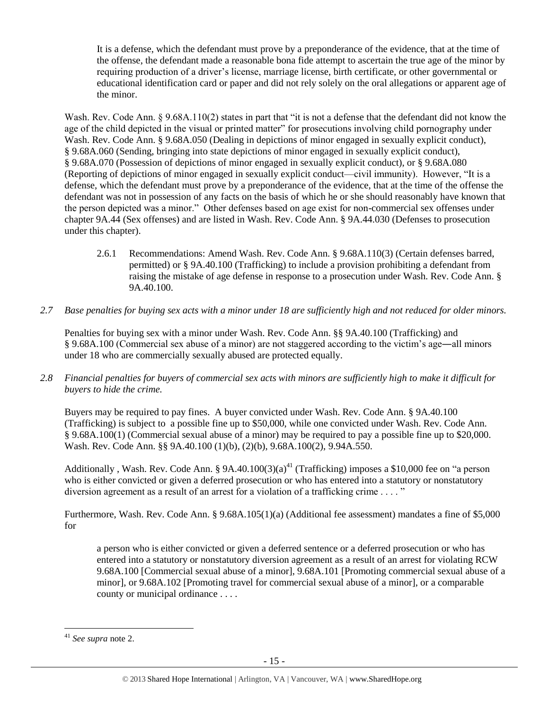It is a defense, which the defendant must prove by a preponderance of the evidence, that at the time of the offense, the defendant made a reasonable bona fide attempt to ascertain the true age of the minor by requiring production of a driver's license, marriage license, birth certificate, or other governmental or educational identification card or paper and did not rely solely on the oral allegations or apparent age of the minor.

Wash. Rev. Code Ann. § 9.68A.110(2) states in part that "it is not a defense that the defendant did not know the age of the child depicted in the visual or printed matter" for prosecutions involving child pornography under Wash. Rev. Code Ann. § 9.68A.050 (Dealing in depictions of minor engaged in sexually explicit conduct), § 9.68A.060 (Sending, bringing into state depictions of minor engaged in sexually explicit conduct), § 9.68A.070 (Possession of depictions of minor engaged in sexually explicit conduct), or § 9.68A.080 (Reporting of depictions of minor engaged in sexually explicit conduct—civil immunity). However, "It is a defense, which the defendant must prove by a preponderance of the evidence, that at the time of the offense the defendant was not in possession of any facts on the basis of which he or she should reasonably have known that the person depicted was a minor." Other defenses based on age exist for non-commercial sex offenses under chapter 9A.44 (Sex offenses) and are listed in Wash. Rev. Code Ann. § 9A.44.030 (Defenses to prosecution under this chapter).

- 2.6.1 Recommendations: Amend Wash. Rev. Code Ann. § 9.68A.110(3) (Certain defenses barred, permitted) or § 9A.40.100 (Trafficking) to include a provision prohibiting a defendant from raising the mistake of age defense in response to a prosecution under Wash. Rev. Code Ann. § 9A.40.100.
- *2.7 Base penalties for buying sex acts with a minor under 18 are sufficiently high and not reduced for older minors.*

Penalties for buying sex with a minor under Wash. Rev. Code Ann. §§ 9A.40.100 (Trafficking) and § 9.68A.100 (Commercial sex abuse of a minor) are not staggered according to the victim's age―all minors under 18 who are commercially sexually abused are protected equally.

*2.8 Financial penalties for buyers of commercial sex acts with minors are sufficiently high to make it difficult for buyers to hide the crime.* 

Buyers may be required to pay fines. A buyer convicted under Wash. Rev. Code Ann. § 9A.40.100 (Trafficking) is subject to a possible fine up to \$50,000, while one convicted under Wash. Rev. Code Ann. § 9.68A.100(1) (Commercial sexual abuse of a minor) may be required to pay a possible fine up to \$20,000. Wash. Rev. Code Ann. §§ 9A.40.100 (1)(b), (2)(b), 9.68A.100(2), 9.94A.550.

Additionally , Wash. Rev. Code Ann. § 9A.40.100(3)(a)<sup>41</sup> (Trafficking) imposes a \$10,000 fee on "a person who is either convicted or given a deferred prosecution or who has entered into a statutory or nonstatutory diversion agreement as a result of an arrest for a violation of a trafficking crime . . . . "

Furthermore, Wash. Rev. Code Ann. § 9.68A.105(1)(a) (Additional fee assessment) mandates a fine of \$5,000 for

a person who is either convicted or given a deferred sentence or a deferred prosecution or who has entered into a statutory or nonstatutory diversion agreement as a result of an arrest for violating RCW 9.68A.100 [Commercial sexual abuse of a minor], 9.68A.101 [Promoting commercial sexual abuse of a minor], or 9.68A.102 [Promoting travel for commercial sexual abuse of a minor], or a comparable county or municipal ordinance . . . .

<sup>41</sup> *See supra* note [2.](#page-0-0)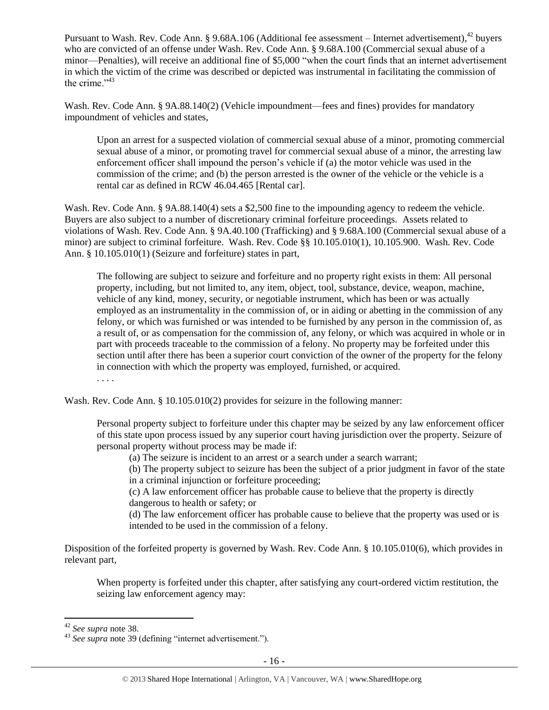Pursuant to Wash. Rev. Code Ann. § 9.68A.106 (Additional fee assessment – Internet advertisement),<sup>42</sup> buyers who are convicted of an offense under Wash. Rev. Code Ann. § 9.68A.100 (Commercial sexual abuse of a minor—Penalties), will receive an additional fine of \$5,000 "when the court finds that an internet advertisement in which the victim of the crime was described or depicted was instrumental in facilitating the commission of the crime $^{343}$ 

<span id="page-15-0"></span>Wash. Rev. Code Ann. § 9A.88.140(2) (Vehicle impoundment—fees and fines) provides for mandatory impoundment of vehicles and states,

Upon an arrest for a suspected violation of commercial sexual abuse of a minor, promoting commercial sexual abuse of a minor, or promoting travel for commercial sexual abuse of a minor, the arresting law enforcement officer shall impound the person's vehicle if (a) the motor vehicle was used in the commission of the crime; and (b) the person arrested is the owner of the vehicle or the vehicle is a rental car as defined in RCW 46.04.465 [Rental car].

Wash. Rev. Code Ann. § 9A.88.140(4) sets a \$2,500 fine to the impounding agency to redeem the vehicle. Buyers are also subject to a number of discretionary criminal forfeiture proceedings. Assets related to violations of Wash. Rev. Code Ann. § 9A.40.100 (Trafficking) and § 9.68A.100 (Commercial sexual abuse of a minor) are subject to criminal forfeiture. Wash. Rev. Code §§ 10.105.010(1), 10.105.900. Wash. Rev. Code Ann. § 10.105.010(1) (Seizure and forfeiture) states in part,

The following are subject to seizure and forfeiture and no property right exists in them: All personal property, including, but not limited to, any item, object, tool, substance, device, weapon, machine, vehicle of any kind, money, security, or negotiable instrument, which has been or was actually employed as an instrumentality in the commission of, or in aiding or abetting in the commission of any felony, or which was furnished or was intended to be furnished by any person in the commission of, as a result of, or as compensation for the commission of, any felony, or which was acquired in whole or in part with proceeds traceable to the commission of a felony. No property may be forfeited under this section until after there has been a superior court conviction of the owner of the property for the felony in connection with which the property was employed, furnished, or acquired.

. . . .

Wash. Rev. Code Ann. § 10.105.010(2) provides for seizure in the following manner:

Personal property subject to forfeiture under this chapter may be seized by any law enforcement officer of this state upon process issued by any superior court having jurisdiction over the property. Seizure of personal property without process may be made if:

(a) The seizure is incident to an arrest or a search under a search warrant;

(b) The property subject to seizure has been the subject of a prior judgment in favor of the state in a criminal injunction or forfeiture proceeding;

(c) A law enforcement officer has probable cause to believe that the property is directly dangerous to health or safety; or

(d) The law enforcement officer has probable cause to believe that the property was used or is intended to be used in the commission of a felony.

Disposition of the forfeited property is governed by Wash. Rev. Code Ann. § 10.105.010(6), which provides in relevant part,

When property is forfeited under this chapter, after satisfying any court-ordered victim restitution, the seizing law enforcement agency may:

<sup>42</sup> *See supra* note [38.](#page-13-0) 

<sup>43</sup> *See supra* note [39](#page-13-1) (defining "internet advertisement.").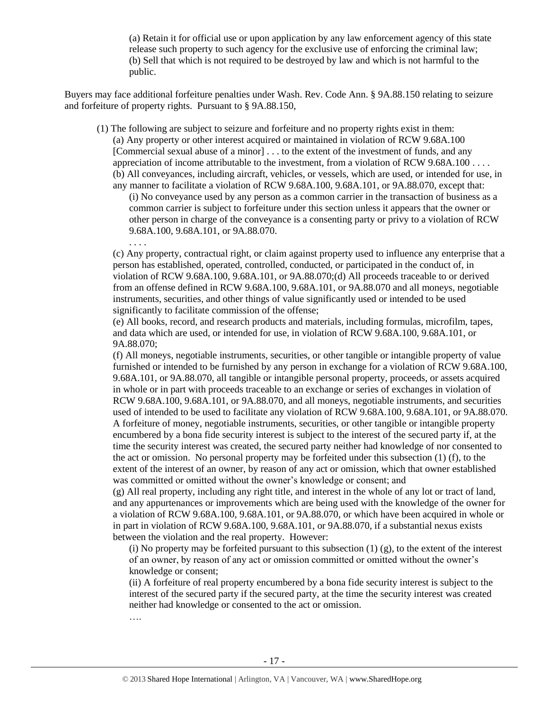(a) Retain it for official use or upon application by any law enforcement agency of this state release such property to such agency for the exclusive use of enforcing the criminal law; (b) Sell that which is not required to be destroyed by law and which is not harmful to the public.

Buyers may face additional forfeiture penalties under Wash. Rev. Code Ann. § 9A.88.150 relating to seizure and forfeiture of property rights. Pursuant to § 9A.88.150,

(1) The following are subject to seizure and forfeiture and no property rights exist in them:

. . . .

….

(a) Any property or other interest acquired or maintained in violation of RCW 9.68A.100 [Commercial sexual abuse of a minor] . . . to the extent of the investment of funds, and any appreciation of income attributable to the investment, from a violation of RCW 9.68A.100 . . . . (b) All conveyances, including aircraft, vehicles, or vessels, which are used, or intended for use, in

any manner to facilitate a violation of RCW 9.68A.100, 9.68A.101, or 9A.88.070, except that: (i) No conveyance used by any person as a common carrier in the transaction of business as a common carrier is subject to forfeiture under this section unless it appears that the owner or other person in charge of the conveyance is a consenting party or privy to a violation of RCW 9.68A.100, 9.68A.101, or 9A.88.070.

(c) Any property, contractual right, or claim against property used to influence any enterprise that a person has established, operated, controlled, conducted, or participated in the conduct of, in violation of RCW 9.68A.100, 9.68A.101, or 9A.88.070;(d) All proceeds traceable to or derived from an offense defined in RCW 9.68A.100, 9.68A.101, or 9A.88.070 and all moneys, negotiable instruments, securities, and other things of value significantly used or intended to be used significantly to facilitate commission of the offense;

(e) All books, record, and research products and materials, including formulas, microfilm, tapes, and data which are used, or intended for use, in violation of RCW 9.68A.100, 9.68A.101, or 9A.88.070;

(f) All moneys, negotiable instruments, securities, or other tangible or intangible property of value furnished or intended to be furnished by any person in exchange for a violation of RCW 9.68A.100, 9.68A.101, or 9A.88.070, all tangible or intangible personal property, proceeds, or assets acquired in whole or in part with proceeds traceable to an exchange or series of exchanges in violation of RCW 9.68A.100, 9.68A.101, or 9A.88.070, and all moneys, negotiable instruments, and securities used of intended to be used to facilitate any violation of RCW 9.68A.100, 9.68A.101, or 9A.88.070. A forfeiture of money, negotiable instruments, securities, or other tangible or intangible property encumbered by a bona fide security interest is subject to the interest of the secured party if, at the time the security interest was created, the secured party neither had knowledge of nor consented to the act or omission. No personal property may be forfeited under this subsection (1) (f), to the extent of the interest of an owner, by reason of any act or omission, which that owner established was committed or omitted without the owner's knowledge or consent; and

(g) All real property, including any right title, and interest in the whole of any lot or tract of land, and any appurtenances or improvements which are being used with the knowledge of the owner for a violation of RCW 9.68A.100, 9.68A.101, or 9A.88.070, or which have been acquired in whole or in part in violation of RCW 9.68A.100, 9.68A.101, or 9A.88.070, if a substantial nexus exists between the violation and the real property. However:

(i) No property may be forfeited pursuant to this subsection  $(1)$  (g), to the extent of the interest of an owner, by reason of any act or omission committed or omitted without the owner's knowledge or consent;

(ii) A forfeiture of real property encumbered by a bona fide security interest is subject to the interest of the secured party if the secured party, at the time the security interest was created neither had knowledge or consented to the act or omission.

- 17 -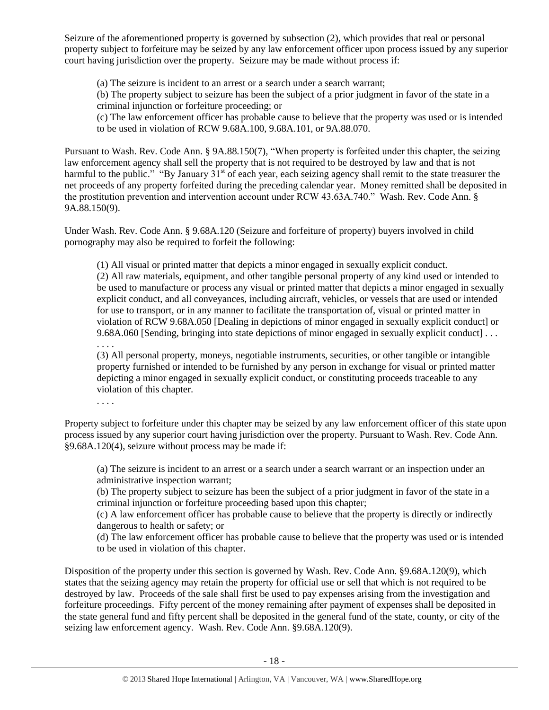Seizure of the aforementioned property is governed by subsection (2), which provides that real or personal property subject to forfeiture may be seized by any law enforcement officer upon process issued by any superior court having jurisdiction over the property. Seizure may be made without process if:

(a) The seizure is incident to an arrest or a search under a search warrant;

(b) The property subject to seizure has been the subject of a prior judgment in favor of the state in a criminal injunction or forfeiture proceeding; or

(c) The law enforcement officer has probable cause to believe that the property was used or is intended to be used in violation of RCW 9.68A.100, 9.68A.101, or 9A.88.070.

Pursuant to Wash. Rev. Code Ann. § 9A.88.150(7), "When property is forfeited under this chapter, the seizing law enforcement agency shall sell the property that is not required to be destroyed by law and that is not harmful to the public." "By January 31<sup>st</sup> of each year, each seizing agency shall remit to the state treasurer the net proceeds of any property forfeited during the preceding calendar year. Money remitted shall be deposited in the prostitution prevention and intervention account under RCW 43.63A.740." Wash. Rev. Code Ann. § 9A.88.150(9).

Under Wash. Rev. Code Ann. § 9.68A.120 (Seizure and forfeiture of property) buyers involved in child pornography may also be required to forfeit the following:

(1) All visual or printed matter that depicts a minor engaged in sexually explicit conduct.

(2) All raw materials, equipment, and other tangible personal property of any kind used or intended to be used to manufacture or process any visual or printed matter that depicts a minor engaged in sexually explicit conduct, and all conveyances, including aircraft, vehicles, or vessels that are used or intended for use to transport, or in any manner to facilitate the transportation of, visual or printed matter in violation of RCW 9.68A.050 [Dealing in depictions of minor engaged in sexually explicit conduct] or 9.68A.060 [Sending, bringing into state depictions of minor engaged in sexually explicit conduct] . . .

(3) All personal property, moneys, negotiable instruments, securities, or other tangible or intangible property furnished or intended to be furnished by any person in exchange for visual or printed matter depicting a minor engaged in sexually explicit conduct, or constituting proceeds traceable to any violation of this chapter.

. . . .

. . . .

Property subject to forfeiture under this chapter may be seized by any law enforcement officer of this state upon process issued by any superior court having jurisdiction over the property. Pursuant to Wash. Rev. Code Ann. §9.68A.120(4), seizure without process may be made if:

(a) The seizure is incident to an arrest or a search under a search warrant or an inspection under an administrative inspection warrant;

(b) The property subject to seizure has been the subject of a prior judgment in favor of the state in a criminal injunction or forfeiture proceeding based upon this chapter;

(c) A law enforcement officer has probable cause to believe that the property is directly or indirectly dangerous to health or safety; or

(d) The law enforcement officer has probable cause to believe that the property was used or is intended to be used in violation of this chapter.

Disposition of the property under this section is governed by Wash. Rev. Code Ann. §9.68A.120(9), which states that the seizing agency may retain the property for official use or sell that which is not required to be destroyed by law. Proceeds of the sale shall first be used to pay expenses arising from the investigation and forfeiture proceedings. Fifty percent of the money remaining after payment of expenses shall be deposited in the state general fund and fifty percent shall be deposited in the general fund of the state, county, or city of the seizing law enforcement agency. Wash. Rev. Code Ann. §9.68A.120(9).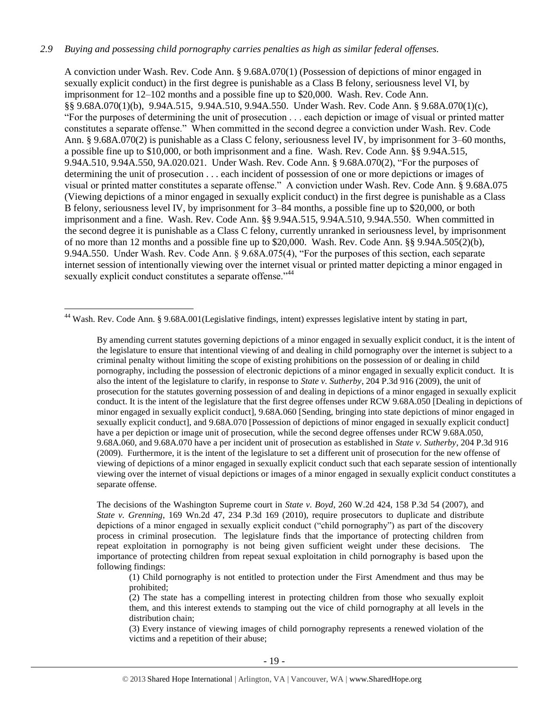## *2.9 Buying and possessing child pornography carries penalties as high as similar federal offenses.*

A conviction under Wash. Rev. Code Ann. § 9.68A.070(1) (Possession of depictions of minor engaged in sexually explicit conduct) in the first degree is punishable as a Class B felony, seriousness level VI, by imprisonment for 12–102 months and a possible fine up to \$20,000. Wash. Rev. Code Ann. §§ 9.68A.070(1)(b), 9.94A.515, 9.94A.510, 9.94A.550. Under Wash. Rev. Code Ann. § 9.68A.070(1)(c), "For the purposes of determining the unit of prosecution . . . each depiction or image of visual or printed matter constitutes a separate offense." When committed in the second degree a conviction under Wash. Rev. Code Ann. § 9.68A.070(2) is punishable as a Class C felony, seriousness level IV, by imprisonment for 3–60 months, a possible fine up to \$10,000, or both imprisonment and a fine. Wash. Rev. Code Ann. §§ 9.94A.515, 9.94A.510, 9.94A.550, 9A.020.021. Under Wash. Rev. Code Ann. § 9.68A.070(2), "For the purposes of determining the unit of prosecution . . . each incident of possession of one or more depictions or images of visual or printed matter constitutes a separate offense." A conviction under Wash. Rev. Code Ann. § 9.68A.075 (Viewing depictions of a minor engaged in sexually explicit conduct) in the first degree is punishable as a Class B felony, seriousness level IV, by imprisonment for 3–84 months, a possible fine up to \$20,000, or both imprisonment and a fine. Wash. Rev. Code Ann. §§ 9.94A.515, 9.94A.510, 9.94A.550. When committed in the second degree it is punishable as a Class C felony, currently unranked in seriousness level, by imprisonment of no more than 12 months and a possible fine up to \$20,000. Wash. Rev. Code Ann. §§ 9.94A.505(2)(b), 9.94A.550. Under Wash. Rev. Code Ann. § 9.68A.075(4), "For the purposes of this section, each separate internet session of intentionally viewing over the internet visual or printed matter depicting a minor engaged in sexually explicit conduct constitutes a separate offense."<sup>44</sup>

<sup>44</sup> Wash. Rev. Code Ann. § 9.68A.001(Legislative findings, intent) expresses legislative intent by stating in part,

 $\overline{a}$ 

By amending current statutes governing depictions of a minor engaged in sexually explicit conduct, it is the intent of the legislature to ensure that intentional viewing of and dealing in child pornography over the internet is subject to a criminal penalty without limiting the scope of existing prohibitions on the possession of or dealing in child pornography, including the possession of electronic depictions of a minor engaged in sexually explicit conduct. It is also the intent of the legislature to clarify, in response to *State v. Sutherby*, 204 P.3d 916 (2009), the unit of prosecution for the statutes governing possession of and dealing in depictions of a minor engaged in sexually explicit conduct. It is the intent of the legislature that the first degree offenses under RCW 9.68A.050 [Dealing in depictions of minor engaged in sexually explicit conduct], 9.68A.060 [Sending, bringing into state depictions of minor engaged in sexually explicit conduct], and 9.68A.070 [Possession of depictions of minor engaged in sexually explicit conduct] have a per depiction or image unit of prosecution, while the second degree offenses under RCW 9.68A.050, 9.68A.060, and 9.68A.070 have a per incident unit of prosecution as established in *State v. Sutherby*, 204 P.3d 916 (2009). Furthermore, it is the intent of the legislature to set a different unit of prosecution for the new offense of viewing of depictions of a minor engaged in sexually explicit conduct such that each separate session of intentionally viewing over the internet of visual depictions or images of a minor engaged in sexually explicit conduct constitutes a separate offense.

The decisions of the Washington Supreme court in *State v. Boyd*, 260 W.2d 424, 158 P.3d 54 (2007), and *State v. Grenning*, 169 Wn.2d 47, 234 P.3d 169 (2010), require prosecutors to duplicate and distribute depictions of a minor engaged in sexually explicit conduct ("child pornography") as part of the discovery process in criminal prosecution. The legislature finds that the importance of protecting children from repeat exploitation in pornography is not being given sufficient weight under these decisions. The importance of protecting children from repeat sexual exploitation in child pornography is based upon the following findings:

(1) Child pornography is not entitled to protection under the First Amendment and thus may be prohibited;

(2) The state has a compelling interest in protecting children from those who sexually exploit them, and this interest extends to stamping out the vice of child pornography at all levels in the distribution chain;

(3) Every instance of viewing images of child pornography represents a renewed violation of the victims and a repetition of their abuse;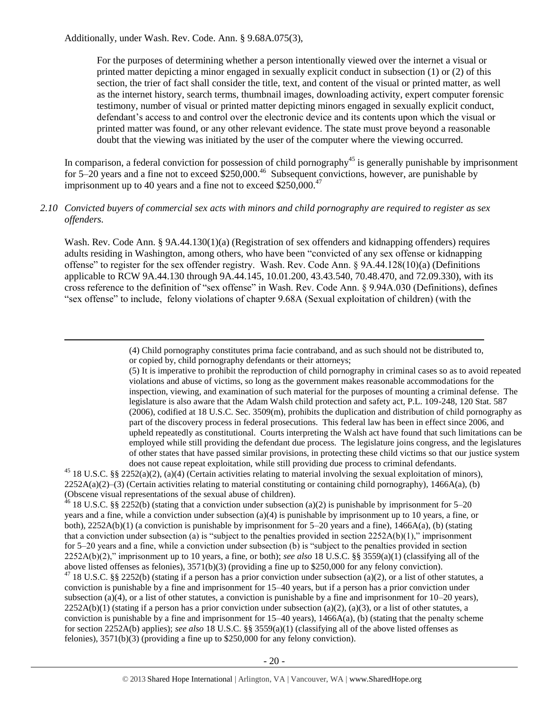$\overline{a}$ 

For the purposes of determining whether a person intentionally viewed over the internet a visual or printed matter depicting a minor engaged in sexually explicit conduct in subsection (1) or (2) of this section, the trier of fact shall consider the title, text, and content of the visual or printed matter, as well as the internet history, search terms, thumbnail images, downloading activity, expert computer forensic testimony, number of visual or printed matter depicting minors engaged in sexually explicit conduct, defendant's access to and control over the electronic device and its contents upon which the visual or printed matter was found, or any other relevant evidence. The state must prove beyond a reasonable doubt that the viewing was initiated by the user of the computer where the viewing occurred.

In comparison, a federal conviction for possession of child pornography<sup>45</sup> is generally punishable by imprisonment for  $5-20$  years and a fine not to exceed  $$250,000.<sup>46</sup>$  Subsequent convictions, however, are punishable by imprisonment up to 40 years and a fine not to exceed  $$250,000.<sup>47</sup>$ 

## *2.10 Convicted buyers of commercial sex acts with minors and child pornography are required to register as sex offenders.*

Wash. Rev. Code Ann. § 9A.44.130(1)(a) (Registration of sex offenders and kidnapping offenders) requires adults residing in Washington, among others, who have been "convicted of any sex offense or kidnapping offense" to register for the sex offender registry. Wash. Rev. Code Ann. § 9A.44.128(10)(a) (Definitions applicable to RCW 9A.44.130 through 9A.44.145, 10.01.200, 43.43.540, 70.48.470, and 72.09.330), with its cross reference to the definition of "sex offense" in Wash. Rev. Code Ann. § 9.94A.030 (Definitions), defines "sex offense" to include, felony violations of chapter 9.68A (Sexual exploitation of children) (with the

> (4) Child pornography constitutes prima facie contraband, and as such should not be distributed to, or copied by, child pornography defendants or their attorneys;

(5) It is imperative to prohibit the reproduction of child pornography in criminal cases so as to avoid repeated violations and abuse of victims, so long as the government makes reasonable accommodations for the inspection, viewing, and examination of such material for the purposes of mounting a criminal defense. The legislature is also aware that the Adam Walsh child protection and safety act, P.L. 109-248, 120 Stat. 587 (2006), codified at 18 U.S.C. Sec. 3509(m), prohibits the duplication and distribution of child pornography as part of the discovery process in federal prosecutions. This federal law has been in effect since 2006, and upheld repeatedly as constitutional. Courts interpreting the Walsh act have found that such limitations can be employed while still providing the defendant due process. The legislature joins congress, and the legislatures of other states that have passed similar provisions, in protecting these child victims so that our justice system does not cause repeat exploitation, while still providing due process to criminal defendants.

<sup>45</sup> 18 U.S.C. §§ 2252(a)(2), (a)(4) (Certain activities relating to material involving the sexual exploitation of minors), 2252A(a)(2)–(3) (Certain activities relating to material constituting or containing child pornography), 1466A(a), (b) (Obscene visual representations of the sexual abuse of children).

<sup>46</sup> 18 U.S.C. §§ 2252(b) (stating that a conviction under subsection (a)(2) is punishable by imprisonment for 5–20 years and a fine, while a conviction under subsection (a)(4) is punishable by imprisonment up to 10 years, a fine, or both), 2252A(b)(1) (a conviction is punishable by imprisonment for 5–20 years and a fine), 1466A(a), (b) (stating that a conviction under subsection (a) is "subject to the penalties provided in section  $2252A(b)(1)$ ," imprisonment for 5–20 years and a fine, while a conviction under subsection (b) is "subject to the penalties provided in section 2252A(b)(2)," imprisonment up to 10 years, a fine, or both); *see also* 18 U.S.C. §§ 3559(a)(1) (classifying all of the above listed offenses as felonies), 3571(b)(3) (providing a fine up to \$250,000 for any felony conviction).

<sup>47</sup> 18 U.S.C. §§ 2252(b) (stating if a person has a prior conviction under subsection (a)(2), or a list of other statutes, a conviction is punishable by a fine and imprisonment for 15–40 years, but if a person has a prior conviction under subsection (a)(4), or a list of other statutes, a conviction is punishable by a fine and imprisonment for  $10-20$  years),  $2252A(b)(1)$  (stating if a person has a prior conviction under subsection (a)(2), (a)(3), or a list of other statutes, a conviction is punishable by a fine and imprisonment for  $15-40$  years),  $1466A(a)$ , (b) (stating that the penalty scheme for section 2252A(b) applies); *see also* 18 U.S.C. §§ 3559(a)(1) (classifying all of the above listed offenses as felonies), 3571(b)(3) (providing a fine up to \$250,000 for any felony conviction).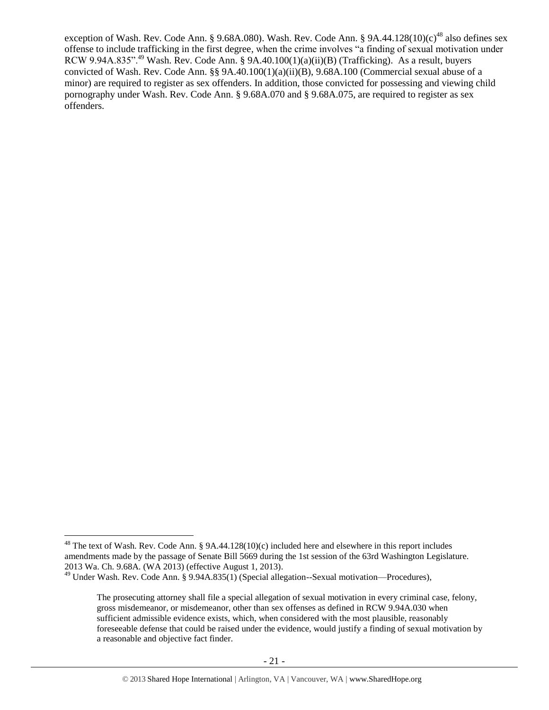<span id="page-20-0"></span>exception of Wash. Rev. Code Ann. § 9.68A.080). Wash. Rev. Code Ann. § 9A.44.128(10)(c)<sup>48</sup> also defines sex offense to include trafficking in the first degree, when the crime involves "a finding of sexual motivation under RCW 9.94A.835".<sup>49</sup> Wash. Rev. Code Ann. § 9A.40.100(1)(a)(ii)(B) (Trafficking). As a result, buyers convicted of Wash. Rev. Code Ann. §§ 9A.40.100(1)(a)(ii)(B), 9.68A.100 (Commercial sexual abuse of a minor) are required to register as sex offenders. In addition, those convicted for possessing and viewing child pornography under Wash. Rev. Code Ann. § 9.68A.070 and § 9.68A.075, are required to register as sex offenders.

 $48$  The text of Wash. Rev. Code Ann. § 9A.44.128(10)(c) included here and elsewhere in this report includes amendments made by the passage of Senate Bill 5669 during the 1st session of the 63rd Washington Legislature. 2013 Wa. Ch. 9.68A. (WA 2013) (effective August 1, 2013).

<sup>&</sup>lt;sup>49</sup> Under Wash. Rev. Code Ann. § 9.94A.835(1) (Special allegation--Sexual motivation—Procedures),

The prosecuting attorney shall file a special allegation of sexual motivation in every criminal case, felony, gross misdemeanor, or misdemeanor, other than sex offenses as defined in RCW 9.94A.030 when sufficient admissible evidence exists, which, when considered with the most plausible, reasonably foreseeable defense that could be raised under the evidence, would justify a finding of sexual motivation by a reasonable and objective fact finder.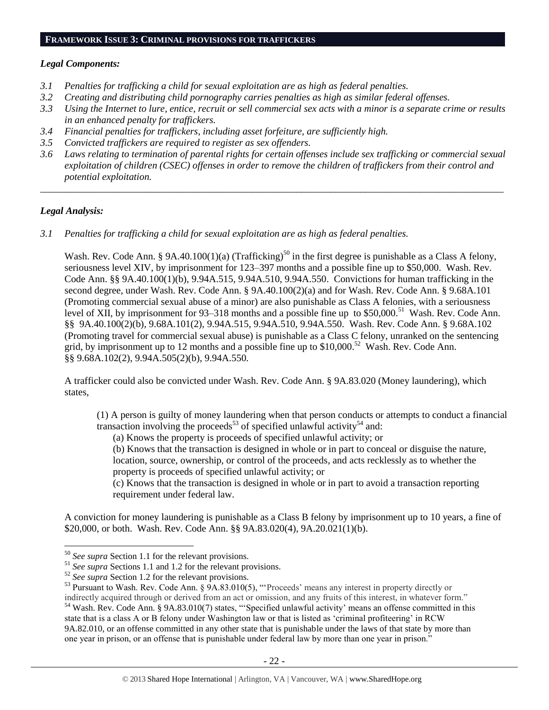#### **FRAMEWORK ISSUE 3: CRIMINAL PROVISIONS FOR TRAFFICKERS**

#### *Legal Components:*

- *3.1 Penalties for trafficking a child for sexual exploitation are as high as federal penalties.*
- *3.2 Creating and distributing child pornography carries penalties as high as similar federal offenses.*
- *3.3 Using the Internet to lure, entice, recruit or sell commercial sex acts with a minor is a separate crime or results in an enhanced penalty for traffickers.*
- *3.4 Financial penalties for traffickers, including asset forfeiture, are sufficiently high.*
- *3.5 Convicted traffickers are required to register as sex offenders.*
- *3.6 Laws relating to termination of parental rights for certain offenses include sex trafficking or commercial sexual exploitation of children (CSEC) offenses in order to remove the children of traffickers from their control and potential exploitation.*

*\_\_\_\_\_\_\_\_\_\_\_\_\_\_\_\_\_\_\_\_\_\_\_\_\_\_\_\_\_\_\_\_\_\_\_\_\_\_\_\_\_\_\_\_\_\_\_\_\_\_\_\_\_\_\_\_\_\_\_\_\_\_\_\_\_\_\_\_\_\_\_\_\_\_\_\_\_\_\_\_\_\_\_\_\_\_\_\_\_\_\_\_\_\_*

#### *Legal Analysis:*

 $\overline{a}$ 

*3.1 Penalties for trafficking a child for sexual exploitation are as high as federal penalties.* 

Wash. Rev. Code Ann. § 9A.40.100(1)(a) (Trafficking)<sup>50</sup> in the first degree is punishable as a Class A felony, seriousness level XIV, by imprisonment for 123–397 months and a possible fine up to \$50,000. Wash. Rev. Code Ann. §§ 9A.40.100(1)(b), 9.94A.515, 9.94A.510, 9.94A.550. Convictions for human trafficking in the second degree, under Wash. Rev. Code Ann. § 9A.40.100(2)(a) and for Wash. Rev. Code Ann. § 9.68A.101 (Promoting commercial sexual abuse of a minor) are also punishable as Class A felonies, with a seriousness level of XII, by imprisonment for 93–318 months and a possible fine up to \$50,000.<sup>51</sup> Wash. Rev. Code Ann. §§ 9A.40.100(2)(b), 9.68A.101(2), 9.94A.515, 9.94A.510, 9.94A.550. Wash. Rev. Code Ann. § 9.68A.102 (Promoting travel for commercial sexual abuse) is punishable as a Class C felony, unranked on the sentencing grid, by imprisonment up to 12 months and a possible fine up to  $$10,000$ .<sup>52</sup> Wash. Rev. Code Ann. §§ 9.68A.102(2), 9.94A.505(2)(b), 9.94A.550.

A trafficker could also be convicted under Wash. Rev. Code Ann. § 9A.83.020 (Money laundering), which states,

(1) A person is guilty of money laundering when that person conducts or attempts to conduct a financial transaction involving the proceeds<sup>53</sup> of specified unlawful activity<sup>54</sup> and:

<span id="page-21-1"></span><span id="page-21-0"></span>(a) Knows the property is proceeds of specified unlawful activity; or

(b) Knows that the transaction is designed in whole or in part to conceal or disguise the nature,

location, source, ownership, or control of the proceeds, and acts recklessly as to whether the property is proceeds of specified unlawful activity; or

(c) Knows that the transaction is designed in whole or in part to avoid a transaction reporting requirement under federal law.

A conviction for money laundering is punishable as a Class B felony by imprisonment up to 10 years, a fine of \$20,000, or both. Wash. Rev. Code Ann. §§ 9A.83.020(4), 9A.20.021(1)(b).

<sup>50</sup> *See supra* Section 1.1 for the relevant provisions.

<sup>&</sup>lt;sup>51</sup> See supra Sections 1.1 and 1.2 for the relevant provisions.

<sup>&</sup>lt;sup>52</sup> *See supra* Section 1.2 for the relevant provisions.

<sup>53</sup> Pursuant to Wash. Rev. Code Ann. § 9A.83.010(5), "'Proceeds' means any interest in property directly or indirectly acquired through or derived from an act or omission, and any fruits of this interest, in whatever form." <sup>54</sup> Wash. Rev. Code Ann. § 9A.83.010(7) states, "'Specified unlawful activity' means an offense committed in this state that is a class A or B felony under Washington law or that is listed as 'criminal profiteering' in RCW 9A.82.010, or an offense committed in any other state that is punishable under the laws of that state by more than one year in prison, or an offense that is punishable under federal law by more than one year in prison."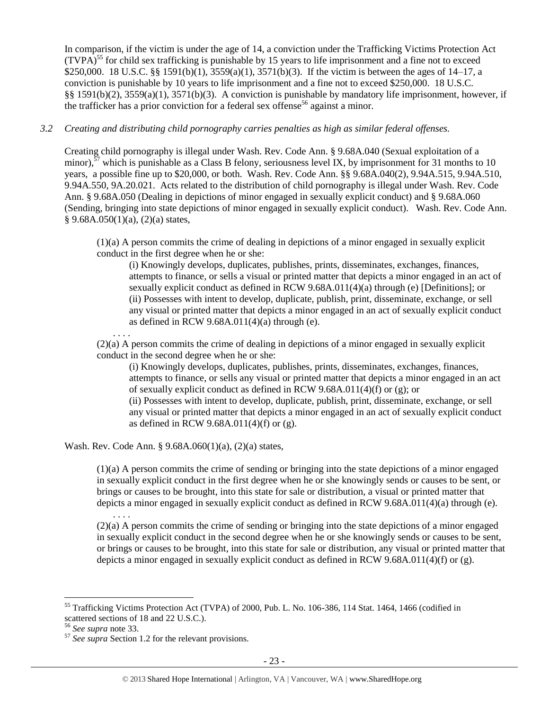In comparison, if the victim is under the age of 14, a conviction under the Trafficking Victims Protection Act  $(TVPA)<sup>55</sup>$  for child sex trafficking is punishable by 15 years to life imprisonment and a fine not to exceed \$250,000. 18 U.S.C. §§ 1591(b)(1), 3559(a)(1), 3571(b)(3). If the victim is between the ages of 14–17, a conviction is punishable by 10 years to life imprisonment and a fine not to exceed \$250,000. 18 U.S.C. §§ 1591(b)(2), 3559(a)(1), 3571(b)(3). A conviction is punishable by mandatory life imprisonment, however, if the trafficker has a prior conviction for a federal sex offense<sup>56</sup> against a minor.

## *3.2 Creating and distributing child pornography carries penalties as high as similar federal offenses.*

Creating child pornography is illegal under Wash. Rev. Code Ann. § 9.68A.040 (Sexual exploitation of a minor),<sup>57</sup> which is punishable as a Class B felony, seriousness level IX, by imprisonment for 31 months to 10 years, a possible fine up to \$20,000, or both. Wash. Rev. Code Ann. §§ 9.68A.040(2), 9.94A.515, 9.94A.510, 9.94A.550, 9A.20.021. Acts related to the distribution of child pornography is illegal under Wash. Rev. Code Ann. § 9.68A.050 (Dealing in depictions of minor engaged in sexually explicit conduct) and § 9.68A.060 (Sending, bringing into state depictions of minor engaged in sexually explicit conduct). Wash. Rev. Code Ann.  $§ 9.68A.050(1)(a), (2)(a) states,$ 

(1)(a) A person commits the crime of dealing in depictions of a minor engaged in sexually explicit conduct in the first degree when he or she:

(i) Knowingly develops, duplicates, publishes, prints, disseminates, exchanges, finances, attempts to finance, or sells a visual or printed matter that depicts a minor engaged in an act of sexually explicit conduct as defined in RCW 9.68A.011(4)(a) through (e) [Definitions]; or (ii) Possesses with intent to develop, duplicate, publish, print, disseminate, exchange, or sell any visual or printed matter that depicts a minor engaged in an act of sexually explicit conduct as defined in RCW  $9.68A.011(4)(a)$  through (e).

. . . .

. . . .

(2)(a) A person commits the crime of dealing in depictions of a minor engaged in sexually explicit conduct in the second degree when he or she:

(i) Knowingly develops, duplicates, publishes, prints, disseminates, exchanges, finances, attempts to finance, or sells any visual or printed matter that depicts a minor engaged in an act of sexually explicit conduct as defined in RCW 9.68A.011(4)(f) or (g); or (ii) Possesses with intent to develop, duplicate, publish, print, disseminate, exchange, or sell any visual or printed matter that depicts a minor engaged in an act of sexually explicit conduct as defined in RCW 9.68A.011(4)(f) or (g).

Wash. Rev. Code Ann. § 9.68A.060(1)(a), (2)(a) states,

(1)(a) A person commits the crime of sending or bringing into the state depictions of a minor engaged in sexually explicit conduct in the first degree when he or she knowingly sends or causes to be sent, or brings or causes to be brought, into this state for sale or distribution, a visual or printed matter that depicts a minor engaged in sexually explicit conduct as defined in RCW 9.68A.011(4)(a) through (e).

(2)(a) A person commits the crime of sending or bringing into the state depictions of a minor engaged in sexually explicit conduct in the second degree when he or she knowingly sends or causes to be sent, or brings or causes to be brought, into this state for sale or distribution, any visual or printed matter that depicts a minor engaged in sexually explicit conduct as defined in RCW 9.68A.011(4)(f) or (g).

<sup>&</sup>lt;sup>55</sup> Trafficking Victims Protection Act (TVPA) of 2000, Pub. L. No. 106-386, 114 Stat. 1464, 1466 (codified in scattered sections of 18 and 22 U.S.C.).

<sup>56</sup> *See supra* note [33.](#page-12-0)

<sup>57</sup> *See supra* Section 1.2 for the relevant provisions.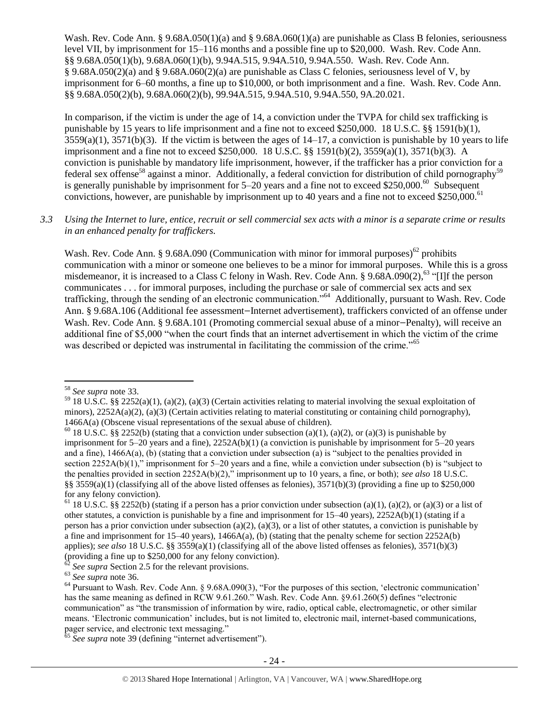Wash. Rev. Code Ann. § 9.68A.050(1)(a) and § 9.68A.060(1)(a) are punishable as Class B felonies, seriousness level VII, by imprisonment for 15–116 months and a possible fine up to \$20,000. Wash. Rev. Code Ann. §§ 9.68A.050(1)(b), 9.68A.060(1)(b), 9.94A.515, 9.94A.510, 9.94A.550. Wash. Rev. Code Ann. § 9.68A.050(2)(a) and § 9.68A.060(2)(a) are punishable as Class C felonies, seriousness level of V, by imprisonment for 6–60 months, a fine up to \$10,000, or both imprisonment and a fine. Wash. Rev. Code Ann. §§ 9.68A.050(2)(b), 9.68A.060(2)(b), 99.94A.515, 9.94A.510, 9.94A.550, 9A.20.021.

In comparison, if the victim is under the age of 14, a conviction under the TVPA for child sex trafficking is punishable by 15 years to life imprisonment and a fine not to exceed \$250,000. 18 U.S.C. §§ 1591(b)(1),  $3559(a)(1)$ ,  $3571(b)(3)$ . If the victim is between the ages of  $14-17$ , a conviction is punishable by 10 years to life imprisonment and a fine not to exceed \$250,000. 18 U.S.C. §§ 1591(b)(2), 3559(a)(1), 3571(b)(3). A conviction is punishable by mandatory life imprisonment, however, if the trafficker has a prior conviction for a federal sex offense<sup>58</sup> against a minor. Additionally, a federal conviction for distribution of child pornography<sup>59</sup> is generally punishable by imprisonment for  $5-20$  years and a fine not to exceed \$250,000.<sup>60</sup> Subsequent convictions, however, are punishable by imprisonment up to 40 years and a fine not to exceed \$250,000.<sup>61</sup>

## *3.3 Using the Internet to lure, entice, recruit or sell commercial sex acts with a minor is a separate crime or results in an enhanced penalty for traffickers.*

Wash. Rev. Code Ann. § 9.68A.090 (Communication with minor for immoral purposes)<sup>62</sup> prohibits communication with a minor or someone one believes to be a minor for immoral purposes. While this is a gross misdemeanor, it is increased to a Class C felony in Wash. Rev. Code Ann. § 9.68A.090(2),<sup>63</sup> "[I]f the person communicates . . . for immoral purposes, including the purchase or sale of commercial sex acts and sex trafficking, through the sending of an electronic communication."<sup>64</sup> Additionally, pursuant to Wash. Rev. Code Ann. § 9.68A.106 (Additional fee assessment—Internet advertisement), traffickers convicted of an offense under Wash. Rev. Code Ann. § 9.68A.101 (Promoting commercial sexual abuse of a minor-Penalty), will receive an additional fine of \$5,000 "when the court finds that an internet advertisement in which the victim of the crime was described or depicted was instrumental in facilitating the commission of the crime."<sup>65</sup>

<sup>58</sup> *See supra* note [33.](#page-12-0)

<sup>&</sup>lt;sup>59</sup> 18 U.S.C. §§ 2252(a)(1), (a)(2), (a)(3) (Certain activities relating to material involving the sexual exploitation of minors),  $2252A(a)(2)$ ,  $(a)(3)$  (Certain activities relating to material constituting or containing child pornography), 1466A(a) (Obscene visual representations of the sexual abuse of children).

<sup>&</sup>lt;sup>60</sup> 18 U.S.C. §§ 2252(b) (stating that a conviction under subsection (a)(1), (a)(2), or (a)(3) is punishable by imprisonment for  $5-20$  years and a fine),  $2252A(b)(1)$  (a conviction is punishable by imprisonment for  $5-20$  years and a fine), 1466A(a), (b) (stating that a conviction under subsection (a) is "subject to the penalties provided in section 2252A(b)(1)," imprisonment for 5–20 years and a fine, while a conviction under subsection (b) is "subject to the penalties provided in section 2252A(b)(2)," imprisonment up to 10 years, a fine, or both); *see also* 18 U.S.C. §§ 3559(a)(1) (classifying all of the above listed offenses as felonies),  $3571(b)(3)$  (providing a fine up to \$250,000 for any felony conviction).

<sup>&</sup>lt;sup>61</sup> 18 U.S.C. §§ 2252(b) (stating if a person has a prior conviction under subsection (a)(1), (a)(2), or (a)(3) or a list of other statutes, a conviction is punishable by a fine and imprisonment for  $15-40$  years),  $2252A(b)(1)$  (stating if a person has a prior conviction under subsection (a)(2), (a)(3), or a list of other statutes, a conviction is punishable by a fine and imprisonment for  $15-40$  years),  $1466A(a)$ , (b) (stating that the penalty scheme for section  $2252A(b)$ applies); *see also* 18 U.S.C. §§ 3559(a)(1) (classifying all of the above listed offenses as felonies), 3571(b)(3) (providing a fine up to \$250,000 for any felony conviction).

See supra Section 2.5 for the relevant provisions.

<sup>63</sup> *See supra* note [36.](#page-13-2) 

<sup>&</sup>lt;sup>64</sup> Pursuant to Wash. Rev. Code Ann. § 9.68A.090(3), "For the purposes of this section, 'electronic communication' has the same meaning as defined in RCW 9.61.260." Wash. Rev. Code Ann. §9.61.260(5) defines "electronic communication" as "the transmission of information by wire, radio, optical cable, electromagnetic, or other similar means. 'Electronic communication' includes, but is not limited to, electronic mail, internet-based communications, pager service, and electronic text messaging."

<sup>&</sup>lt;sup>65</sup> See supra note [39](#page-13-1) (defining "internet advertisement").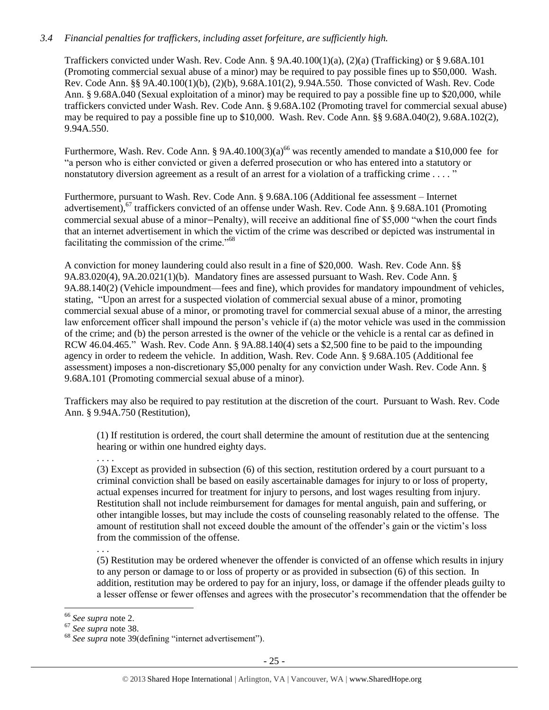## *3.4 Financial penalties for traffickers, including asset forfeiture, are sufficiently high.*

Traffickers convicted under Wash. Rev. Code Ann. § 9A.40.100(1)(a), (2)(a) (Trafficking) or § 9.68A.101 (Promoting commercial sexual abuse of a minor) may be required to pay possible fines up to \$50,000. Wash. Rev. Code Ann. §§ 9A.40.100(1)(b), (2)(b), 9.68A.101(2), 9.94A.550. Those convicted of Wash. Rev. Code Ann. § 9.68A.040 (Sexual exploitation of a minor) may be required to pay a possible fine up to \$20,000, while traffickers convicted under Wash. Rev. Code Ann. § 9.68A.102 (Promoting travel for commercial sexual abuse) may be required to pay a possible fine up to \$10,000. Wash. Rev. Code Ann. §§ 9.68A.040(2), 9.68A.102(2), 9.94A.550.

Furthermore, Wash. Rev. Code Ann. § 9A.40.100(3)(a)<sup>66</sup> was recently amended to mandate a \$10,000 fee for "a person who is either convicted or given a deferred prosecution or who has entered into a statutory or nonstatutory diversion agreement as a result of an arrest for a violation of a trafficking crime . . . . "

Furthermore, pursuant to Wash. Rev. Code Ann. § 9.68A.106 (Additional fee assessment – Internet advertisement),<sup>67</sup> traffickers convicted of an offense under Wash. Rev. Code Ann. § 9.68A.101 (Promoting commercial sexual abuse of a minor—Penalty), will receive an additional fine of \$5,000 "when the court finds that an internet advertisement in which the victim of the crime was described or depicted was instrumental in facilitating the commission of the crime."<sup>68</sup>

A conviction for money laundering could also result in a fine of \$20,000. Wash. Rev. Code Ann. §§ 9A.83.020(4), 9A.20.021(1)(b). Mandatory fines are assessed pursuant to Wash. Rev. Code Ann. § 9A.88.140(2) (Vehicle impoundment—fees and fine), which provides for mandatory impoundment of vehicles, stating, "Upon an arrest for a suspected violation of commercial sexual abuse of a minor, promoting commercial sexual abuse of a minor, or promoting travel for commercial sexual abuse of a minor, the arresting law enforcement officer shall impound the person's vehicle if (a) the motor vehicle was used in the commission of the crime; and (b) the person arrested is the owner of the vehicle or the vehicle is a rental car as defined in RCW 46.04.465." Wash. Rev. Code Ann. § 9A.88.140(4) sets a \$2,500 fine to be paid to the impounding agency in order to redeem the vehicle. In addition, Wash. Rev. Code Ann. § 9.68A.105 (Additional fee assessment) imposes a non-discretionary \$5,000 penalty for any conviction under Wash. Rev. Code Ann. § 9.68A.101 (Promoting commercial sexual abuse of a minor).

Traffickers may also be required to pay restitution at the discretion of the court. Pursuant to Wash. Rev. Code Ann. § 9.94A.750 (Restitution),

(1) If restitution is ordered, the court shall determine the amount of restitution due at the sentencing hearing or within one hundred eighty days.

. . . .

(3) Except as provided in subsection (6) of this section, restitution ordered by a court pursuant to a criminal conviction shall be based on easily ascertainable damages for injury to or loss of property, actual expenses incurred for treatment for injury to persons, and lost wages resulting from injury. Restitution shall not include reimbursement for damages for mental anguish, pain and suffering, or other intangible losses, but may include the costs of counseling reasonably related to the offense. The amount of restitution shall not exceed double the amount of the offender's gain or the victim's loss from the commission of the offense.

(5) Restitution may be ordered whenever the offender is convicted of an offense which results in injury to any person or damage to or loss of property or as provided in subsection (6) of this section. In addition, restitution may be ordered to pay for an injury, loss, or damage if the offender pleads guilty to a lesser offense or fewer offenses and agrees with the prosecutor's recommendation that the offender be

<sup>. . .</sup> 

<sup>66</sup> *See supra* note [2.](#page-0-0)

<sup>67</sup> *See supra* note [38.](#page-13-0) 

<sup>68</sup> *See supra* note [39\(](#page-13-1)defining "internet advertisement").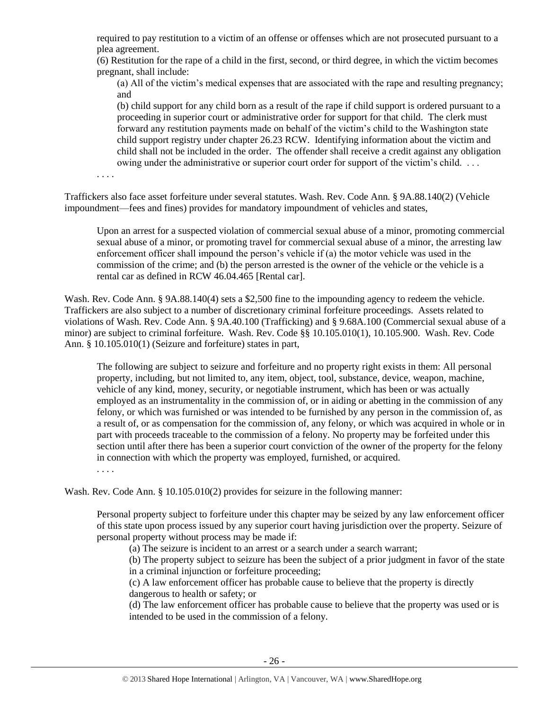required to pay restitution to a victim of an offense or offenses which are not prosecuted pursuant to a plea agreement.

(6) Restitution for the rape of a child in the first, second, or third degree, in which the victim becomes pregnant, shall include:

(a) All of the victim's medical expenses that are associated with the rape and resulting pregnancy; and

(b) child support for any child born as a result of the rape if child support is ordered pursuant to a proceeding in superior court or administrative order for support for that child. The clerk must forward any restitution payments made on behalf of the victim's child to the Washington state child support registry under chapter 26.23 RCW. Identifying information about the victim and child shall not be included in the order. The offender shall receive a credit against any obligation owing under the administrative or superior court order for support of the victim's child. . . .

. . . .

Traffickers also face asset forfeiture under several statutes. Wash. Rev. Code Ann. § 9A.88.140(2) (Vehicle impoundment—fees and fines) provides for mandatory impoundment of vehicles and states,

Upon an arrest for a suspected violation of commercial sexual abuse of a minor, promoting commercial sexual abuse of a minor, or promoting travel for commercial sexual abuse of a minor, the arresting law enforcement officer shall impound the person's vehicle if (a) the motor vehicle was used in the commission of the crime; and (b) the person arrested is the owner of the vehicle or the vehicle is a rental car as defined in RCW 46.04.465 [Rental car].

Wash. Rev. Code Ann. § 9A.88.140(4) sets a \$2,500 fine to the impounding agency to redeem the vehicle. Traffickers are also subject to a number of discretionary criminal forfeiture proceedings. Assets related to violations of Wash. Rev. Code Ann. § 9A.40.100 (Trafficking) and § 9.68A.100 (Commercial sexual abuse of a minor) are subject to criminal forfeiture. Wash. Rev. Code §§ 10.105.010(1), 10.105.900. Wash. Rev. Code Ann. § 10.105.010(1) (Seizure and forfeiture) states in part,

The following are subject to seizure and forfeiture and no property right exists in them: All personal property, including, but not limited to, any item, object, tool, substance, device, weapon, machine, vehicle of any kind, money, security, or negotiable instrument, which has been or was actually employed as an instrumentality in the commission of, or in aiding or abetting in the commission of any felony, or which was furnished or was intended to be furnished by any person in the commission of, as a result of, or as compensation for the commission of, any felony, or which was acquired in whole or in part with proceeds traceable to the commission of a felony. No property may be forfeited under this section until after there has been a superior court conviction of the owner of the property for the felony in connection with which the property was employed, furnished, or acquired.

. . . .

Wash. Rev. Code Ann. § 10.105.010(2) provides for seizure in the following manner:

Personal property subject to forfeiture under this chapter may be seized by any law enforcement officer of this state upon process issued by any superior court having jurisdiction over the property. Seizure of personal property without process may be made if:

(a) The seizure is incident to an arrest or a search under a search warrant;

(b) The property subject to seizure has been the subject of a prior judgment in favor of the state in a criminal injunction or forfeiture proceeding;

(c) A law enforcement officer has probable cause to believe that the property is directly dangerous to health or safety; or

(d) The law enforcement officer has probable cause to believe that the property was used or is intended to be used in the commission of a felony.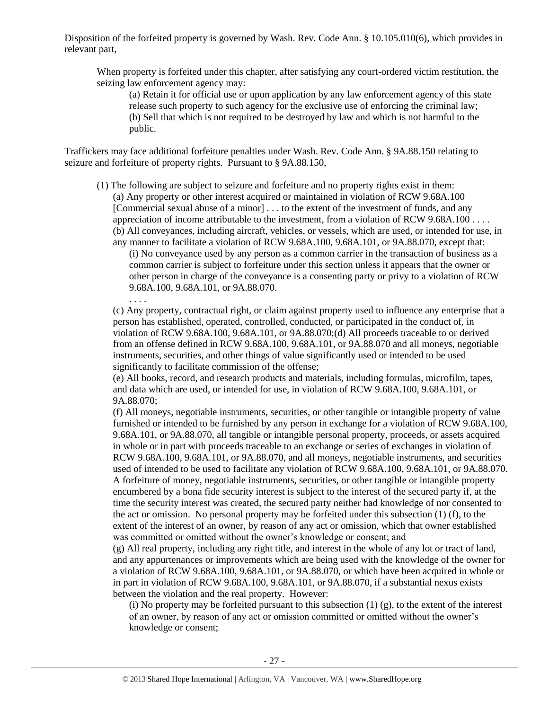Disposition of the forfeited property is governed by Wash. Rev. Code Ann. § 10.105.010(6), which provides in relevant part,

When property is forfeited under this chapter, after satisfying any court-ordered victim restitution, the seizing law enforcement agency may:

(a) Retain it for official use or upon application by any law enforcement agency of this state release such property to such agency for the exclusive use of enforcing the criminal law; (b) Sell that which is not required to be destroyed by law and which is not harmful to the public.

Traffickers may face additional forfeiture penalties under Wash. Rev. Code Ann. § 9A.88.150 relating to seizure and forfeiture of property rights. Pursuant to § 9A.88.150,

. . . .

- (1) The following are subject to seizure and forfeiture and no property rights exist in them: (a) Any property or other interest acquired or maintained in violation of RCW 9.68A.100 [Commercial sexual abuse of a minor] . . . to the extent of the investment of funds, and any appreciation of income attributable to the investment, from a violation of RCW 9.68A.100 . . . . (b) All conveyances, including aircraft, vehicles, or vessels, which are used, or intended for use, in
	- any manner to facilitate a violation of RCW 9.68A.100, 9.68A.101, or 9A.88.070, except that: (i) No conveyance used by any person as a common carrier in the transaction of business as a common carrier is subject to forfeiture under this section unless it appears that the owner or other person in charge of the conveyance is a consenting party or privy to a violation of RCW 9.68A.100, 9.68A.101, or 9A.88.070.

(c) Any property, contractual right, or claim against property used to influence any enterprise that a person has established, operated, controlled, conducted, or participated in the conduct of, in violation of RCW 9.68A.100, 9.68A.101, or 9A.88.070;(d) All proceeds traceable to or derived from an offense defined in RCW 9.68A.100, 9.68A.101, or 9A.88.070 and all moneys, negotiable instruments, securities, and other things of value significantly used or intended to be used significantly to facilitate commission of the offense;

(e) All books, record, and research products and materials, including formulas, microfilm, tapes, and data which are used, or intended for use, in violation of RCW 9.68A.100, 9.68A.101, or 9A.88.070;

(f) All moneys, negotiable instruments, securities, or other tangible or intangible property of value furnished or intended to be furnished by any person in exchange for a violation of RCW 9.68A.100, 9.68A.101, or 9A.88.070, all tangible or intangible personal property, proceeds, or assets acquired in whole or in part with proceeds traceable to an exchange or series of exchanges in violation of RCW 9.68A.100, 9.68A.101, or 9A.88.070, and all moneys, negotiable instruments, and securities used of intended to be used to facilitate any violation of RCW 9.68A.100, 9.68A.101, or 9A.88.070. A forfeiture of money, negotiable instruments, securities, or other tangible or intangible property encumbered by a bona fide security interest is subject to the interest of the secured party if, at the time the security interest was created, the secured party neither had knowledge of nor consented to the act or omission. No personal property may be forfeited under this subsection (1) (f), to the extent of the interest of an owner, by reason of any act or omission, which that owner established was committed or omitted without the owner's knowledge or consent; and

(g) All real property, including any right title, and interest in the whole of any lot or tract of land, and any appurtenances or improvements which are being used with the knowledge of the owner for a violation of RCW 9.68A.100, 9.68A.101, or 9A.88.070, or which have been acquired in whole or in part in violation of RCW 9.68A.100, 9.68A.101, or 9A.88.070, if a substantial nexus exists between the violation and the real property. However:

(i) No property may be forfeited pursuant to this subsection  $(1)$   $(g)$ , to the extent of the interest of an owner, by reason of any act or omission committed or omitted without the owner's knowledge or consent;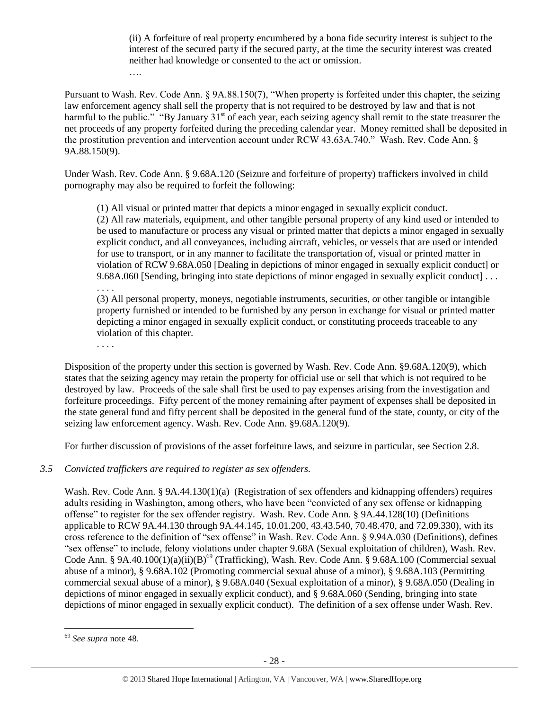(ii) A forfeiture of real property encumbered by a bona fide security interest is subject to the interest of the secured party if the secured party, at the time the security interest was created neither had knowledge or consented to the act or omission.

Pursuant to Wash. Rev. Code Ann. § 9A.88.150(7), "When property is forfeited under this chapter, the seizing law enforcement agency shall sell the property that is not required to be destroyed by law and that is not harmful to the public." "By January  $31<sup>st</sup>$  of each year, each seizing agency shall remit to the state treasurer the net proceeds of any property forfeited during the preceding calendar year. Money remitted shall be deposited in the prostitution prevention and intervention account under RCW 43.63A.740." Wash. Rev. Code Ann. § 9A.88.150(9).

Under Wash. Rev. Code Ann. § 9.68A.120 (Seizure and forfeiture of property) traffickers involved in child pornography may also be required to forfeit the following:

(1) All visual or printed matter that depicts a minor engaged in sexually explicit conduct.

(2) All raw materials, equipment, and other tangible personal property of any kind used or intended to be used to manufacture or process any visual or printed matter that depicts a minor engaged in sexually explicit conduct, and all conveyances, including aircraft, vehicles, or vessels that are used or intended for use to transport, or in any manner to facilitate the transportation of, visual or printed matter in violation of RCW 9.68A.050 [Dealing in depictions of minor engaged in sexually explicit conduct] or 9.68A.060 [Sending, bringing into state depictions of minor engaged in sexually explicit conduct] . . . . . . .

(3) All personal property, moneys, negotiable instruments, securities, or other tangible or intangible property furnished or intended to be furnished by any person in exchange for visual or printed matter depicting a minor engaged in sexually explicit conduct, or constituting proceeds traceable to any violation of this chapter.

. . . .

….

Disposition of the property under this section is governed by Wash. Rev. Code Ann. §9.68A.120(9), which states that the seizing agency may retain the property for official use or sell that which is not required to be destroyed by law. Proceeds of the sale shall first be used to pay expenses arising from the investigation and forfeiture proceedings. Fifty percent of the money remaining after payment of expenses shall be deposited in the state general fund and fifty percent shall be deposited in the general fund of the state, county, or city of the seizing law enforcement agency. Wash. Rev. Code Ann. §9.68A.120(9).

For further discussion of provisions of the asset forfeiture laws, and seizure in particular, see Section 2.8.

# *3.5 Convicted traffickers are required to register as sex offenders.*

Wash. Rev. Code Ann. § 9A.44.130(1)(a) (Registration of sex offenders and kidnapping offenders) requires adults residing in Washington, among others, who have been "convicted of any sex offense or kidnapping offense" to register for the sex offender registry. Wash. Rev. Code Ann. § 9A.44.128(10) (Definitions applicable to RCW 9A.44.130 through 9A.44.145, 10.01.200, 43.43.540, 70.48.470, and 72.09.330), with its cross reference to the definition of "sex offense" in Wash. Rev. Code Ann. § 9.94A.030 (Definitions), defines "sex offense" to include, felony violations under chapter 9.68A (Sexual exploitation of children), Wash. Rev. Code Ann. § 9A.40.100(1)(a)(ii)(B)<sup>69</sup> (Trafficking), Wash. Rev. Code Ann. § 9.68A.100 (Commercial sexual abuse of a minor), § 9.68A.102 (Promoting commercial sexual abuse of a minor), § 9.68A.103 (Permitting commercial sexual abuse of a minor), § 9.68A.040 (Sexual exploitation of a minor), § 9.68A.050 (Dealing in depictions of minor engaged in sexually explicit conduct), and § 9.68A.060 (Sending, bringing into state depictions of minor engaged in sexually explicit conduct). The definition of a sex offense under Wash. Rev.

<sup>69</sup> *See supra* note [48.](#page-20-0)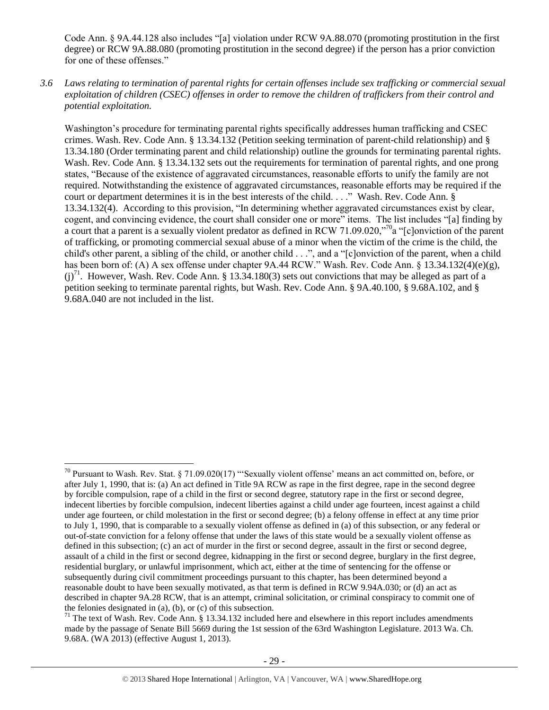Code Ann. § 9A.44.128 also includes "[a] violation under RCW 9A.88.070 (promoting prostitution in the first degree) or RCW 9A.88.080 (promoting prostitution in the second degree) if the person has a prior conviction for one of these offenses."

*3.6 Laws relating to termination of parental rights for certain offenses include sex trafficking or commercial sexual exploitation of children (CSEC) offenses in order to remove the children of traffickers from their control and potential exploitation.* 

Washington's procedure for terminating parental rights specifically addresses human trafficking and CSEC crimes. Wash. Rev. Code Ann. § 13.34.132 (Petition seeking termination of parent-child relationship) and § 13.34.180 (Order terminating parent and child relationship) outline the grounds for terminating parental rights. Wash. Rev. Code Ann. § 13.34.132 sets out the requirements for termination of parental rights, and one prong states, "Because of the existence of aggravated circumstances, reasonable efforts to unify the family are not required. Notwithstanding the existence of aggravated circumstances, reasonable efforts may be required if the court or department determines it is in the best interests of the child. . . ." Wash. Rev. Code Ann. § 13.34.132(4). According to this provision, "In determining whether aggravated circumstances exist by clear, cogent, and convincing evidence, the court shall consider one or more" items. The list includes "[a] finding by a court that a parent is a sexually violent predator as defined in RCW 71.09.020,"<sup>70</sup>a "[c]onviction of the parent of trafficking, or promoting commercial sexual abuse of a minor when the victim of the crime is the child, the child's other parent, a sibling of the child, or another child . . .", and a "[c]onviction of the parent, when a child has been born of: (A) A sex offense under chapter 9A.44 RCW." Wash. Rev. Code Ann. § 13.34.132(4)(e)(g),  $(j)^{71}$ . However, Wash. Rev. Code Ann. § 13.34.180(3) sets out convictions that may be alleged as part of a petition seeking to terminate parental rights, but Wash. Rev. Code Ann. § 9A.40.100, § 9.68A.102, and § 9.68A.040 are not included in the list.

<sup>70</sup> Pursuant to Wash. Rev. Stat. § 71.09.020(17) "'Sexually violent offense' means an act committed on, before, or after July 1, 1990, that is: (a) An act defined in Title 9A RCW as rape in the first degree, rape in the second degree by forcible compulsion, rape of a child in the first or second degree, statutory rape in the first or second degree, indecent liberties by forcible compulsion, indecent liberties against a child under age fourteen, incest against a child under age fourteen, or child molestation in the first or second degree; (b) a felony offense in effect at any time prior to July 1, 1990, that is comparable to a sexually violent offense as defined in (a) of this subsection, or any federal or out-of-state conviction for a felony offense that under the laws of this state would be a sexually violent offense as defined in this subsection; (c) an act of murder in the first or second degree, assault in the first or second degree, assault of a child in the first or second degree, kidnapping in the first or second degree, burglary in the first degree, residential burglary, or unlawful imprisonment, which act, either at the time of sentencing for the offense or subsequently during civil commitment proceedings pursuant to this chapter, has been determined beyond a reasonable doubt to have been sexually motivated, as that term is defined in RCW 9.94A.030; or (d) an act as described in chapter 9A.28 RCW, that is an attempt, criminal solicitation, or criminal conspiracy to commit one of the felonies designated in (a), (b), or (c) of this subsection.

<sup>&</sup>lt;sup>71</sup> The text of Wash. Rev. Code Ann. § 13.34.132 included here and elsewhere in this report includes amendments made by the passage of Senate Bill 5669 during the 1st session of the 63rd Washington Legislature. 2013 Wa. Ch. 9.68A. (WA 2013) (effective August 1, 2013).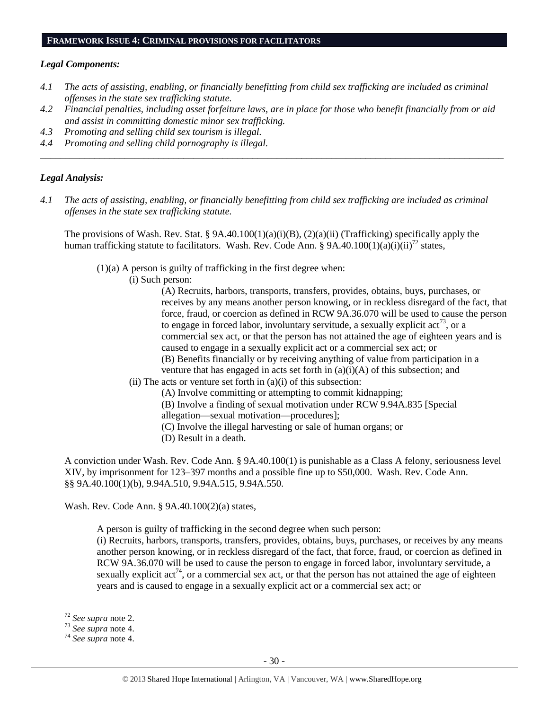#### **FRAMEWORK ISSUE 4: CRIMINAL PROVISIONS FOR FACILITATORS**

#### *Legal Components:*

- *4.1 The acts of assisting, enabling, or financially benefitting from child sex trafficking are included as criminal offenses in the state sex trafficking statute.*
- *4.2 Financial penalties, including asset forfeiture laws, are in place for those who benefit financially from or aid and assist in committing domestic minor sex trafficking.*

*\_\_\_\_\_\_\_\_\_\_\_\_\_\_\_\_\_\_\_\_\_\_\_\_\_\_\_\_\_\_\_\_\_\_\_\_\_\_\_\_\_\_\_\_\_\_\_\_\_\_\_\_\_\_\_\_\_\_\_\_\_\_\_\_\_\_\_\_\_\_\_\_\_\_\_\_\_\_\_\_\_\_\_\_\_\_\_\_\_\_\_\_\_\_*

- *4.3 Promoting and selling child sex tourism is illegal.*
- *4.4 Promoting and selling child pornography is illegal.*

## *Legal Analysis:*

*4.1 The acts of assisting, enabling, or financially benefitting from child sex trafficking are included as criminal offenses in the state sex trafficking statute.*

The provisions of Wash. Rev. Stat. § 9A.40.100(1)(a)(i)(B), (2)(a)(ii) (Trafficking) specifically apply the human trafficking statute to facilitators. Wash. Rev. Code Ann. § 9A.40.100(1)(a)(i)(ii)<sup>72</sup> states,

(1)(a) A person is guilty of trafficking in the first degree when:

(i) Such person:

(A) Recruits, harbors, transports, transfers, provides, obtains, buys, purchases, or receives by any means another person knowing, or in reckless disregard of the fact, that force, fraud, or coercion as defined in RCW 9A.36.070 will be used to cause the person to engage in forced labor, involuntary servitude, a sexually explicit  $\arctan^{73}$ , or a commercial sex act, or that the person has not attained the age of eighteen years and is caused to engage in a sexually explicit act or a commercial sex act; or (B) Benefits financially or by receiving anything of value from participation in a venture that has engaged in acts set forth in  $(a)(i)(A)$  of this subsection; and

- $(ii)$  The acts or venture set forth in  $(a)(i)$  of this subsection:
	- (A) Involve committing or attempting to commit kidnapping;
	- (B) Involve a finding of sexual motivation under RCW 9.94A.835 [Special
	- allegation—sexual motivation—procedures];
	- (C) Involve the illegal harvesting or sale of human organs; or
	- (D) Result in a death.

A conviction under Wash. Rev. Code Ann. § 9A.40.100(1) is punishable as a Class A felony, seriousness level XIV, by imprisonment for 123–397 months and a possible fine up to \$50,000. Wash. Rev. Code Ann. §§ 9A.40.100(1)(b), 9.94A.510, 9.94A.515, 9.94A.550.

Wash. Rev. Code Ann. § 9A.40.100(2)(a) states,

A person is guilty of trafficking in the second degree when such person:

(i) Recruits, harbors, transports, transfers, provides, obtains, buys, purchases, or receives by any means another person knowing, or in reckless disregard of the fact, that force, fraud, or coercion as defined in RCW 9A.36.070 will be used to cause the person to engage in forced labor, involuntary servitude, a sexually explicit act<sup>74</sup>, or a commercial sex act, or that the person has not attained the age of eighteen years and is caused to engage in a sexually explicit act or a commercial sex act; or

<sup>72</sup> *See supra* note [2.](#page-0-0)

<sup>73</sup> *See supra* note [4.](#page-1-0)

<sup>74</sup> *See supra* note [4.](#page-1-0)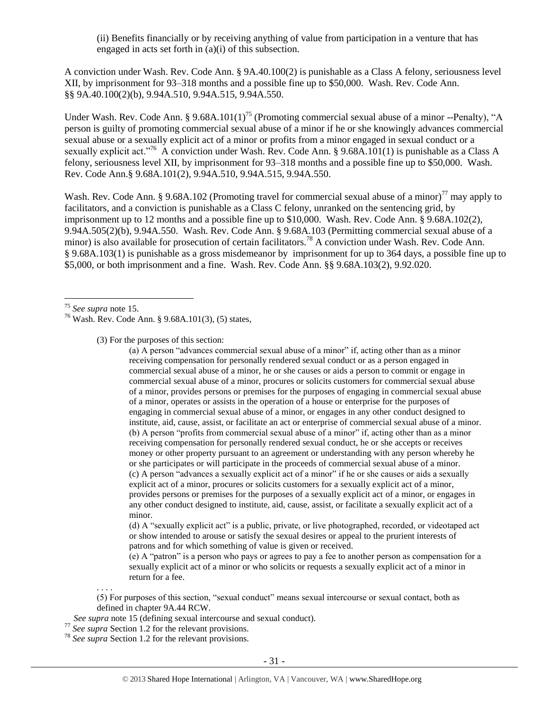(ii) Benefits financially or by receiving anything of value from participation in a venture that has engaged in acts set forth in (a)(i) of this subsection.

A conviction under Wash. Rev. Code Ann. § 9A.40.100(2) is punishable as a Class A felony, seriousness level XII, by imprisonment for 93–318 months and a possible fine up to \$50,000. Wash. Rev. Code Ann. §§ 9A.40.100(2)(b), 9.94A.510, 9.94A.515, 9.94A.550.

Under Wash. Rev. Code Ann. § 9.68A.101(1)<sup>75</sup> (Promoting commercial sexual abuse of a minor --Penalty), "A person is guilty of promoting commercial sexual abuse of a minor if he or she knowingly advances commercial sexual abuse or a sexually explicit act of a minor or profits from a minor engaged in sexual conduct or a sexually explicit act."<sup>76</sup> A conviction under Wash. Rev. Code Ann. § 9.68A.101(1) is punishable as a Class A felony, seriousness level XII, by imprisonment for 93–318 months and a possible fine up to \$50,000. Wash. Rev. Code Ann.§ 9.68A.101(2), 9.94A.510, 9.94A.515, 9.94A.550.

Wash. Rev. Code Ann. § 9.68A.102 (Promoting travel for commercial sexual abuse of a minor)<sup>77</sup> may apply to facilitators, and a conviction is punishable as a Class C felony, unranked on the sentencing grid, by imprisonment up to 12 months and a possible fine up to \$10,000. Wash. Rev. Code Ann. § 9.68A.102(2), 9.94A.505(2)(b), 9.94A.550. Wash. Rev. Code Ann. § 9.68A.103 (Permitting commercial sexual abuse of a minor) is also available for prosecution of certain facilitators.<sup>78</sup> A conviction under Wash. Rev. Code Ann. § 9.68A.103(1) is punishable as a gross misdemeanor by imprisonment for up to 364 days, a possible fine up to \$5,000, or both imprisonment and a fine. Wash. Rev. Code Ann. §§ 9.68A.103(2), 9.92.020.

 $\overline{a}$ 

(3) For the purposes of this section:

(a) A person "advances commercial sexual abuse of a minor" if, acting other than as a minor receiving compensation for personally rendered sexual conduct or as a person engaged in commercial sexual abuse of a minor, he or she causes or aids a person to commit or engage in commercial sexual abuse of a minor, procures or solicits customers for commercial sexual abuse of a minor, provides persons or premises for the purposes of engaging in commercial sexual abuse of a minor, operates or assists in the operation of a house or enterprise for the purposes of engaging in commercial sexual abuse of a minor, or engages in any other conduct designed to institute, aid, cause, assist, or facilitate an act or enterprise of commercial sexual abuse of a minor. (b) A person "profits from commercial sexual abuse of a minor" if, acting other than as a minor receiving compensation for personally rendered sexual conduct, he or she accepts or receives money or other property pursuant to an agreement or understanding with any person whereby he or she participates or will participate in the proceeds of commercial sexual abuse of a minor. (c) A person "advances a sexually explicit act of a minor" if he or she causes or aids a sexually explicit act of a minor, procures or solicits customers for a sexually explicit act of a minor, provides persons or premises for the purposes of a sexually explicit act of a minor, or engages in any other conduct designed to institute, aid, cause, assist, or facilitate a sexually explicit act of a minor.

(d) A "sexually explicit act" is a public, private, or live photographed, recorded, or videotaped act or show intended to arouse or satisfy the sexual desires or appeal to the prurient interests of patrons and for which something of value is given or received.

(e) A "patron" is a person who pays or agrees to pay a fee to another person as compensation for a sexually explicit act of a minor or who solicits or requests a sexually explicit act of a minor in return for a fee.

(5) For purposes of this section, "sexual conduct" means sexual intercourse or sexual contact, both as defined in chapter 9A.44 RCW.

- *See supra* not[e 15](#page-3-1) (defining sexual intercourse and sexual conduct).
- <sup>77</sup> *See supra* Section 1.2 for the relevant provisions.

. . . .

<sup>78</sup> *See supra* Section 1.2 for the relevant provisions.

<sup>75</sup> *See supra* note [15.](#page-3-1)

<sup>76</sup> Wash. Rev. Code Ann. § 9.68A.101(3), (5) states,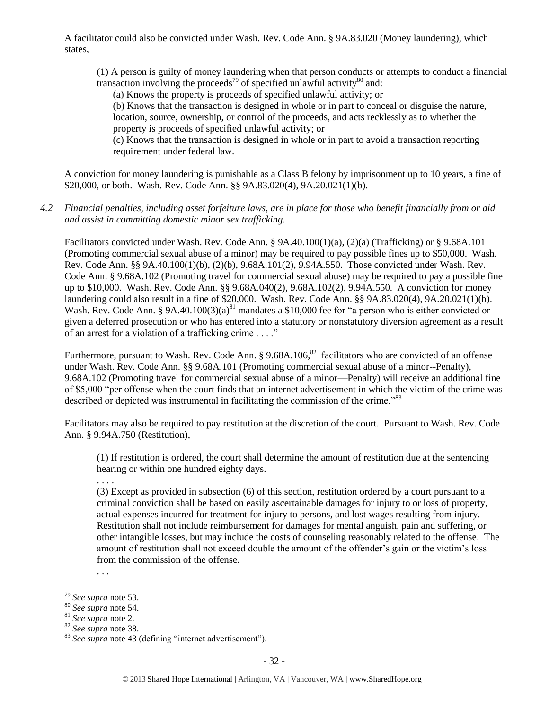A facilitator could also be convicted under Wash. Rev. Code Ann. § 9A.83.020 (Money laundering), which states,

(1) A person is guilty of money laundering when that person conducts or attempts to conduct a financial transaction involving the proceeds<sup>79</sup> of specified unlawful activity<sup>80</sup> and:

(a) Knows the property is proceeds of specified unlawful activity; or

(b) Knows that the transaction is designed in whole or in part to conceal or disguise the nature, location, source, ownership, or control of the proceeds, and acts recklessly as to whether the property is proceeds of specified unlawful activity; or

(c) Knows that the transaction is designed in whole or in part to avoid a transaction reporting requirement under federal law.

A conviction for money laundering is punishable as a Class B felony by imprisonment up to 10 years, a fine of \$20,000, or both. Wash. Rev. Code Ann. §§ 9A.83.020(4), 9A.20.021(1)(b).

*4.2 Financial penalties, including asset forfeiture laws, are in place for those who benefit financially from or aid and assist in committing domestic minor sex trafficking.*

Facilitators convicted under Wash. Rev. Code Ann. § 9A.40.100(1)(a), (2)(a) (Trafficking) or § 9.68A.101 (Promoting commercial sexual abuse of a minor) may be required to pay possible fines up to \$50,000. Wash. Rev. Code Ann. §§ 9A.40.100(1)(b), (2)(b), 9.68A.101(2), 9.94A.550. Those convicted under Wash. Rev. Code Ann. § 9.68A.102 (Promoting travel for commercial sexual abuse) may be required to pay a possible fine up to \$10,000. Wash. Rev. Code Ann. §§ 9.68A.040(2), 9.68A.102(2), 9.94A.550. A conviction for money laundering could also result in a fine of \$20,000. Wash. Rev. Code Ann. §§ 9A.83.020(4), 9A.20.021(1)(b). Wash. Rev. Code Ann. § 9A.40.100(3)(a)<sup>81</sup> mandates a \$10,000 fee for "a person who is either convicted or given a deferred prosecution or who has entered into a statutory or nonstatutory diversion agreement as a result of an arrest for a violation of a trafficking crime . . . ."

Furthermore, pursuant to Wash. Rev. Code Ann. § 9.68A.106,<sup>82</sup> facilitators who are convicted of an offense under Wash. Rev. Code Ann. §§ 9.68A.101 (Promoting commercial sexual abuse of a minor--Penalty), 9.68A.102 (Promoting travel for commercial sexual abuse of a minor—Penalty) will receive an additional fine of \$5,000 "per offense when the court finds that an internet advertisement in which the victim of the crime was described or depicted was instrumental in facilitating the commission of the crime.<sup>833</sup>

Facilitators may also be required to pay restitution at the discretion of the court. Pursuant to Wash. Rev. Code Ann. § 9.94A.750 (Restitution),

(1) If restitution is ordered, the court shall determine the amount of restitution due at the sentencing hearing or within one hundred eighty days.

. . . .

(3) Except as provided in subsection (6) of this section, restitution ordered by a court pursuant to a criminal conviction shall be based on easily ascertainable damages for injury to or loss of property, actual expenses incurred for treatment for injury to persons, and lost wages resulting from injury. Restitution shall not include reimbursement for damages for mental anguish, pain and suffering, or other intangible losses, but may include the costs of counseling reasonably related to the offense. The amount of restitution shall not exceed double the amount of the offender's gain or the victim's loss from the commission of the offense.

. . .

<sup>79</sup> *See supra* note [53.](#page-21-0)

<sup>80</sup> *See supra* note [54.](#page-21-1)

<sup>81</sup> *See supra* note [2.](#page-0-0)

<sup>82</sup> *See supra* note [38.](#page-13-0) 

<sup>&</sup>lt;sup>83</sup> See supra note [43](#page-15-0) (defining "internet advertisement").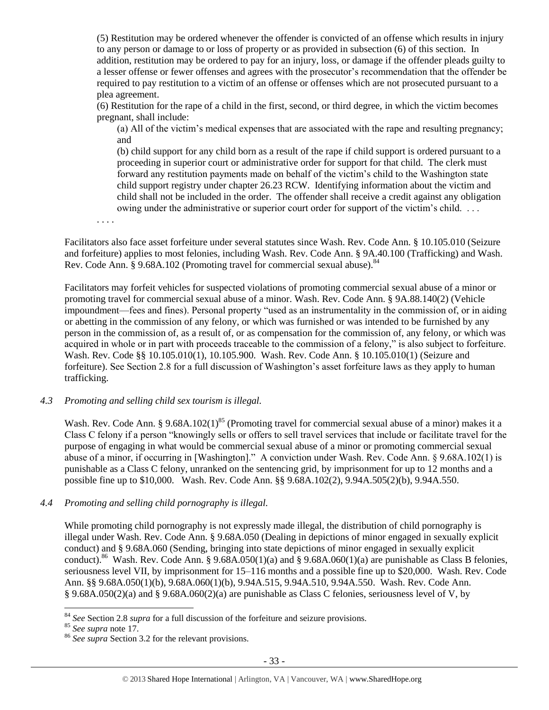(5) Restitution may be ordered whenever the offender is convicted of an offense which results in injury to any person or damage to or loss of property or as provided in subsection (6) of this section. In addition, restitution may be ordered to pay for an injury, loss, or damage if the offender pleads guilty to a lesser offense or fewer offenses and agrees with the prosecutor's recommendation that the offender be required to pay restitution to a victim of an offense or offenses which are not prosecuted pursuant to a plea agreement.

(6) Restitution for the rape of a child in the first, second, or third degree, in which the victim becomes pregnant, shall include:

(a) All of the victim's medical expenses that are associated with the rape and resulting pregnancy; and

(b) child support for any child born as a result of the rape if child support is ordered pursuant to a proceeding in superior court or administrative order for support for that child. The clerk must forward any restitution payments made on behalf of the victim's child to the Washington state child support registry under chapter 26.23 RCW. Identifying information about the victim and child shall not be included in the order. The offender shall receive a credit against any obligation owing under the administrative or superior court order for support of the victim's child. . . .

. . . .

Facilitators also face asset forfeiture under several statutes since Wash. Rev. Code Ann. § 10.105.010 (Seizure and forfeiture) applies to most felonies, including Wash. Rev. Code Ann. § 9A.40.100 (Trafficking) and Wash. Rev. Code Ann. § 9.68A.102 (Promoting travel for commercial sexual abuse).<sup>84</sup>

Facilitators may forfeit vehicles for suspected violations of promoting commercial sexual abuse of a minor or promoting travel for commercial sexual abuse of a minor. Wash. Rev. Code Ann. § 9A.88.140(2) (Vehicle impoundment—fees and fines). Personal property "used as an instrumentality in the commission of, or in aiding or abetting in the commission of any felony, or which was furnished or was intended to be furnished by any person in the commission of, as a result of, or as compensation for the commission of, any felony, or which was acquired in whole or in part with proceeds traceable to the commission of a felony," is also subject to forfeiture. Wash. Rev. Code §§ 10.105.010(1), 10.105.900. Wash. Rev. Code Ann. § 10.105.010(1) (Seizure and forfeiture). See Section 2.8 for a full discussion of Washington's asset forfeiture laws as they apply to human trafficking.

## *4.3 Promoting and selling child sex tourism is illegal.*

Wash. Rev. Code Ann. § 9.68A.102(1)<sup>85</sup> (Promoting travel for commercial sexual abuse of a minor) makes it a Class C felony if a person "knowingly sells or offers to sell travel services that include or facilitate travel for the purpose of engaging in what would be commercial sexual abuse of a minor or promoting commercial sexual abuse of a minor, if occurring in [Washington]." A conviction under Wash. Rev. Code Ann. § 9.68A.102(1) is punishable as a Class C felony, unranked on the sentencing grid, by imprisonment for up to 12 months and a possible fine up to \$10,000. Wash. Rev. Code Ann. §§ 9.68A.102(2), 9.94A.505(2)(b), 9.94A.550.

## *4.4 Promoting and selling child pornography is illegal.*

While promoting child pornography is not expressly made illegal, the distribution of child pornography is illegal under Wash. Rev. Code Ann. § 9.68A.050 (Dealing in depictions of minor engaged in sexually explicit conduct) and § 9.68A.060 (Sending, bringing into state depictions of minor engaged in sexually explicit conduct).<sup>86</sup> Wash. Rev. Code Ann. § 9.68A.050(1)(a) and § 9.68A.060(1)(a) are punishable as Class B felonies, seriousness level VII, by imprisonment for 15–116 months and a possible fine up to \$20,000. Wash. Rev. Code Ann. §§ 9.68A.050(1)(b), 9.68A.060(1)(b), 9.94A.515, 9.94A.510, 9.94A.550. Wash. Rev. Code Ann. § 9.68A.050(2)(a) and § 9.68A.060(2)(a) are punishable as Class C felonies, seriousness level of V, by

<sup>84</sup> *See* Section 2.8 *supra* for a full discussion of the forfeiture and seizure provisions.

<sup>85</sup> *See supra* note [17.](#page-4-0)

<sup>86</sup> *See supra* Section 3.2 for the relevant provisions.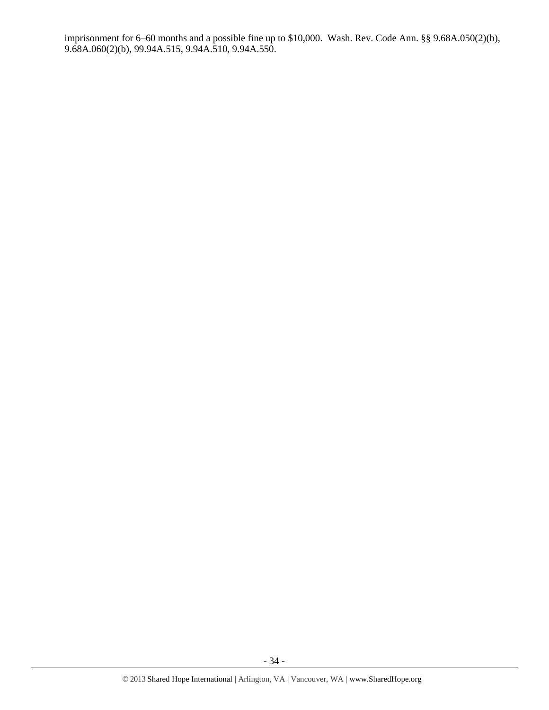imprisonment for 6–60 months and a possible fine up to \$10,000. Wash. Rev. Code Ann. §§ 9.68A.050(2)(b), 9.68A.060(2)(b), 99.94A.515, 9.94A.510, 9.94A.550.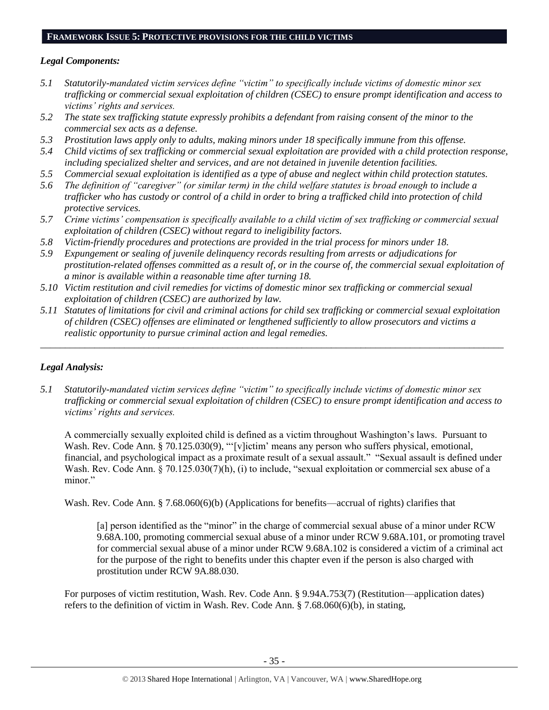# **FRAMEWORK ISSUE 5: PROTECTIVE PROVISIONS FOR THE CHILD VICTIMS**

## *Legal Components:*

- *5.1 Statutorily-mandated victim services define "victim" to specifically include victims of domestic minor sex trafficking or commercial sexual exploitation of children (CSEC) to ensure prompt identification and access to victims' rights and services.*
- *5.2 The state sex trafficking statute expressly prohibits a defendant from raising consent of the minor to the commercial sex acts as a defense.*
- *5.3 Prostitution laws apply only to adults, making minors under 18 specifically immune from this offense.*
- *5.4 Child victims of sex trafficking or commercial sexual exploitation are provided with a child protection response, including specialized shelter and services, and are not detained in juvenile detention facilities.*
- *5.5 Commercial sexual exploitation is identified as a type of abuse and neglect within child protection statutes.*
- *5.6 The definition of "caregiver" (or similar term) in the child welfare statutes is broad enough to include a trafficker who has custody or control of a child in order to bring a trafficked child into protection of child protective services.*
- *5.7 Crime victims' compensation is specifically available to a child victim of sex trafficking or commercial sexual exploitation of children (CSEC) without regard to ineligibility factors.*
- *5.8 Victim-friendly procedures and protections are provided in the trial process for minors under 18.*
- *5.9 Expungement or sealing of juvenile delinquency records resulting from arrests or adjudications for prostitution-related offenses committed as a result of, or in the course of, the commercial sexual exploitation of a minor is available within a reasonable time after turning 18.*
- *5.10 Victim restitution and civil remedies for victims of domestic minor sex trafficking or commercial sexual exploitation of children (CSEC) are authorized by law.*
- *5.11 Statutes of limitations for civil and criminal actions for child sex trafficking or commercial sexual exploitation of children (CSEC) offenses are eliminated or lengthened sufficiently to allow prosecutors and victims a realistic opportunity to pursue criminal action and legal remedies.*

*\_\_\_\_\_\_\_\_\_\_\_\_\_\_\_\_\_\_\_\_\_\_\_\_\_\_\_\_\_\_\_\_\_\_\_\_\_\_\_\_\_\_\_\_\_\_\_\_\_\_\_\_\_\_\_\_\_\_\_\_\_\_\_\_\_\_\_\_\_\_\_\_\_\_\_\_\_\_\_\_\_\_\_\_\_\_\_\_\_\_\_\_\_\_*

# *Legal Analysis:*

*5.1 Statutorily-mandated victim services define "victim" to specifically include victims of domestic minor sex trafficking or commercial sexual exploitation of children (CSEC) to ensure prompt identification and access to victims' rights and services.*

A commercially sexually exploited child is defined as a victim throughout Washington's laws. Pursuant to Wash. Rev. Code Ann. § 70.125.030(9), "'[v]ictim' means any person who suffers physical, emotional, financial, and psychological impact as a proximate result of a sexual assault." "Sexual assault is defined under Wash. Rev. Code Ann. § 70.125.030(7)(h), (i) to include, "sexual exploitation or commercial sex abuse of a minor."

Wash. Rev. Code Ann. § 7.68.060(6)(b) (Applications for benefits—accrual of rights) clarifies that

[a] person identified as the "minor" in the charge of commercial sexual abuse of a minor under RCW 9.68A.100, promoting commercial sexual abuse of a minor under RCW 9.68A.101, or promoting travel for commercial sexual abuse of a minor under RCW 9.68A.102 is considered a victim of a criminal act for the purpose of the right to benefits under this chapter even if the person is also charged with prostitution under RCW 9A.88.030.

For purposes of victim restitution, Wash. Rev. Code Ann. § 9.94A.753(7) (Restitution—application dates) refers to the definition of victim in Wash. Rev. Code Ann. § 7.68.060(6)(b), in stating,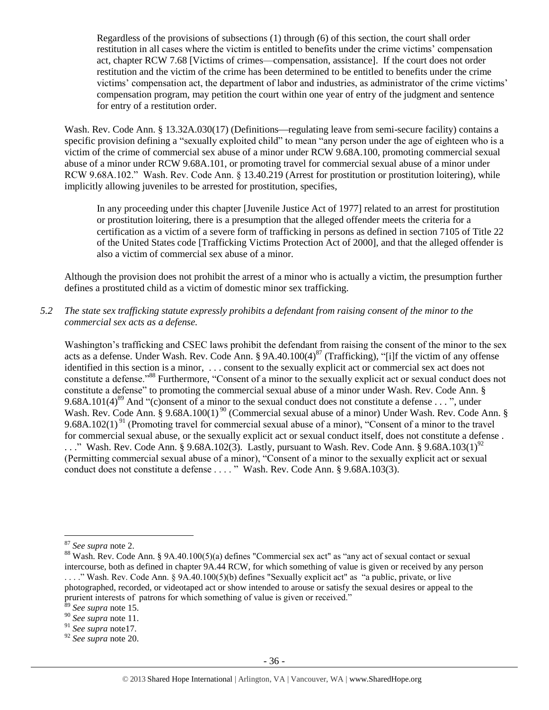Regardless of the provisions of subsections (1) through (6) of this section, the court shall order restitution in all cases where the victim is entitled to benefits under the crime victims' compensation act, chapter RCW 7.68 [Victims of crimes—compensation, assistance]. If the court does not order restitution and the victim of the crime has been determined to be entitled to benefits under the crime victims' compensation act, the department of labor and industries, as administrator of the crime victims' compensation program, may petition the court within one year of entry of the judgment and sentence for entry of a restitution order.

Wash. Rev. Code Ann. § 13.32A.030(17) (Definitions—regulating leave from semi-secure facility) contains a specific provision defining a "sexually exploited child" to mean "any person under the age of eighteen who is a victim of the crime of commercial sex abuse of a minor under RCW 9.68A.100, promoting commercial sexual abuse of a minor under RCW 9.68A.101, or promoting travel for commercial sexual abuse of a minor under RCW 9.68A.102." Wash. Rev. Code Ann. § 13.40.219 (Arrest for prostitution or prostitution loitering), while implicitly allowing juveniles to be arrested for prostitution, specifies,

In any proceeding under this chapter [Juvenile Justice Act of 1977] related to an arrest for prostitution or prostitution loitering, there is a presumption that the alleged offender meets the criteria for a certification as a victim of a severe form of trafficking in persons as defined in section 7105 of Title 22 of the United States code [Trafficking Victims Protection Act of 2000], and that the alleged offender is also a victim of commercial sex abuse of a minor.

Although the provision does not prohibit the arrest of a minor who is actually a victim, the presumption further defines a prostituted child as a victim of domestic minor sex trafficking.

*5.2 The state sex trafficking statute expressly prohibits a defendant from raising consent of the minor to the commercial sex acts as a defense.*

Washington's trafficking and CSEC laws prohibit the defendant from raising the consent of the minor to the sex acts as a defense. Under Wash. Rev. Code Ann. § 9A.40.100(4)<sup>87</sup> (Trafficking), "[i]f the victim of any offense identified in this section is a minor, . . . consent to the sexually explicit act or commercial sex act does not constitute a defense."<sup>88</sup> Furthermore, "Consent of a minor to the sexually explicit act or sexual conduct does not constitute a defense" to promoting the commercial sexual abuse of a minor under Wash. Rev. Code Ann. § 9.68A.101(4)<sup>89</sup> And "(c)onsent of a minor to the sexual conduct does not constitute a defense . . . ", under Wash. Rev. Code Ann. § 9.68A.100(1)<sup>90</sup> (Commercial sexual abuse of a minor) Under Wash. Rev. Code Ann. § 9.68A.102(1)<sup>91</sup> (Promoting travel for commercial sexual abuse of a minor), "Consent of a minor to the travel for commercial sexual abuse, or the sexually explicit act or sexual conduct itself, does not constitute a defense .  $\ldots$ ." Wash. Rev. Code Ann. § 9.68A.102(3). Lastly, pursuant to Wash. Rev. Code Ann. § 9.68A.103(1)<sup>92</sup> (Permitting commercial sexual abuse of a minor), "Consent of a minor to the sexually explicit act or sexual conduct does not constitute a defense . . . . " Wash. Rev. Code Ann. § 9.68A.103(3).

<sup>87</sup> *See supra* note [2.](#page-0-0)

<sup>88</sup> Wash. Rev. Code Ann. § 9A.40.100(5)(a) defines "Commercial sex act" as "any act of sexual contact or sexual intercourse, both as defined in chapter 9A.44 RCW, for which something of value is given or received by any person . . . ." Wash. Rev. Code Ann. § 9A.40.100(5)(b) defines "Sexually explicit act" as "a public, private, or live photographed, recorded, or videotaped act or show intended to arouse or satisfy the sexual desires or appeal to the prurient interests of patrons for which something of value is given or received."

<sup>89</sup> *See supra* note [15.](#page-3-1)

<sup>90</sup> *See supra* note [11.](#page-2-0) 

<sup>91</sup> *See supra* not[e17.](#page-4-0)

<sup>92</sup> *See supra* note [20.](#page-5-0)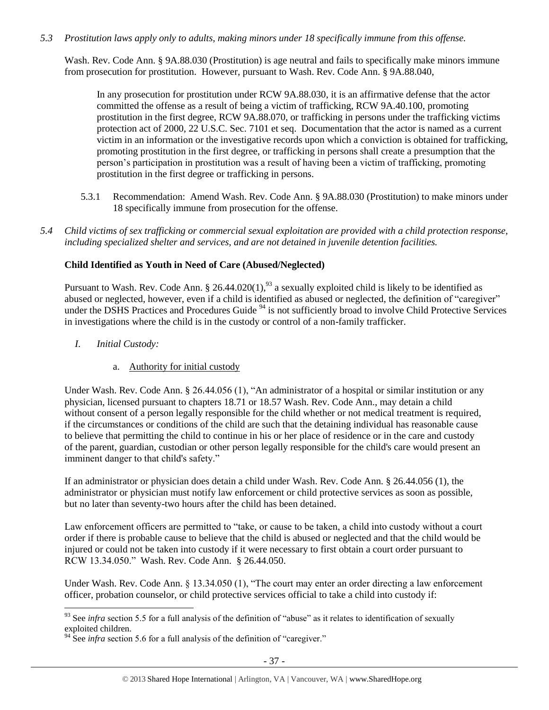## *5.3 Prostitution laws apply only to adults, making minors under 18 specifically immune from this offense.*

Wash. Rev. Code Ann. § 9A.88.030 (Prostitution) is age neutral and fails to specifically make minors immune from prosecution for prostitution. However, pursuant to Wash. Rev. Code Ann. § 9A.88.040,

In any prosecution for prostitution under RCW 9A.88.030, it is an affirmative defense that the actor committed the offense as a result of being a victim of trafficking, RCW 9A.40.100, promoting prostitution in the first degree, RCW 9A.88.070, or trafficking in persons under the trafficking victims protection act of 2000, 22 U.S.C. Sec. 7101 et seq. Documentation that the actor is named as a current victim in an information or the investigative records upon which a conviction is obtained for trafficking, promoting prostitution in the first degree, or trafficking in persons shall create a presumption that the person's participation in prostitution was a result of having been a victim of trafficking, promoting prostitution in the first degree or trafficking in persons.

- 5.3.1 Recommendation: Amend Wash. Rev. Code Ann. § 9A.88.030 (Prostitution) to make minors under 18 specifically immune from prosecution for the offense.
- *5.4 Child victims of sex trafficking or commercial sexual exploitation are provided with a child protection response, including specialized shelter and services, and are not detained in juvenile detention facilities.*

## **Child Identified as Youth in Need of Care (Abused/Neglected)**

Pursuant to Wash. Rev. Code Ann.  $\S 26.44.020(1)$ ,  $93$  a sexually exploited child is likely to be identified as abused or neglected, however, even if a child is identified as abused or neglected, the definition of "caregiver" under the DSHS Practices and Procedures Guide<sup>94</sup> is not sufficiently broad to involve Child Protective Services in investigations where the child is in the custody or control of a non-family trafficker.

*I. Initial Custody:* 

 $\overline{a}$ 

a. Authority for initial custody

Under Wash. Rev. Code Ann. § 26.44.056 (1), "An administrator of a hospital or similar institution or any physician, licensed pursuant to chapters 18.71 or 18.57 Wash. Rev. Code Ann., may detain a child without consent of a person legally responsible for the child whether or not medical treatment is required, if the circumstances or conditions of the child are such that the detaining individual has reasonable cause to believe that permitting the child to continue in his or her place of residence or in the care and custody of the parent, guardian, custodian or other person legally responsible for the child's care would present an imminent danger to that child's safety."

If an administrator or physician does detain a child under Wash. Rev. Code Ann. § 26.44.056 (1), the administrator or physician must notify law enforcement or child protective services as soon as possible, but no later than seventy-two hours after the child has been detained.

Law enforcement officers are permitted to "take, or cause to be taken, a child into custody without a court order if there is probable cause to believe that the child is abused or neglected and that the child would be injured or could not be taken into custody if it were necessary to first obtain a court order pursuant to RCW 13.34.050." Wash. Rev. Code Ann. § 26.44.050.

Under Wash. Rev. Code Ann. § 13.34.050 (1), "The court may enter an order directing a law enforcement officer, probation counselor, or child protective services official to take a child into custody if:

<sup>&</sup>lt;sup>93</sup> See *infra* section 5.5 for a full analysis of the definition of "abuse" as it relates to identification of sexually exploited children.

 $94$  See *infra* section 5.6 for a full analysis of the definition of "caregiver."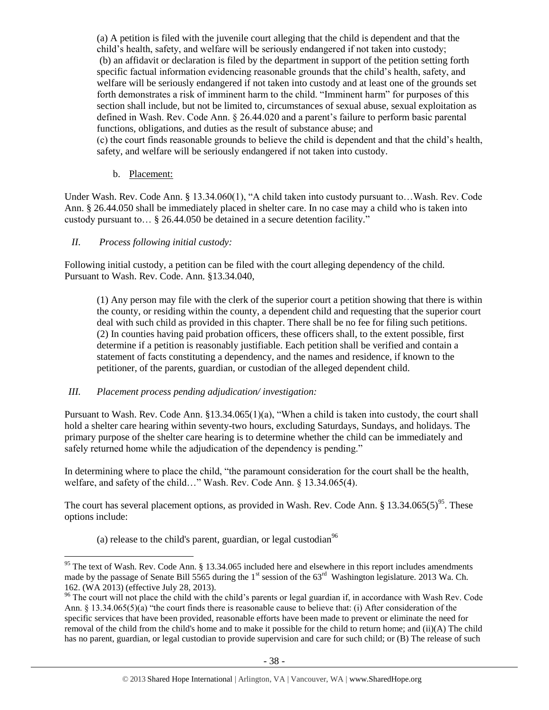(a) A petition is filed with the juvenile court alleging that the child is dependent and that the child's health, safety, and welfare will be seriously endangered if not taken into custody; (b) an affidavit or declaration is filed by the department in support of the petition setting forth specific factual information evidencing reasonable grounds that the child's health, safety, and welfare will be seriously endangered if not taken into custody and at least one of the grounds set forth demonstrates a risk of imminent harm to the child. "Imminent harm" for purposes of this section shall include, but not be limited to, circumstances of sexual abuse, sexual exploitation as defined in Wash. Rev. Code Ann. § 26.44.020 and a parent's failure to perform basic parental functions, obligations, and duties as the result of substance abuse; and (c) the court finds reasonable grounds to believe the child is dependent and that the child's health, safety, and welfare will be seriously endangered if not taken into custody.

## b. Placement:

Under Wash. Rev. Code Ann. § 13.34.060(1), "A child taken into custody pursuant to…Wash. Rev. Code Ann. § 26.44.050 shall be immediately placed in shelter care. In no case may a child who is taken into custody pursuant to… § [26.44.050](http://apps.leg.wa.gov/rcw/default.aspx?cite=26.44.050) be detained in a secure detention facility."

## *II. Process following initial custody:*

 $\overline{a}$ 

Following initial custody, a petition can be filed with the court alleging dependency of the child. Pursuant to Wash. Rev. Code. Ann. §13.34.040,

(1) Any person may file with the clerk of the superior court a petition showing that there is within the county, or residing within the county, a dependent child and requesting that the superior court deal with such child as provided in this chapter. There shall be no fee for filing such petitions. (2) In counties having paid probation officers, these officers shall, to the extent possible, first determine if a petition is reasonably justifiable. Each petition shall be verified and contain a statement of facts constituting a dependency, and the names and residence, if known to the petitioner, of the parents, guardian, or custodian of the alleged dependent child.

## *III. Placement process pending adjudication/ investigation:*

Pursuant to Wash. Rev. Code Ann. §13.34.065(1)(a), "When a child is taken into custody, the court shall hold a shelter care hearing within seventy-two hours, excluding Saturdays, Sundays, and holidays. The primary purpose of the shelter care hearing is to determine whether the child can be immediately and safely returned home while the adjudication of the dependency is pending."

In determining where to place the child, "the paramount consideration for the court shall be the health, welfare, and safety of the child…" Wash. Rev. Code Ann. § 13.34.065(4).

The court has several placement options, as provided in Wash. Rev. Code Ann. § 13.34.065(5)<sup>95</sup>. These options include:

(a) release to the child's parent, guardian, or legal custodian<sup>96</sup>

<sup>&</sup>lt;sup>95</sup> The text of Wash. Rev. Code Ann. § 13.34.065 included here and elsewhere in this report includes amendments made by the passage of Senate Bill 5565 during the 1<sup>st</sup> session of the 63<sup>rd</sup> Washington legislature. 2013 Wa. Ch. 162. (WA 2013) (effective July 28, 2013).

<sup>&</sup>lt;sup>96</sup> The court will not place the child with the child's parents or legal guardian if, in accordance with Wash Rev. Code Ann.  $\S$  13.34.065(5)(a) "the court finds there is reasonable cause to believe that: (i) After consideration of the specific services that have been provided, reasonable efforts have been made to prevent or eliminate the need for removal of the child from the child's home and to make it possible for the child to return home; and (ii)(A) The child has no parent, guardian, or legal custodian to provide supervision and care for such child; or (B) The release of such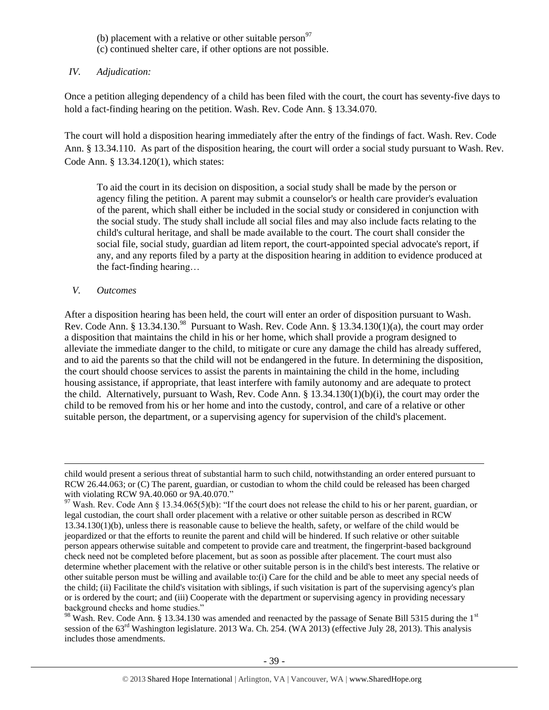- (b) placement with a relative or other suitable person $^{97}$
- (c) continued shelter care, if other options are not possible.

## *IV. Adjudication:*

Once a petition alleging dependency of a child has been filed with the court, the court has seventy-five days to hold a fact-finding hearing on the petition. Wash. Rev. Code Ann. § 13.34.070.

The court will hold a disposition hearing immediately after the entry of the findings of fact. Wash. Rev. Code Ann. § 13.34.110. As part of the disposition hearing, the court will order a social study pursuant to Wash. Rev. Code Ann. § 13.34.120(1), which states:

To aid the court in its decision on disposition, a social study shall be made by the person or agency filing the petition. A parent may submit a counselor's or health care provider's evaluation of the parent, which shall either be included in the social study or considered in conjunction with the social study. The study shall include all social files and may also include facts relating to the child's cultural heritage, and shall be made available to the court. The court shall consider the social file, social study, guardian ad litem report, the court-appointed special advocate's report, if any, and any reports filed by a party at the disposition hearing in addition to evidence produced at the fact-finding hearing…

## *V. Outcomes*

 $\overline{a}$ 

After a disposition hearing has been held, the court will enter an order of disposition pursuant to Wash. Rev. Code Ann. § 13.34.130.<sup>98</sup> Pursuant to Wash. Rev. Code Ann. § 13.34.130(1)(a), the court may order a disposition that maintains the child in his or her home, which shall provide a program designed to alleviate the immediate danger to the child, to mitigate or cure any damage the child has already suffered, and to aid the parents so that the child will not be endangered in the future. In determining the disposition, the court should choose services to assist the parents in maintaining the child in the home, including housing assistance, if appropriate, that least interfere with family autonomy and are adequate to protect the child. Alternatively, pursuant to Wash, Rev. Code Ann. § 13.34.130(1)(b)(i), the court may order the child to be removed from his or her home and into the custody, control, and care of a relative or other suitable person, the department, or a supervising agency for supervision of the child's placement.

 $98$  Wash. Rev. Code Ann. § 13.34.130 was amended and reenacted by the passage of Senate Bill 5315 during the 1st session of the 63<sup>rd</sup> Washington legislature. 2013 Wa. Ch. 254. (WA 2013) (effective July 28, 2013). This analysis includes those amendments.

child would present a serious threat of substantial harm to such child, notwithstanding an order entered pursuant to RCW [26.44.063;](http://apps.leg.wa.gov/rcw/default.aspx?cite=26.44.063) or (C) The parent, guardian, or custodian to whom the child could be released has been charged with violating RCW [9A.40.060](http://apps.leg.wa.gov/rcw/default.aspx?cite=9A.40.060) or [9A.40.070.](http://apps.leg.wa.gov/rcw/default.aspx?cite=9A.40.070)"

<sup>&</sup>lt;sup>97</sup> Wash. Rev. Code Ann § 13.34.065(5)(b): "If the court does not release the child to his or her parent, guardian, or legal custodian, the court shall order placement with a relative or other suitable person as described in RCW [13.34.130\(](http://apps.leg.wa.gov/rcw/default.aspx?cite=13.34.130)1)(b), unless there is reasonable cause to believe the health, safety, or welfare of the child would be jeopardized or that the efforts to reunite the parent and child will be hindered. If such relative or other suitable person appears otherwise suitable and competent to provide care and treatment, the fingerprint-based background check need not be completed before placement, but as soon as possible after placement. The court must also determine whether placement with the relative or other suitable person is in the child's best interests. The relative or other suitable person must be willing and available to:(i) Care for the child and be able to meet any special needs of the child; (ii) Facilitate the child's visitation with siblings, if such visitation is part of the supervising agency's plan or is ordered by the court; and (iii) Cooperate with the department or supervising agency in providing necessary background checks and home studies."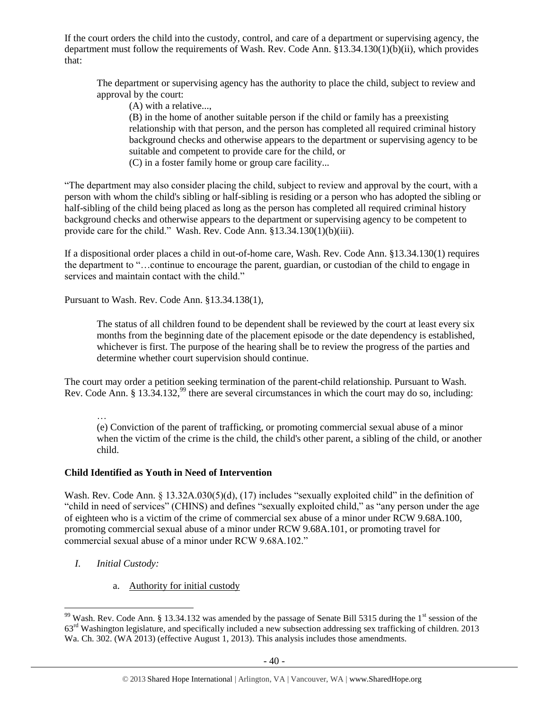If the court orders the child into the custody, control, and care of a department or supervising agency, the department must follow the requirements of Wash. Rev. Code Ann. §13.34.130(1)(b)(ii), which provides that:

The department or supervising agency has the authority to place the child, subject to review and approval by the court:

(A) with a relative...,

(B) in the home of another suitable person if the child or family has a preexisting relationship with that person, and the person has completed all required criminal history background checks and otherwise appears to the department or supervising agency to be suitable and competent to provide care for the child, or (C) in a foster family home or group care facility...

"The department may also consider placing the child, subject to review and approval by the court, with a person with whom the child's sibling or half-sibling is residing or a person who has adopted the sibling or half-sibling of the child being placed as long as the person has completed all required criminal history background checks and otherwise appears to the department or supervising agency to be competent to provide care for the child." Wash. Rev. Code Ann. §13.34.130(1)(b)(iii).

If a dispositional order places a child in out-of-home care, Wash. Rev. Code Ann. §13.34.130(1) requires the department to "…continue to encourage the parent, guardian, or custodian of the child to engage in services and maintain contact with the child."

Pursuant to Wash. Rev. Code Ann. §13.34.138(1),

The status of all children found to be dependent shall be reviewed by the court at least every six months from the beginning date of the placement episode or the date dependency is established, whichever is first. The purpose of the hearing shall be to review the progress of the parties and determine whether court supervision should continue.

The court may order a petition seeking termination of the parent-child relationship. Pursuant to Wash. Rev. Code Ann. § 13.34.132,<sup>99</sup> there are several circumstances in which the court may do so, including:

…

(e) Conviction of the parent of trafficking, or promoting commercial sexual abuse of a minor when the victim of the crime is the child, the child's other parent, a sibling of the child, or another child.

# **Child Identified as Youth in Need of Intervention**

Wash. Rev. Code Ann. § 13.32A.030(5)(d), (17) includes "sexually exploited child" in the definition of "child in need of services" (CHINS) and defines "sexually exploited child," as "any person under the age of eighteen who is a victim of the crime of commercial sex abuse of a minor under RCW 9.68A.100, promoting commercial sexual abuse of a minor under RCW 9.68A.101, or promoting travel for commercial sexual abuse of a minor under RCW 9.68A.102."

*I. Initial Custody:* 

 $\overline{a}$ 

a. Authority for initial custody

<sup>&</sup>lt;sup>99</sup> Wash. Rev. Code Ann. § 13.34.132 was amended by the passage of Senate Bill 5315 during the 1<sup>st</sup> session of the 63rd Washington legislature, and specifically included a new subsection addressing sex trafficking of children. 2013 Wa. Ch. 302. (WA 2013) (effective August 1, 2013). This analysis includes those amendments.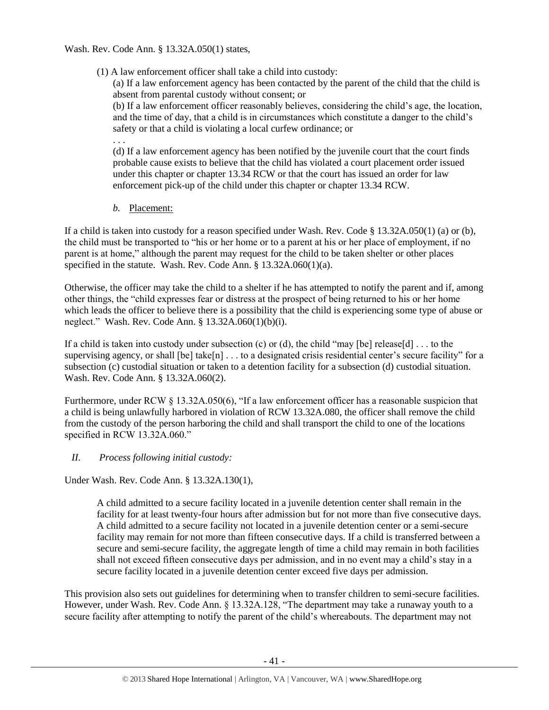## Wash. Rev. Code Ann. § 13.32A.050(1) states,

(1) A law enforcement officer shall take a child into custody:

(a) If a law enforcement agency has been contacted by the parent of the child that the child is absent from parental custody without consent; or

(b) If a law enforcement officer reasonably believes, considering the child's age, the location, and the time of day, that a child is in circumstances which constitute a danger to the child's safety or that a child is violating a local curfew ordinance; or

. . .

(d) If a law enforcement agency has been notified by the juvenile court that the court finds probable cause exists to believe that the child has violated a court placement order issued under this chapter or chapter 13.34 RCW or that the court has issued an order for law enforcement pick-up of the child under this chapter or chapter 13.34 RCW.

*b.* Placement:

If a child is taken into custody for a reason specified under Wash. Rev. Code § 13.32A.050(1) (a) or (b), the child must be transported to "his or her home or to a parent at his or her place of employment, if no parent is at home," although the parent may request for the child to be taken shelter or other places specified in the statute. Wash. Rev. Code Ann. § 13.32A.060(1)(a).

Otherwise, the officer may take the child to a shelter if he has attempted to notify the parent and if, among other things, the "child expresses fear or distress at the prospect of being returned to his or her home which leads the officer to believe there is a possibility that the child is experiencing some type of abuse or neglect." Wash. Rev. Code Ann. § 13.32A.060(1)(b)(i).

If a child is taken into custody under subsection (c) or (d), the child "may [be] release[d]  $\dots$  to the supervising agency, or shall [be] take[n] . . . to a designated crisis residential center's secure facility" for a subsection (c) custodial situation or taken to a detention facility for a subsection (d) custodial situation. Wash. Rev. Code Ann. § 13.32A.060(2).

Furthermore, under RCW § 13.32A.050(6), "If a law enforcement officer has a reasonable suspicion that a child is being unlawfully harbored in violation of RCW 13.32A.080, the officer shall remove the child from the custody of the person harboring the child and shall transport the child to one of the locations specified in RCW 13.32A.060."

# *II. Process following initial custody:*

Under Wash. Rev. Code Ann. § 13.32A.130(1),

A child admitted to a secure facility located in a juvenile detention center shall remain in the facility for at least twenty-four hours after admission but for not more than five consecutive days. A child admitted to a secure facility not located in a juvenile detention center or a semi-secure facility may remain for not more than fifteen consecutive days. If a child is transferred between a secure and semi-secure facility, the aggregate length of time a child may remain in both facilities shall not exceed fifteen consecutive days per admission, and in no event may a child's stay in a secure facility located in a juvenile detention center exceed five days per admission.

This provision also sets out guidelines for determining when to transfer children to semi-secure facilities. However, under Wash. Rev. Code Ann. § 13.32A.128, "The department may take a runaway youth to a secure facility after attempting to notify the parent of the child's whereabouts. The department may not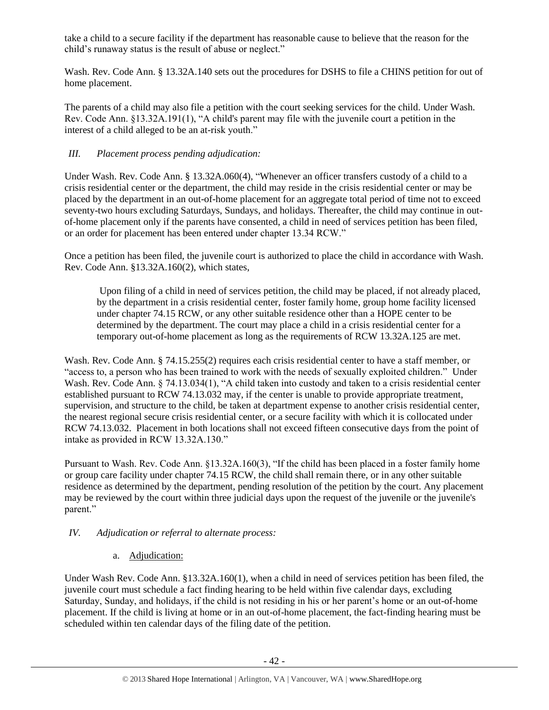take a child to a secure facility if the department has reasonable cause to believe that the reason for the child's runaway status is the result of abuse or neglect."

Wash. Rev. Code Ann. § 13.32A.140 sets out the procedures for DSHS to file a CHINS petition for out of home placement.

The parents of a child may also file a petition with the court seeking services for the child. Under Wash. Rev. Code Ann. §13.32A.191(1), "A child's parent may file with the juvenile court a petition in the interest of a child alleged to be an at-risk youth."

# *III. Placement process pending adjudication:*

Under Wash. Rev. Code Ann. § 13.32A.060(4), "Whenever an officer transfers custody of a child to a crisis residential center or the department, the child may reside in the crisis residential center or may be placed by the department in an out-of-home placement for an aggregate total period of time not to exceed seventy-two hours excluding Saturdays, Sundays, and holidays. Thereafter, the child may continue in outof-home placement only if the parents have consented, a child in need of services petition has been filed, or an order for placement has been entered under chapter 13.34 RCW."

Once a petition has been filed, the juvenile court is authorized to place the child in accordance with Wash. Rev. Code Ann. §13.32A.160(2), which states,

Upon filing of a child in need of services petition, the child may be placed, if not already placed, by the department in a crisis residential center, foster family home, group home facility licensed under chapter 74.15 RCW, or any other suitable residence other than a HOPE center to be determined by the department. The court may place a child in a crisis residential center for a temporary out-of-home placement as long as the requirements of RCW 13.32A.125 are met.

Wash. Rev. Code Ann. § 74.15.255(2) requires each crisis residential center to have a staff member, or "access to, a person who has been trained to work with the needs of sexually exploited children." Under Wash. Rev. Code Ann. § 74.13.034(1), "A child taken into custody and taken to a crisis residential center established pursuant to RCW 74.13.032 may, if the center is unable to provide appropriate treatment, supervision, and structure to the child, be taken at department expense to another crisis residential center, the nearest regional secure crisis residential center, or a secure facility with which it is collocated under RCW 74.13.032. Placement in both locations shall not exceed fifteen consecutive days from the point of intake as provided in RCW 13.32A.130."

Pursuant to Wash. Rev. Code Ann. §13.32A.160(3), "If the child has been placed in a foster family home or group care facility under chapter 74.15 RCW, the child shall remain there, or in any other suitable residence as determined by the department, pending resolution of the petition by the court. Any placement may be reviewed by the court within three judicial days upon the request of the juvenile or the juvenile's parent."

# *IV. Adjudication or referral to alternate process:*

# a. Adjudication:

Under Wash Rev. Code Ann. §13.32A.160(1), when a child in need of services petition has been filed, the juvenile court must schedule a fact finding hearing to be held within five calendar days, excluding Saturday, Sunday, and holidays, if the child is not residing in his or her parent's home or an out-of-home placement. If the child is living at home or in an out-of-home placement, the fact-finding hearing must be scheduled within ten calendar days of the filing date of the petition.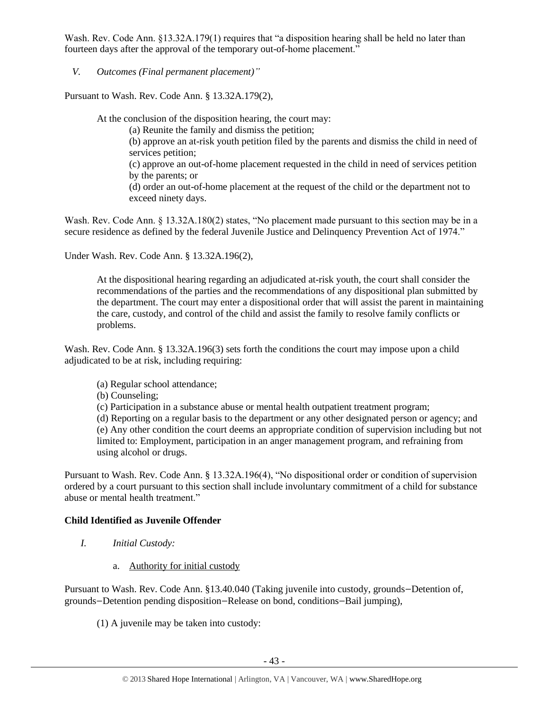Wash. Rev. Code Ann. §13.32A.179(1) requires that "a disposition hearing shall be held no later than fourteen days after the approval of the temporary out-of-home placement."

*V. Outcomes (Final permanent placement)"*

Pursuant to Wash. Rev. Code Ann. § 13.32A.179(2),

At the conclusion of the disposition hearing, the court may:

(a) Reunite the family and dismiss the petition;

(b) approve an at-risk youth petition filed by the parents and dismiss the child in need of services petition;

(c) approve an out-of-home placement requested in the child in need of services petition by the parents; or

(d) order an out-of-home placement at the request of the child or the department not to exceed ninety days.

Wash. Rev. Code Ann. § 13.32A.180(2) states, "No placement made pursuant to this section may be in a secure residence as defined by the federal Juvenile Justice and Delinquency Prevention Act of 1974."

Under Wash. Rev. Code Ann. § 13.32A.196(2),

At the dispositional hearing regarding an adjudicated at-risk youth, the court shall consider the recommendations of the parties and the recommendations of any dispositional plan submitted by the department. The court may enter a dispositional order that will assist the parent in maintaining the care, custody, and control of the child and assist the family to resolve family conflicts or problems.

Wash. Rev. Code Ann. § 13.32A.196(3) sets forth the conditions the court may impose upon a child adjudicated to be at risk, including requiring:

(a) Regular school attendance;

(b) Counseling;

(c) Participation in a substance abuse or mental health outpatient treatment program;

(d) Reporting on a regular basis to the department or any other designated person or agency; and (e) Any other condition the court deems an appropriate condition of supervision including but not limited to: Employment, participation in an anger management program, and refraining from using alcohol or drugs.

Pursuant to Wash. Rev. Code Ann. § 13.32A.196(4), "No dispositional order or condition of supervision ordered by a court pursuant to this section shall include involuntary commitment of a child for substance abuse or mental health treatment."

# **Child Identified as Juvenile Offender**

- *I. Initial Custody:* 
	- a. Authority for initial custody

Pursuant to Wash. Rev. Code Ann. §13.40.040 (Taking juvenile into custody, grounds—Detention of, grounds—Detention pending disposition—Release on bond, conditions—Bail jumping),

(1) A juvenile may be taken into custody: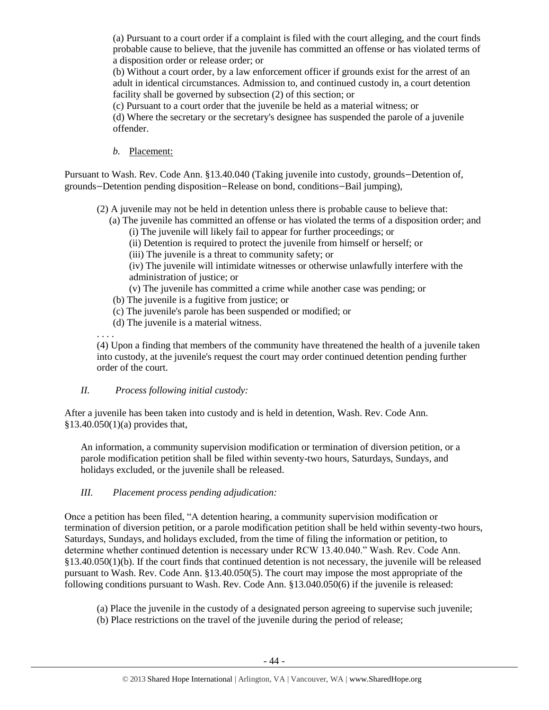(a) Pursuant to a court order if a complaint is filed with the court alleging, and the court finds probable cause to believe, that the juvenile has committed an offense or has violated terms of a disposition order or release order; or

(b) Without a court order, by a law enforcement officer if grounds exist for the arrest of an adult in identical circumstances. Admission to, and continued custody in, a court detention facility shall be governed by subsection (2) of this section; or

(c) Pursuant to a court order that the juvenile be held as a material witness; or

(d) Where the secretary or the secretary's designee has suspended the parole of a juvenile offender.

*b.* Placement:

Pursuant to Wash. Rev. Code Ann. §13.40.040 (Taking juvenile into custody, grounds—Detention of, grounds—Detention pending disposition—Release on bond, conditions—Bail jumping),

(2) A juvenile may not be held in detention unless there is probable cause to believe that:

 (a) The juvenile has committed an offense or has violated the terms of a disposition order; and (i) The juvenile will likely fail to appear for further proceedings; or

(ii) Detention is required to protect the juvenile from himself or herself; or

(iii) The juvenile is a threat to community safety; or

(iv) The juvenile will intimidate witnesses or otherwise unlawfully interfere with the administration of justice; or

- (v) The juvenile has committed a crime while another case was pending; or
- (b) The juvenile is a fugitive from justice; or
- (c) The juvenile's parole has been suspended or modified; or
- (d) The juvenile is a material witness.

. . . .

(4) Upon a finding that members of the community have threatened the health of a juvenile taken into custody, at the juvenile's request the court may order continued detention pending further order of the court.

## *II. Process following initial custody:*

After a juvenile has been taken into custody and is held in detention, Wash. Rev. Code Ann. §13.40.050(1)(a) provides that,

An information, a community supervision modification or termination of diversion petition, or a parole modification petition shall be filed within seventy-two hours, Saturdays, Sundays, and holidays excluded, or the juvenile shall be released.

# *III. Placement process pending adjudication:*

Once a petition has been filed, "A detention hearing, a community supervision modification or termination of diversion petition, or a parole modification petition shall be held within seventy-two hours, Saturdays, Sundays, and holidays excluded, from the time of filing the information or petition, to determine whether continued detention is necessary under RCW 13.40.040." Wash. Rev. Code Ann. §13.40.050(1)(b). If the court finds that continued detention is not necessary, the juvenile will be released pursuant to Wash. Rev. Code Ann. §13.40.050(5). The court may impose the most appropriate of the following conditions pursuant to Wash. Rev. Code Ann. §13.040.050(6) if the juvenile is released:

- (a) Place the juvenile in the custody of a designated person agreeing to supervise such juvenile;
- (b) Place restrictions on the travel of the juvenile during the period of release;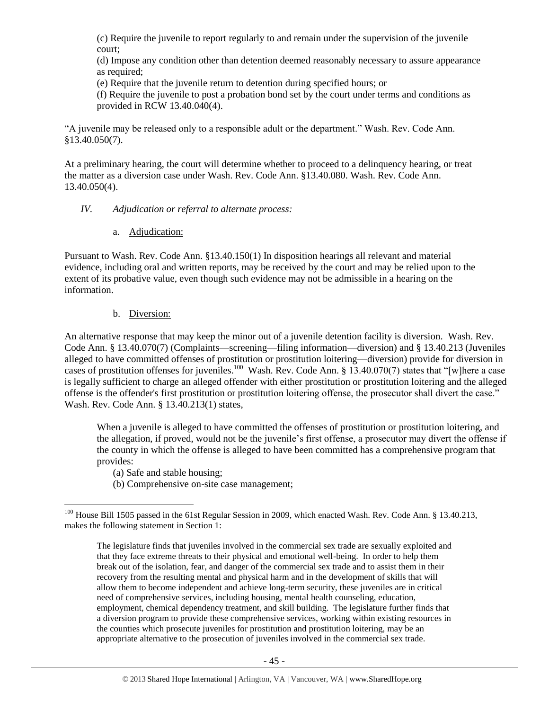(c) Require the juvenile to report regularly to and remain under the supervision of the juvenile court;

(d) Impose any condition other than detention deemed reasonably necessary to assure appearance as required;

(e) Require that the juvenile return to detention during specified hours; or

(f) Require the juvenile to post a probation bond set by the court under terms and conditions as provided in RCW [13.40.040\(](http://apps.leg.wa.gov/rcw/default.aspx?cite=13.40.040)4).

"A juvenile may be released only to a responsible adult or the department." Wash. Rev. Code Ann. §13.40.050(7).

At a preliminary hearing, the court will determine whether to proceed to a delinquency hearing, or treat the matter as a diversion case under Wash. Rev. Code Ann. §13.40.080. Wash. Rev. Code Ann. 13.40.050(4).

## *IV. Adjudication or referral to alternate process:*

a. Adjudication:

Pursuant to Wash. Rev. Code Ann. §13.40.150(1) In disposition hearings all relevant and material evidence, including oral and written reports, may be received by the court and may be relied upon to the extent of its probative value, even though such evidence may not be admissible in a hearing on the information.

## b. Diversion:

An alternative response that may keep the minor out of a juvenile detention facility is diversion. Wash. Rev. Code Ann. § 13.40.070(7) (Complaints—screening—filing information—diversion) and § 13.40.213 (Juveniles alleged to have committed offenses of prostitution or prostitution loitering—diversion) provide for diversion in cases of prostitution offenses for juveniles.<sup>100</sup> Wash. Rev. Code Ann. § 13.40.070(7) states that "[w]here a case is legally sufficient to charge an alleged offender with either prostitution or prostitution loitering and the alleged offense is the offender's first prostitution or prostitution loitering offense, the prosecutor shall divert the case." Wash. Rev. Code Ann. § 13.40.213(1) states,

When a juvenile is alleged to have committed the offenses of prostitution or prostitution loitering, and the allegation, if proved, would not be the juvenile's first offense, a prosecutor may divert the offense if the county in which the offense is alleged to have been committed has a comprehensive program that provides:

(a) Safe and stable housing;

(b) Comprehensive on-site case management;

 $\overline{a}$ <sup>100</sup> House Bill 1505 passed in the 61st Regular Session in 2009, which enacted Wash. Rev. Code Ann. § 13.40.213, makes the following statement in Section 1:

The legislature finds that juveniles involved in the commercial sex trade are sexually exploited and that they face extreme threats to their physical and emotional well-being. In order to help them break out of the isolation, fear, and danger of the commercial sex trade and to assist them in their recovery from the resulting mental and physical harm and in the development of skills that will allow them to become independent and achieve long-term security, these juveniles are in critical need of comprehensive services, including housing, mental health counseling, education, employment, chemical dependency treatment, and skill building. The legislature further finds that a diversion program to provide these comprehensive services, working within existing resources in the counties which prosecute juveniles for prostitution and prostitution loitering, may be an appropriate alternative to the prosecution of juveniles involved in the commercial sex trade.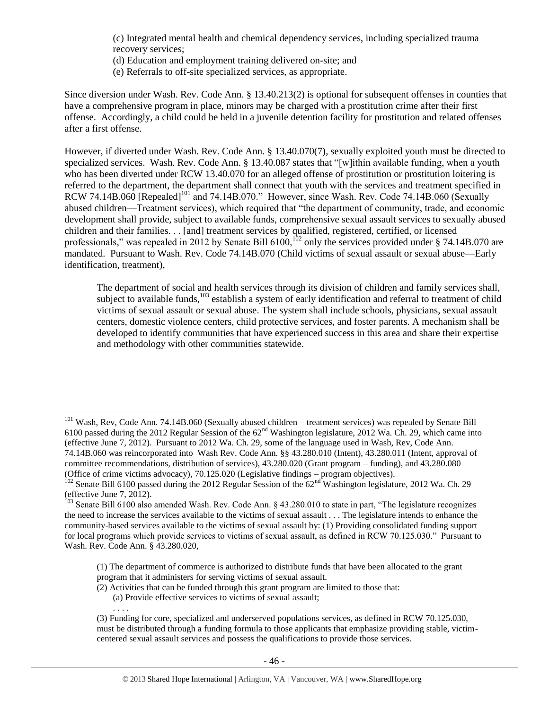(c) Integrated mental health and chemical dependency services, including specialized trauma recovery services;

- (d) Education and employment training delivered on-site; and
- (e) Referrals to off-site specialized services, as appropriate.

Since diversion under Wash. Rev. Code Ann. § 13.40.213(2) is optional for subsequent offenses in counties that have a comprehensive program in place, minors may be charged with a prostitution crime after their first offense. Accordingly, a child could be held in a juvenile detention facility for prostitution and related offenses after a first offense.

However, if diverted under Wash. Rev. Code Ann. § 13.40.070(7), sexually exploited youth must be directed to specialized services. Wash. Rev. Code Ann. § 13.40.087 states that "[w]ithin available funding, when a youth who has been diverted under RCW 13.40.070 for an alleged offense of prostitution or prostitution loitering is referred to the department, the department shall connect that youth with the services and treatment specified in RCW 74.14B.060 [Repealed]<sup>101</sup> and 74.14B.070." However, since Wash. Rev. Code 74.14B.060 (Sexually abused children—Treatment services), which required that "the department of community, trade, and economic development shall provide, subject to available funds, comprehensive sexual assault services to sexually abused children and their families. . . [and] treatment services by qualified, registered, certified, or licensed professionals," was repealed in 2012 by Senate Bill 6100,<sup>102</sup> only the services provided under § 74.14B.070 are mandated. Pursuant to Wash. Rev. Code 74.14B.070 (Child victims of sexual assault or sexual abuse—Early identification, treatment),

The department of social and health services through its division of children and family services shall, subject to available funds,<sup>103</sup> establish a system of early identification and referral to treatment of child victims of sexual assault or sexual abuse. The system shall include schools, physicians, sexual assault centers, domestic violence centers, child protective services, and foster parents. A mechanism shall be developed to identify communities that have experienced success in this area and share their expertise and methodology with other communities statewide.

- (2) Activities that can be funded through this grant program are limited to those that:
	- (a) Provide effective services to victims of sexual assault;

 $\overline{a}$ 

. . . .

<sup>&</sup>lt;sup>101</sup> Wash, Rev, Code Ann. 74.14B.060 (Sexually abused children – treatment services) was repealed by Senate Bill 6100 passed during the 2012 Regular Session of the  $62<sup>nd</sup>$  Washington legislature, 2012 Wa. Ch. 29, which came into (effective June 7, 2012). Pursuant to 2012 Wa. Ch. 29, some of the language used in Wash, Rev, Code Ann. 74.14B.060 was reincorporated into Wash Rev. Code Ann. §§ 43.280.010 (Intent), 43.280.011 (Intent, approval of committee recommendations, distribution of services), 43.280.020 (Grant program – funding), and 43.280.080 (Office of crime victims advocacy), 70.125.020 (Legislative findings – program objectives).

<sup>&</sup>lt;sup>102</sup> Senate Bill 6100 passed during the 2012 Regular Session of the 62<sup>nd</sup> Washington legislature, 2012 Wa. Ch. 29 (effective June 7, 2012).

<sup>&</sup>lt;sup>103</sup> Senate Bill 6100 also amended Wash. Rev. Code Ann. § 43.280.010 to state in part, "The legislature recognizes the need to increase the services available to the victims of sexual assault . . . The legislature intends to enhance the community-based services available to the victims of sexual assault by: (1) Providing consolidated funding support for local programs which provide services to victims of sexual assault, as defined in RCW 70.125.030." Pursuant to Wash. Rev. Code Ann. § 43.280.020,

<sup>(1)</sup> The department of commerce is authorized to distribute funds that have been allocated to the grant program that it administers for serving victims of sexual assault.

<sup>(3)</sup> Funding for core, specialized and underserved populations services, as defined in RCW 70.125.030, must be distributed through a funding formula to those applicants that emphasize providing stable, victimcentered sexual assault services and possess the qualifications to provide those services.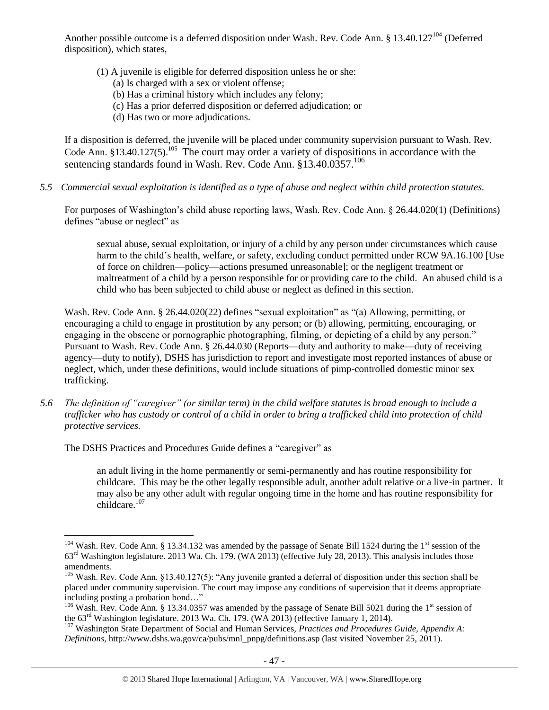Another possible outcome is a deferred disposition under Wash. Rev. Code Ann. § 13.40.127<sup>104</sup> (Deferred disposition), which states,

- (1) A juvenile is eligible for deferred disposition unless he or she:
	- (a) Is charged with a sex or violent offense;
	- (b) Has a criminal history which includes any felony;
	- (c) Has a prior deferred disposition or deferred adjudication; or
	- (d) Has two or more adjudications.

If a disposition is deferred, the juvenile will be placed under community supervision pursuant to Wash. Rev. Code Ann.  $§13.40.127(5)$ .<sup>105</sup> The court may order a variety of dispositions in accordance with the sentencing standards found in Wash. Rev. Code Ann.  $813.40.0357$ <sup>106</sup>

*5.5 Commercial sexual exploitation is identified as a type of abuse and neglect within child protection statutes.*

For purposes of Washington's child abuse reporting laws, Wash. Rev. Code Ann. § 26.44.020(1) (Definitions) defines "abuse or neglect" as

sexual abuse, sexual exploitation, or injury of a child by any person under circumstances which cause harm to the child's health, welfare, or safety, excluding conduct permitted under RCW 9A.16.100 [Use of force on children—policy—actions presumed unreasonable]; or the negligent treatment or maltreatment of a child by a person responsible for or providing care to the child. An abused child is a child who has been subjected to child abuse or neglect as defined in this section.

Wash. Rev. Code Ann. § 26.44.020(22) defines "sexual exploitation" as "(a) Allowing, permitting, or encouraging a child to engage in prostitution by any person; or (b) allowing, permitting, encouraging, or engaging in the obscene or pornographic photographing, filming, or depicting of a child by any person." Pursuant to Wash. Rev. Code Ann. § 26.44.030 (Reports—duty and authority to make—duty of receiving agency—duty to notify), DSHS has jurisdiction to report and investigate most reported instances of abuse or neglect, which, under these definitions, would include situations of pimp-controlled domestic minor sex trafficking.

*5.6 The definition of "caregiver" (or similar term) in the child welfare statutes is broad enough to include a trafficker who has custody or control of a child in order to bring a trafficked child into protection of child protective services.*

The DSHS Practices and Procedures Guide defines a "caregiver" as

 $\overline{a}$ 

an adult living in the home permanently or semi-permanently and has routine responsibility for childcare. This may be the other legally responsible adult, another adult relative or a live-in partner. It may also be any other adult with regular ongoing time in the home and has routine responsibility for childcare.<sup>107</sup>

<sup>&</sup>lt;sup>104</sup> Wash. Rev. Code Ann. § 13.34.132 was amended by the passage of Senate Bill 1524 during the 1<sup>st</sup> session of the 63rd Washington legislature. 2013 Wa. Ch. 179. (WA 2013) (effective July 28, 2013). This analysis includes those amendments.

<sup>&</sup>lt;sup>105</sup> Wash. Rev. Code Ann. §13.40.127(5): "Any juvenile granted a deferral of disposition under this section shall be placed under community supervision. The court may impose any conditions of supervision that it deems appropriate including posting a probation bond…"

 $106$  Wash. Rev. Code Ann. § 13.34.0357 was amended by the passage of Senate Bill 5021 during the 1<sup>st</sup> session of the  $63<sup>rd</sup>$  Washington legislature. 2013 Wa. Ch. 179. (WA 2013) (effective January 1, 2014).

<sup>107</sup> Washington State Department of Social and Human Services, *Practices and Procedures Guide, Appendix A: Definitions*, http://www.dshs.wa.gov/ca/pubs/mnl\_pnpg/definitions.asp (last visited November 25, 2011).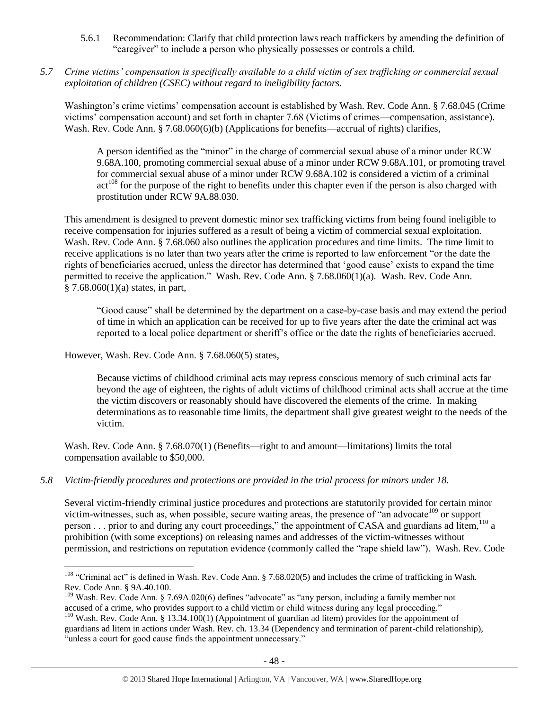- 5.6.1 Recommendation: Clarify that child protection laws reach traffickers by amending the definition of "caregiver" to include a person who physically possesses or controls a child.
- *5.7 Crime victims' compensation is specifically available to a child victim of sex trafficking or commercial sexual exploitation of children (CSEC) without regard to ineligibility factors.*

Washington's crime victims' compensation account is established by Wash. Rev. Code Ann. § 7.68.045 (Crime victims' compensation account) and set forth in chapter 7.68 (Victims of crimes—compensation, assistance). Wash. Rev. Code Ann. § 7.68.060(6)(b) (Applications for benefits—accrual of rights) clarifies,

A person identified as the "minor" in the charge of commercial sexual abuse of a minor under RCW 9.68A.100, promoting commercial sexual abuse of a minor under RCW 9.68A.101, or promoting travel for commercial sexual abuse of a minor under RCW 9.68A.102 is considered a victim of a criminal  $\text{act}^{108}$  for the purpose of the right to benefits under this chapter even if the person is also charged with prostitution under RCW 9A.88.030.

This amendment is designed to prevent domestic minor sex trafficking victims from being found ineligible to receive compensation for injuries suffered as a result of being a victim of commercial sexual exploitation. Wash. Rev. Code Ann. § 7.68.060 also outlines the application procedures and time limits. The time limit to receive applications is no later than two years after the crime is reported to law enforcement "or the date the rights of beneficiaries accrued, unless the director has determined that 'good cause' exists to expand the time permitted to receive the application." Wash. Rev. Code Ann. § 7.68.060(1)(a). Wash. Rev. Code Ann.  $§ 7.68.060(1)(a)$  states, in part,

"Good cause" shall be determined by the department on a case-by-case basis and may extend the period of time in which an application can be received for up to five years after the date the criminal act was reported to a local police department or sheriff's office or the date the rights of beneficiaries accrued.

However, Wash. Rev. Code Ann. § 7.68.060(5) states,

 $\overline{a}$ 

Because victims of childhood criminal acts may repress conscious memory of such criminal acts far beyond the age of eighteen, the rights of adult victims of childhood criminal acts shall accrue at the time the victim discovers or reasonably should have discovered the elements of the crime. In making determinations as to reasonable time limits, the department shall give greatest weight to the needs of the victim.

Wash. Rev. Code Ann. § 7.68.070(1) (Benefits—right to and amount—limitations) limits the total compensation available to \$50,000.

*5.8 Victim-friendly procedures and protections are provided in the trial process for minors under 18.*

Several victim-friendly criminal justice procedures and protections are statutorily provided for certain minor victim-witnesses, such as, when possible, secure waiting areas, the presence of "an advocate<sup>109</sup> or support person . . . prior to and during any court proceedings," the appointment of CASA and guardians ad litem,<sup>110</sup> a prohibition (with some exceptions) on releasing names and addresses of the victim-witnesses without permission, and restrictions on reputation evidence (commonly called the "rape shield law"). Wash. Rev. Code

<sup>&</sup>lt;sup>108</sup> "Criminal act" is defined in Wash. Rev. Code Ann. § 7.68.020(5) and includes the crime of trafficking in Wash. Rev. Code Ann. § 9A.40.100.

<sup>&</sup>lt;sup>109</sup> Wash. Rev. Code Ann. § 7.69A.020(6) defines "advocate" as "any person, including a family member not accused of a crime, who provides support to a child victim or child witness during any legal proceeding."

<sup>&</sup>lt;sup>110</sup> Wash. Rev. Code Ann. § 13.34.100(1) (Appointment of guardian ad litem) provides for the appointment of guardians ad litem in actions under Wash. Rev. ch. 13.34 (Dependency and termination of parent-child relationship), "unless a court for good cause finds the appointment unnecessary."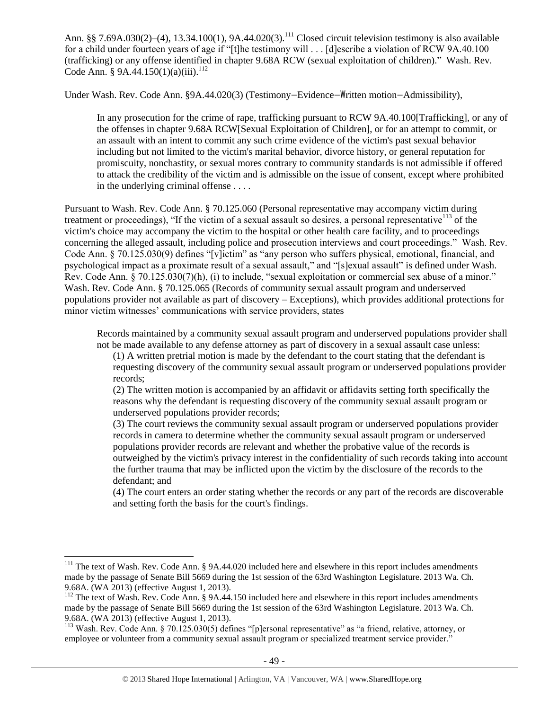Ann. §§ 7.69A.030(2)–(4), 13.34.100(1), 9A.44.020(3).<sup>111</sup> Closed circuit television testimony is also available for a child under fourteen years of age if "[t]he testimony will . . . [d]escribe a violation of RCW 9A.40.100 (trafficking) or any offense identified in chapter 9.68A RCW (sexual exploitation of children)." Wash. Rev. Code Ann. § 9A.44.150(1)(a)(iii).<sup>112</sup>

Under Wash. Rev. Code Ann. §9A.44.020(3) (Testimony—Evidence—Written motion—Admissibility),

In any prosecution for the crime of rape, trafficking pursuant to RCW 9A.40.100[Trafficking], or any of the offenses in chapter 9.68A RCW[Sexual Exploitation of Children], or for an attempt to commit, or an assault with an intent to commit any such crime evidence of the victim's past sexual behavior including but not limited to the victim's marital behavior, divorce history, or general reputation for promiscuity, nonchastity, or sexual mores contrary to community standards is not admissible if offered to attack the credibility of the victim and is admissible on the issue of consent, except where prohibited in the underlying criminal offense . . . .

Pursuant to Wash. Rev. Code Ann. § 70.125.060 (Personal representative may accompany victim during treatment or proceedings), "If the victim of a sexual assault so desires, a personal representative $^{113}$  of the victim's choice may accompany the victim to the hospital or other health care facility, and to proceedings concerning the alleged assault, including police and prosecution interviews and court proceedings." Wash. Rev. Code Ann. § 70.125.030(9) defines "[v]ictim" as "any person who suffers physical, emotional, financial, and psychological impact as a proximate result of a sexual assault," and "[s]exual assault" is defined under Wash. Rev. Code Ann. § 70.125.030(7)(h), (i) to include, "sexual exploitation or commercial sex abuse of a minor." Wash. Rev. Code Ann. § 70.125.065 (Records of community sexual assault program and underserved populations provider not available as part of discovery – Exceptions), which provides additional protections for minor victim witnesses' communications with service providers, states

Records maintained by a community sexual assault program and underserved populations provider shall not be made available to any defense attorney as part of discovery in a sexual assault case unless:

(1) A written pretrial motion is made by the defendant to the court stating that the defendant is requesting discovery of the community sexual assault program or underserved populations provider records;

(2) The written motion is accompanied by an affidavit or affidavits setting forth specifically the reasons why the defendant is requesting discovery of the community sexual assault program or underserved populations provider records;

(3) The court reviews the community sexual assault program or underserved populations provider records in camera to determine whether the community sexual assault program or underserved populations provider records are relevant and whether the probative value of the records is outweighed by the victim's privacy interest in the confidentiality of such records taking into account the further trauma that may be inflicted upon the victim by the disclosure of the records to the defendant; and

(4) The court enters an order stating whether the records or any part of the records are discoverable and setting forth the basis for the court's findings.

<sup>&</sup>lt;sup>111</sup> The text of Wash. Rev. Code Ann. § 9A.44.020 included here and elsewhere in this report includes amendments made by the passage of Senate Bill 5669 during the 1st session of the 63rd Washington Legislature. 2013 Wa. Ch. 9.68A. (WA 2013) (effective August 1, 2013).

<sup>&</sup>lt;sup>112</sup> The text of Wash. Rev. Code Ann. § 9A.44.150 included here and elsewhere in this report includes amendments made by the passage of Senate Bill 5669 during the 1st session of the 63rd Washington Legislature. 2013 Wa. Ch. 9.68A. (WA 2013) (effective August 1, 2013).

<sup>113</sup> Wash. Rev. Code Ann. § 70.125.030(5) defines "[p]ersonal representative" as "a friend, relative, attorney, or employee or volunteer from a community sexual assault program or specialized treatment service provider."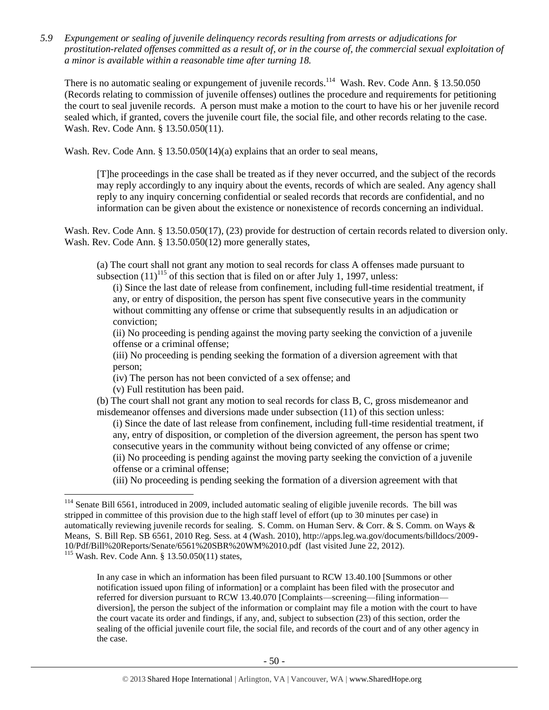*5.9 Expungement or sealing of juvenile delinquency records resulting from arrests or adjudications for prostitution-related offenses committed as a result of, or in the course of, the commercial sexual exploitation of a minor is available within a reasonable time after turning 18.*

There is no automatic sealing or expungement of juvenile records.<sup>114</sup> Wash. Rev. Code Ann. § 13.50.050 (Records relating to commission of juvenile offenses) outlines the procedure and requirements for petitioning the court to seal juvenile records. A person must make a motion to the court to have his or her juvenile record sealed which, if granted, covers the juvenile court file, the social file, and other records relating to the case. Wash. Rev. Code Ann. § 13.50.050(11).

Wash. Rev. Code Ann. § 13.50.050(14)(a) explains that an order to seal means,

[T]he proceedings in the case shall be treated as if they never occurred, and the subject of the records may reply accordingly to any inquiry about the events, records of which are sealed. Any agency shall reply to any inquiry concerning confidential or sealed records that records are confidential, and no information can be given about the existence or nonexistence of records concerning an individual.

Wash. Rev. Code Ann. § 13.50.050(17), (23) provide for destruction of certain records related to diversion only. Wash. Rev. Code Ann. § 13.50.050(12) more generally states,

(a) The court shall not grant any motion to seal records for class A offenses made pursuant to subsection  $(11)^{115}$  of this section that is filed on or after July 1, 1997, unless:

(i) Since the last date of release from confinement, including full-time residential treatment, if any, or entry of disposition, the person has spent five consecutive years in the community without committing any offense or crime that subsequently results in an adjudication or conviction;

(ii) No proceeding is pending against the moving party seeking the conviction of a juvenile offense or a criminal offense;

(iii) No proceeding is pending seeking the formation of a diversion agreement with that person;

- (iv) The person has not been convicted of a sex offense; and
- (v) Full restitution has been paid.

 $\overline{a}$ 

(b) The court shall not grant any motion to seal records for class B, C, gross misdemeanor and misdemeanor offenses and diversions made under subsection (11) of this section unless:

(i) Since the date of last release from confinement, including full-time residential treatment, if any, entry of disposition, or completion of the diversion agreement, the person has spent two consecutive years in the community without being convicted of any offense or crime; (ii) No proceeding is pending against the moving party seeking the conviction of a juvenile offense or a criminal offense;

(iii) No proceeding is pending seeking the formation of a diversion agreement with that

In any case in which an information has been filed pursuant to RCW 13.40.100 [Summons or other notification issued upon filing of information] or a complaint has been filed with the prosecutor and referred for diversion pursuant to RCW 13.40.070 [Complaints—screening—filing information diversion], the person the subject of the information or complaint may file a motion with the court to have the court vacate its order and findings, if any, and, subject to subsection (23) of this section, order the sealing of the official juvenile court file, the social file, and records of the court and of any other agency in the case.

<sup>&</sup>lt;sup>114</sup> Senate Bill 6561, introduced in 2009, included automatic sealing of eligible juvenile records. The bill was stripped in committee of this provision due to the high staff level of effort (up to 30 minutes per case) in automatically reviewing juvenile records for sealing. S. Comm. on Human Serv. & Corr. & S. Comm. on Ways & Means, S. Bill Rep. SB 6561, 2010 Reg. Sess. at 4 (Wash. 2010), http://apps.leg.wa.gov/documents/billdocs/2009- 10/Pdf/Bill%20Reports/Senate/6561%20SBR%20WM%2010.pdf (last visited June 22, 2012). <sup>115</sup> Wash. Rev. Code Ann. § 13.50.050(11) states,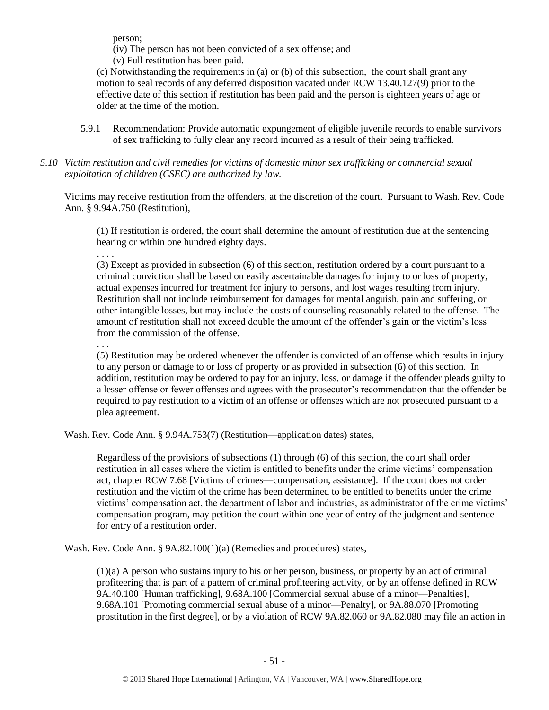person;

(iv) The person has not been convicted of a sex offense; and

(v) Full restitution has been paid.

(c) Notwithstanding the requirements in (a) or (b) of this subsection, the court shall grant any motion to seal records of any deferred disposition vacated under RCW 13.40.127(9) prior to the effective date of this section if restitution has been paid and the person is eighteen years of age or older at the time of the motion.

- 5.9.1 Recommendation: Provide automatic expungement of eligible juvenile records to enable survivors of sex trafficking to fully clear any record incurred as a result of their being trafficked.
- *5.10 Victim restitution and civil remedies for victims of domestic minor sex trafficking or commercial sexual exploitation of children (CSEC) are authorized by law.*

Victims may receive restitution from the offenders, at the discretion of the court. Pursuant to Wash. Rev. Code Ann. § 9.94A.750 (Restitution),

(1) If restitution is ordered, the court shall determine the amount of restitution due at the sentencing hearing or within one hundred eighty days.

. . . .

(3) Except as provided in subsection (6) of this section, restitution ordered by a court pursuant to a criminal conviction shall be based on easily ascertainable damages for injury to or loss of property, actual expenses incurred for treatment for injury to persons, and lost wages resulting from injury. Restitution shall not include reimbursement for damages for mental anguish, pain and suffering, or other intangible losses, but may include the costs of counseling reasonably related to the offense. The amount of restitution shall not exceed double the amount of the offender's gain or the victim's loss from the commission of the offense.

. . .

(5) Restitution may be ordered whenever the offender is convicted of an offense which results in injury to any person or damage to or loss of property or as provided in subsection (6) of this section. In addition, restitution may be ordered to pay for an injury, loss, or damage if the offender pleads guilty to a lesser offense or fewer offenses and agrees with the prosecutor's recommendation that the offender be required to pay restitution to a victim of an offense or offenses which are not prosecuted pursuant to a plea agreement.

Wash. Rev. Code Ann. § 9.94A.753(7) (Restitution—application dates) states,

Regardless of the provisions of subsections (1) through (6) of this section, the court shall order restitution in all cases where the victim is entitled to benefits under the crime victims' compensation act, chapter RCW 7.68 [Victims of crimes—compensation, assistance]. If the court does not order restitution and the victim of the crime has been determined to be entitled to benefits under the crime victims' compensation act, the department of labor and industries, as administrator of the crime victims' compensation program, may petition the court within one year of entry of the judgment and sentence for entry of a restitution order.

Wash. Rev. Code Ann. § 9A.82.100(1)(a) (Remedies and procedures) states,

(1)(a) A person who sustains injury to his or her person, business, or property by an act of criminal profiteering that is part of a pattern of criminal profiteering activity, or by an offense defined in RCW 9A.40.100 [Human trafficking], 9.68A.100 [Commercial sexual abuse of a minor—Penalties], 9.68A.101 [Promoting commercial sexual abuse of a minor—Penalty], or 9A.88.070 [Promoting prostitution in the first degree], or by a violation of RCW 9A.82.060 or 9A.82.080 may file an action in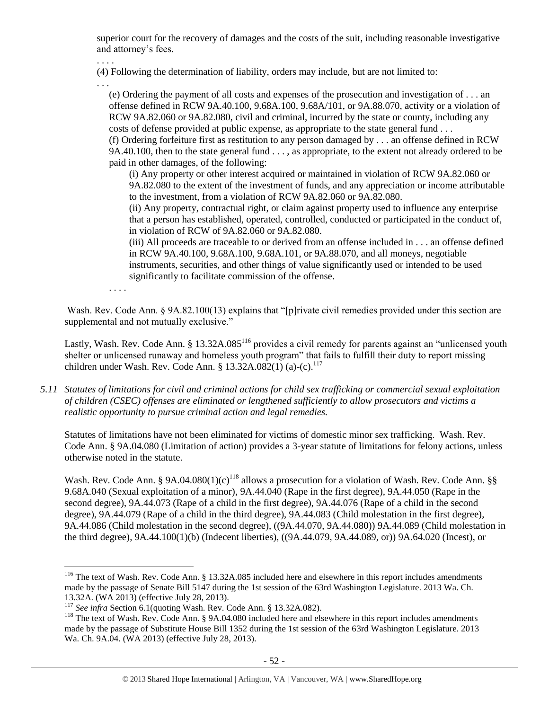superior court for the recovery of damages and the costs of the suit, including reasonable investigative and attorney's fees.

. . . .

(4) Following the determination of liability, orders may include, but are not limited to:

. . .

(e) Ordering the payment of all costs and expenses of the prosecution and investigation of . . . an offense defined in RCW 9A.40.100, 9.68A.100, 9.68A/101, or 9A.88.070, activity or a violation of RCW 9A.82.060 or 9A.82.080, civil and criminal, incurred by the state or county, including any costs of defense provided at public expense, as appropriate to the state general fund . . .

(f) Ordering forfeiture first as restitution to any person damaged by . . . an offense defined in RCW 9A.40.100, then to the state general fund . . . , as appropriate, to the extent not already ordered to be paid in other damages, of the following:

(i) Any property or other interest acquired or maintained in violation of RCW 9A.82.060 or 9A.82.080 to the extent of the investment of funds, and any appreciation or income attributable to the investment, from a violation of RCW 9A.82.060 or 9A.82.080.

(ii) Any property, contractual right, or claim against property used to influence any enterprise that a person has established, operated, controlled, conducted or participated in the conduct of, in violation of RCW of 9A.82.060 or 9A.82.080.

(iii) All proceeds are traceable to or derived from an offense included in . . . an offense defined in RCW 9A.40.100, 9.68A.100, 9.68A.101, or 9A.88.070, and all moneys, negotiable instruments, securities, and other things of value significantly used or intended to be used significantly to facilitate commission of the offense.

. . . .

 $\overline{a}$ 

Wash. Rev. Code Ann. § 9A.82.100(13) explains that "[p]rivate civil remedies provided under this section are supplemental and not mutually exclusive."

Lastly, Wash. Rev. Code Ann. § 13.32A.085<sup>116</sup> provides a civil remedy for parents against an "unlicensed youth shelter or unlicensed runaway and homeless youth program" that fails to fulfill their duty to report missing children under Wash. Rev. Code Ann. § 13.32A.082(1) (a)-(c).<sup>117</sup>

*5.11 Statutes of limitations for civil and criminal actions for child sex trafficking or commercial sexual exploitation of children (CSEC) offenses are eliminated or lengthened sufficiently to allow prosecutors and victims a realistic opportunity to pursue criminal action and legal remedies.*

Statutes of limitations have not been eliminated for victims of domestic minor sex trafficking. Wash. Rev. Code Ann. § 9A.04.080 (Limitation of action) provides a 3-year statute of limitations for felony actions, unless otherwise noted in the statute.

Wash. Rev. Code Ann. § 9A.04.080(1)(c)<sup>118</sup> allows a prosecution for a violation of Wash. Rev. Code Ann. §§ 9.68A.040 (Sexual exploitation of a minor), 9A.44.040 (Rape in the first degree), 9A.44.050 (Rape in the second degree), 9A.44.073 (Rape of a child in the first degree), 9A.44.076 (Rape of a child in the second degree), 9A.44.079 (Rape of a child in the third degree), 9A.44.083 (Child molestation in the first degree), 9A.44.086 (Child molestation in the second degree), ((9A.44.070, 9A.44.080)) 9A.44.089 (Child molestation in the third degree), 9A.44.100(1)(b) (Indecent liberties), ((9A.44.079, 9A.44.089, or)) 9A.64.020 (Incest), or

<sup>&</sup>lt;sup>116</sup> The text of Wash. Rev. Code Ann. § 13.32A.085 included here and elsewhere in this report includes amendments made by the passage of Senate Bill 5147 during the 1st session of the 63rd Washington Legislature. 2013 Wa. Ch. 13.32A. (WA 2013) (effective July 28, 2013).

<sup>117</sup> *See infra* Section 6.1(quoting Wash. Rev. Code Ann. § 13.32A.082).

<sup>&</sup>lt;sup>118</sup> The text of Wash. Rev. Code Ann. § 9A.04.080 included here and elsewhere in this report includes amendments made by the passage of Substitute House Bill 1352 during the 1st session of the 63rd Washington Legislature. 2013 Wa. Ch. 9A.04. (WA 2013) (effective July 28, 2013).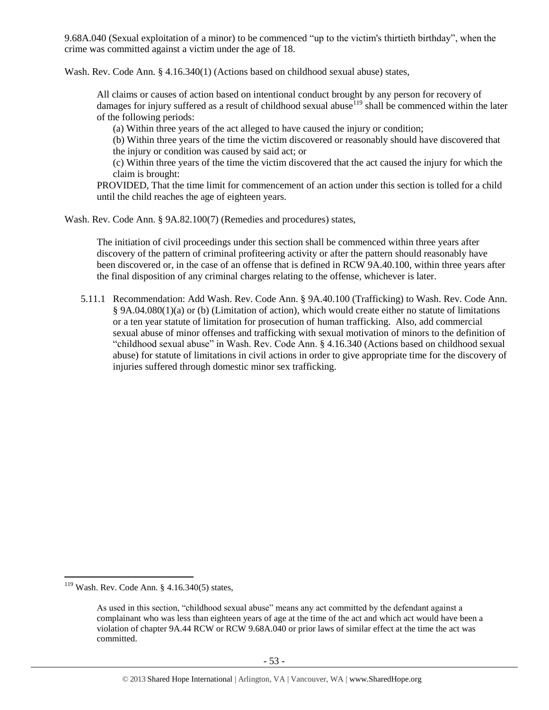9.68A.040 (Sexual exploitation of a minor) to be commenced "up to the victim's thirtieth birthday", when the crime was committed against a victim under the age of 18.

Wash. Rev. Code Ann. § 4.16.340(1) (Actions based on childhood sexual abuse) states,

All claims or causes of action based on intentional conduct brought by any person for recovery of damages for injury suffered as a result of childhood sexual abuse<sup>119</sup> shall be commenced within the later of the following periods:

(a) Within three years of the act alleged to have caused the injury or condition;

(b) Within three years of the time the victim discovered or reasonably should have discovered that the injury or condition was caused by said act; or

(c) Within three years of the time the victim discovered that the act caused the injury for which the claim is brought:

PROVIDED, That the time limit for commencement of an action under this section is tolled for a child until the child reaches the age of eighteen years.

Wash. Rev. Code Ann. § 9A.82.100(7) (Remedies and procedures) states,

The initiation of civil proceedings under this section shall be commenced within three years after discovery of the pattern of criminal profiteering activity or after the pattern should reasonably have been discovered or, in the case of an offense that is defined in RCW 9A.40.100, within three years after the final disposition of any criminal charges relating to the offense, whichever is later.

5.11.1 Recommendation: Add Wash. Rev. Code Ann. § 9A.40.100 (Trafficking) to Wash. Rev. Code Ann. § 9A.04.080(1)(a) or (b) (Limitation of action), which would create either no statute of limitations or a ten year statute of limitation for prosecution of human trafficking. Also, add commercial sexual abuse of minor offenses and trafficking with sexual motivation of minors to the definition of "childhood sexual abuse" in Wash. Rev. Code Ann. § 4.16.340 (Actions based on childhood sexual abuse) for statute of limitations in civil actions in order to give appropriate time for the discovery of injuries suffered through domestic minor sex trafficking.

 $119$  Wash. Rev. Code Ann. § 4.16.340(5) states,

As used in this section, "childhood sexual abuse" means any act committed by the defendant against a complainant who was less than eighteen years of age at the time of the act and which act would have been a violation of chapter 9A.44 RCW or RCW 9.68A.040 or prior laws of similar effect at the time the act was committed.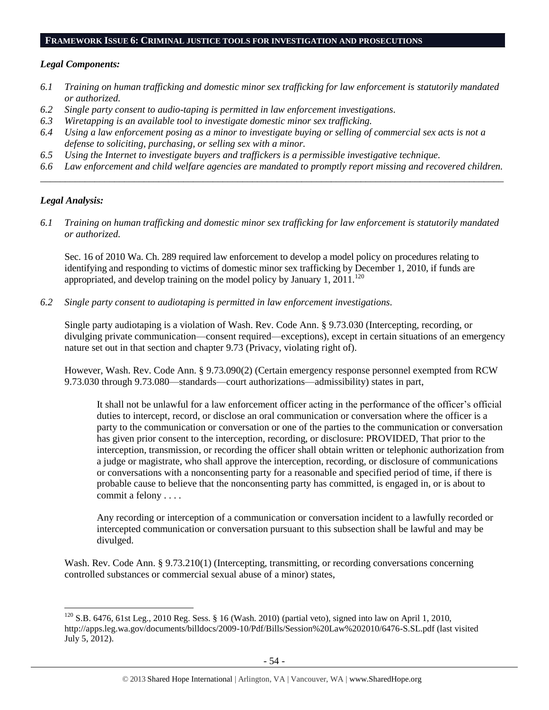#### **FRAMEWORK ISSUE 6: CRIMINAL JUSTICE TOOLS FOR INVESTIGATION AND PROSECUTIONS**

#### *Legal Components:*

- *6.1 Training on human trafficking and domestic minor sex trafficking for law enforcement is statutorily mandated or authorized.*
- *6.2 Single party consent to audio-taping is permitted in law enforcement investigations.*
- *6.3 Wiretapping is an available tool to investigate domestic minor sex trafficking.*
- *6.4 Using a law enforcement posing as a minor to investigate buying or selling of commercial sex acts is not a defense to soliciting, purchasing, or selling sex with a minor.*
- *6.5 Using the Internet to investigate buyers and traffickers is a permissible investigative technique.*
- *6.6 Law enforcement and child welfare agencies are mandated to promptly report missing and recovered children. \_\_\_\_\_\_\_\_\_\_\_\_\_\_\_\_\_\_\_\_\_\_\_\_\_\_\_\_\_\_\_\_\_\_\_\_\_\_\_\_\_\_\_\_\_\_\_\_\_\_\_\_\_\_\_\_\_\_\_\_\_\_\_\_\_\_\_\_\_\_\_\_\_\_\_\_\_\_\_\_\_\_\_\_\_\_\_\_\_\_\_\_\_\_*

#### *Legal Analysis:*

 $\overline{a}$ 

*6.1 Training on human trafficking and domestic minor sex trafficking for law enforcement is statutorily mandated or authorized.*

Sec. 16 of 2010 Wa. Ch. 289 required law enforcement to develop a model policy on procedures relating to identifying and responding to victims of domestic minor sex trafficking by December 1, 2010, if funds are appropriated, and develop training on the model policy by January 1, 2011.<sup>120</sup>

*6.2 Single party consent to audiotaping is permitted in law enforcement investigations.*

Single party audiotaping is a violation of Wash. Rev. Code Ann. § 9.73.030 (Intercepting, recording, or divulging private communication—consent required—exceptions), except in certain situations of an emergency nature set out in that section and chapter 9.73 (Privacy, violating right of).

However, Wash. Rev. Code Ann. § 9.73.090(2) (Certain emergency response personnel exempted from RCW 9.73.030 through 9.73.080—standards—court authorizations—admissibility) states in part,

It shall not be unlawful for a law enforcement officer acting in the performance of the officer's official duties to intercept, record, or disclose an oral communication or conversation where the officer is a party to the communication or conversation or one of the parties to the communication or conversation has given prior consent to the interception, recording, or disclosure: PROVIDED, That prior to the interception, transmission, or recording the officer shall obtain written or telephonic authorization from a judge or magistrate, who shall approve the interception, recording, or disclosure of communications or conversations with a nonconsenting party for a reasonable and specified period of time, if there is probable cause to believe that the nonconsenting party has committed, is engaged in, or is about to commit a felony . . . .

Any recording or interception of a communication or conversation incident to a lawfully recorded or intercepted communication or conversation pursuant to this subsection shall be lawful and may be divulged.

Wash. Rev. Code Ann. § 9.73.210(1) (Intercepting, transmitting, or recording conversations concerning controlled substances or commercial sexual abuse of a minor) states,

 $120$  S.B. 6476, 61st Leg., 2010 Reg. Sess. § 16 (Wash. 2010) (partial veto), signed into law on April 1, 2010, http://apps.leg.wa.gov/documents/billdocs/2009-10/Pdf/Bills/Session%20Law%202010/6476-S.SL.pdf (last visited July 5, 2012).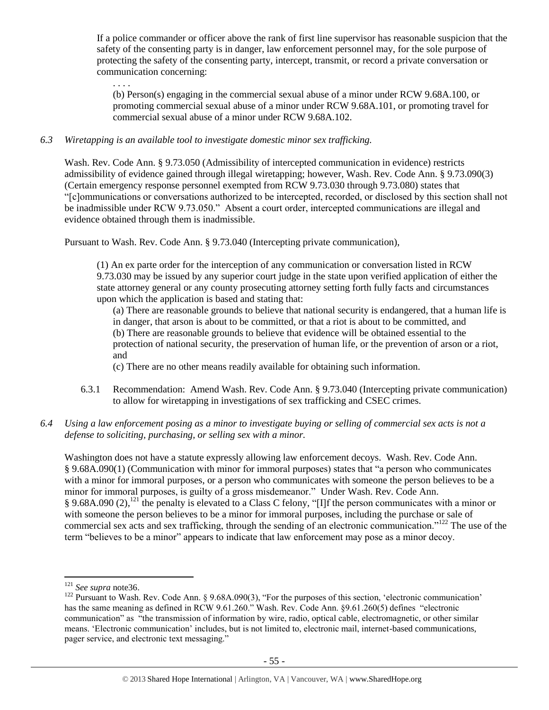If a police commander or officer above the rank of first line supervisor has reasonable suspicion that the safety of the consenting party is in danger, law enforcement personnel may, for the sole purpose of protecting the safety of the consenting party, intercept, transmit, or record a private conversation or communication concerning:

. . . .

(b) Person(s) engaging in the commercial sexual abuse of a minor under RCW 9.68A.100, or promoting commercial sexual abuse of a minor under RCW 9.68A.101, or promoting travel for commercial sexual abuse of a minor under RCW 9.68A.102.

## *6.3 Wiretapping is an available tool to investigate domestic minor sex trafficking.*

Wash. Rev. Code Ann. § 9.73.050 (Admissibility of intercepted communication in evidence) restricts admissibility of evidence gained through illegal wiretapping; however, Wash. Rev. Code Ann. § 9.73.090(3) (Certain emergency response personnel exempted from RCW 9.73.030 through 9.73.080) states that "[c]ommunications or conversations authorized to be intercepted, recorded, or disclosed by this section shall not be inadmissible under RCW 9.73.050." Absent a court order, intercepted communications are illegal and evidence obtained through them is inadmissible.

Pursuant to Wash. Rev. Code Ann. § 9.73.040 (Intercepting private communication),

(1) An ex parte order for the interception of any communication or conversation listed in RCW 9.73.030 may be issued by any superior court judge in the state upon verified application of either the state attorney general or any county prosecuting attorney setting forth fully facts and circumstances upon which the application is based and stating that:

(a) There are reasonable grounds to believe that national security is endangered, that a human life is in danger, that arson is about to be committed, or that a riot is about to be committed, and

(b) There are reasonable grounds to believe that evidence will be obtained essential to the

protection of national security, the preservation of human life, or the prevention of arson or a riot, and

(c) There are no other means readily available for obtaining such information.

6.3.1 Recommendation: Amend Wash. Rev. Code Ann. § 9.73.040 (Intercepting private communication) to allow for wiretapping in investigations of sex trafficking and CSEC crimes.

# *6.4 Using a law enforcement posing as a minor to investigate buying or selling of commercial sex acts is not a defense to soliciting, purchasing, or selling sex with a minor.*

Washington does not have a statute expressly allowing law enforcement decoys. Wash. Rev. Code Ann. § 9.68A.090(1) (Communication with minor for immoral purposes) states that "a person who communicates with a minor for immoral purposes, or a person who communicates with someone the person believes to be a minor for immoral purposes, is guilty of a gross misdemeanor." Under Wash. Rev. Code Ann. § 9.68A.090 (2),<sup>121</sup> the penalty is elevated to a Class C felony, "[I]f the person communicates with a minor or with someone the person believes to be a minor for immoral purposes, including the purchase or sale of commercial sex acts and sex trafficking, through the sending of an electronic communication."<sup>122</sup> The use of the term "believes to be a minor" appears to indicate that law enforcement may pose as a minor decoy.

<sup>121</sup> *See supra* not[e36.](#page-13-2)

<sup>&</sup>lt;sup>122</sup> Pursuant to Wash. Rev. Code Ann. § 9.68A.090(3), "For the purposes of this section, 'electronic communication' has the same meaning as defined in RCW 9.61.260." Wash. Rev. Code Ann. §9.61.260(5) defines "electronic communication" as "the transmission of information by wire, radio, optical cable, electromagnetic, or other similar means. 'Electronic communication' includes, but is not limited to, electronic mail, internet-based communications, pager service, and electronic text messaging."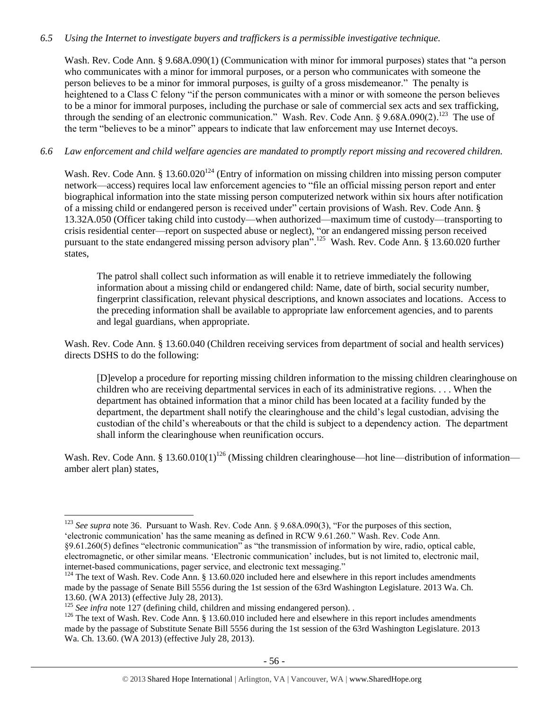## *6.5 Using the Internet to investigate buyers and traffickers is a permissible investigative technique.*

Wash. Rev. Code Ann. § 9.68A.090(1) (Communication with minor for immoral purposes) states that "a person who communicates with a minor for immoral purposes, or a person who communicates with someone the person believes to be a minor for immoral purposes, is guilty of a gross misdemeanor." The penalty is heightened to a Class C felony "if the person communicates with a minor or with someone the person believes to be a minor for immoral purposes, including the purchase or sale of commercial sex acts and sex trafficking, through the sending of an electronic communication." Wash. Rev. Code Ann. §  $9.68A.090(2)$ .<sup>123</sup> The use of the term "believes to be a minor" appears to indicate that law enforcement may use Internet decoys.

## *6.6 Law enforcement and child welfare agencies are mandated to promptly report missing and recovered children.*

Wash. Rev. Code Ann. § 13.60.020<sup>124</sup> (Entry of information on missing children into missing person computer network—access) requires local law enforcement agencies to "file an official missing person report and enter biographical information into the state missing person computerized network within six hours after notification of a missing child or endangered person is received under" certain provisions of Wash. Rev. Code Ann. § 13.32A.050 (Officer taking child into custody—when authorized—maximum time of custody—transporting to crisis residential center—report on suspected abuse or neglect), "or an endangered missing person received pursuant to the state endangered missing person advisory plan".<sup>125</sup> Wash. Rev. Code Ann. § 13.60.020 further states,

The patrol shall collect such information as will enable it to retrieve immediately the following information about a missing child or endangered child: Name, date of birth, social security number, fingerprint classification, relevant physical descriptions, and known associates and locations. Access to the preceding information shall be available to appropriate law enforcement agencies, and to parents and legal guardians, when appropriate.

Wash. Rev. Code Ann. § 13.60.040 (Children receiving services from department of social and health services) directs DSHS to do the following:

[D]evelop a procedure for reporting missing children information to the missing children clearinghouse on children who are receiving departmental services in each of its administrative regions. . . . When the department has obtained information that a minor child has been located at a facility funded by the department, the department shall notify the clearinghouse and the child's legal custodian, advising the custodian of the child's whereabouts or that the child is subject to a dependency action. The department shall inform the clearinghouse when reunification occurs.

Wash. Rev. Code Ann. § 13.60.010(1)<sup>126</sup> (Missing children clearinghouse—hot line—distribution of information amber alert plan) states,

 $\overline{a}$ <sup>123</sup> *See supra* note [36.](#page-13-2) Pursuant to Wash. Rev. Code Ann. § 9.68A.090(3), "For the purposes of this section, 'electronic communication' has the same meaning as defined in RCW 9.61.260." Wash. Rev. Code Ann. §9.61.260(5) defines "electronic communication" as "the transmission of information by wire, radio, optical cable, electromagnetic, or other similar means. 'Electronic communication' includes, but is not limited to, electronic mail, internet-based communications, pager service, and electronic text messaging."

<sup>&</sup>lt;sup>124</sup> The text of Wash. Rev. Code Ann. § 13.60.020 included here and elsewhere in this report includes amendments made by the passage of Senate Bill 5556 during the 1st session of the 63rd Washington Legislature. 2013 Wa. Ch. 13.60. (WA 2013) (effective July 28, 2013).

<sup>&</sup>lt;sup>125</sup> *See infra* note [127](#page-56-0) (defining child, children and missing endangered person).

<sup>&</sup>lt;sup>126</sup> The text of Wash. Rev. Code Ann. § 13.60.010 included here and elsewhere in this report includes amendments made by the passage of Substitute Senate Bill 5556 during the 1st session of the 63rd Washington Legislature. 2013 Wa. Ch. 13.60. (WA 2013) (effective July 28, 2013).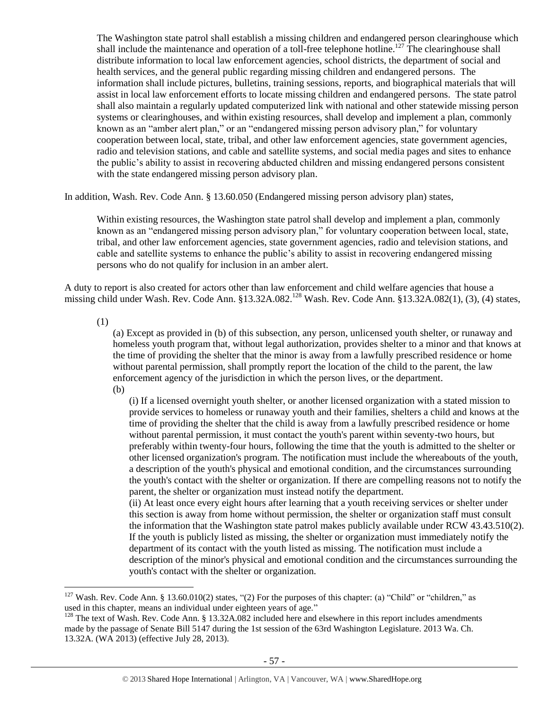<span id="page-56-0"></span>The Washington state patrol shall establish a missing children and endangered person clearinghouse which shall include the maintenance and operation of a toll-free telephone hotline.<sup>127</sup> The clearinghouse shall distribute information to local law enforcement agencies, school districts, the department of social and health services, and the general public regarding missing children and endangered persons. The information shall include pictures, bulletins, training sessions, reports, and biographical materials that will assist in local law enforcement efforts to locate missing children and endangered persons. The state patrol shall also maintain a regularly updated computerized link with national and other statewide missing person systems or clearinghouses, and within existing resources, shall develop and implement a plan, commonly known as an "amber alert plan," or an "endangered missing person advisory plan," for voluntary cooperation between local, state, tribal, and other law enforcement agencies, state government agencies, radio and television stations, and cable and satellite systems, and social media pages and sites to enhance the public's ability to assist in recovering abducted children and missing endangered persons consistent with the state endangered missing person advisory plan.

In addition, Wash. Rev. Code Ann. § 13.60.050 (Endangered missing person advisory plan) states,

Within existing resources, the Washington state patrol shall develop and implement a plan, commonly known as an "endangered missing person advisory plan," for voluntary cooperation between local, state, tribal, and other law enforcement agencies, state government agencies, radio and television stations, and cable and satellite systems to enhance the public's ability to assist in recovering endangered missing persons who do not qualify for inclusion in an amber alert.

A duty to report is also created for actors other than law enforcement and child welfare agencies that house a missing child under Wash. Rev. Code Ann. §13.32A.082.<sup>128</sup> Wash. Rev. Code Ann. §13.32A.082(1), (3), (4) states,

(1)

 $\overline{a}$ 

(a) Except as provided in (b) of this subsection, any person, unlicensed youth shelter, or runaway and homeless youth program that, without legal authorization, provides shelter to a minor and that knows at the time of providing the shelter that the minor is away from a lawfully prescribed residence or home without parental permission, shall promptly report the location of the child to the parent, the law enforcement agency of the jurisdiction in which the person lives, or the department.

(b)

(i) If a licensed overnight youth shelter, or another licensed organization with a stated mission to provide services to homeless or runaway youth and their families, shelters a child and knows at the time of providing the shelter that the child is away from a lawfully prescribed residence or home without parental permission, it must contact the youth's parent within seventy-two hours, but preferably within twenty-four hours, following the time that the youth is admitted to the shelter or other licensed organization's program. The notification must include the whereabouts of the youth, a description of the youth's physical and emotional condition, and the circumstances surrounding the youth's contact with the shelter or organization. If there are compelling reasons not to notify the parent, the shelter or organization must instead notify the department.

(ii) At least once every eight hours after learning that a youth receiving services or shelter under this section is away from home without permission, the shelter or organization staff must consult the information that the Washington state patrol makes publicly available under RCW 43.43.510(2). If the youth is publicly listed as missing, the shelter or organization must immediately notify the department of its contact with the youth listed as missing. The notification must include a description of the minor's physical and emotional condition and the circumstances surrounding the youth's contact with the shelter or organization.

<sup>&</sup>lt;sup>127</sup> Wash. Rev. Code Ann. § 13.60.010(2) states, "(2) For the purposes of this chapter: (a) "Child" or "children," as used in this chapter, means an individual under eighteen years of age."

 $128$  The text of Wash. Rev. Code Ann. § 13.32A.082 included here and elsewhere in this report includes amendments made by the passage of Senate Bill 5147 during the 1st session of the 63rd Washington Legislature. 2013 Wa. Ch. 13.32A. (WA 2013) (effective July 28, 2013).